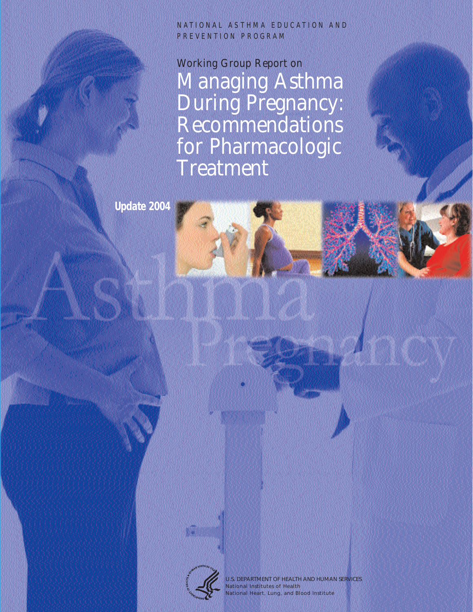NATIONAL ASTHMA EDUCATION AND PREVENTION PROGRAM

Working Group Report on Managing Asthma During Pregnancy: Recommendations for Pharmacologic **Treatment** 

**Update 2004**



U.S. DEPARTMENT OF HEALTH AND HUMAN SERVICES National Institutes of Health National Heart, Lung, and Blood Institute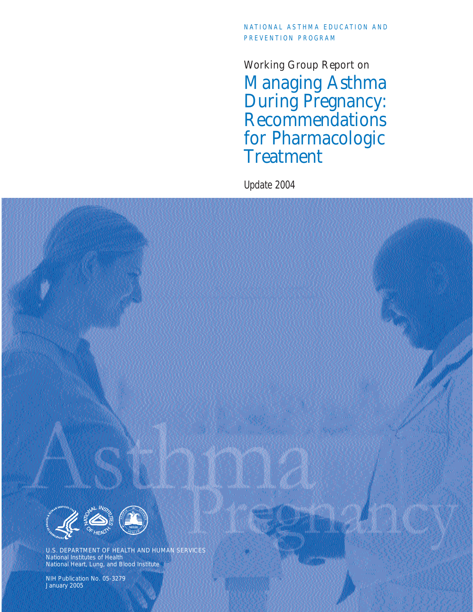## NATIONAL ASTHMA EDUCATION AND PREVENTION PROGRAM

Working Group Report on Managing Asthma During Pregnancy: Recommendations for Pharmacologic Treatment

Update 2004



NIH Publication No. 05-3279 January 2005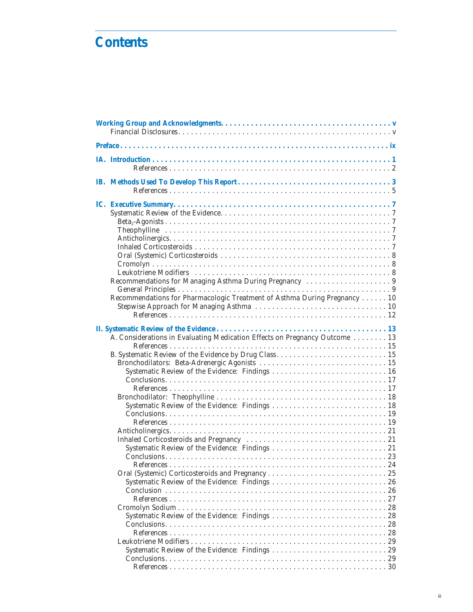# **Contents**

|  | Recommendations for Pharmacologic Treatment of Asthma During Pregnancy 10                        |  |  |  |  |
|--|--------------------------------------------------------------------------------------------------|--|--|--|--|
|  | A. Considerations in Evaluating Medication Effects on Pregnancy Outcome  13<br><b>References</b> |  |  |  |  |
|  |                                                                                                  |  |  |  |  |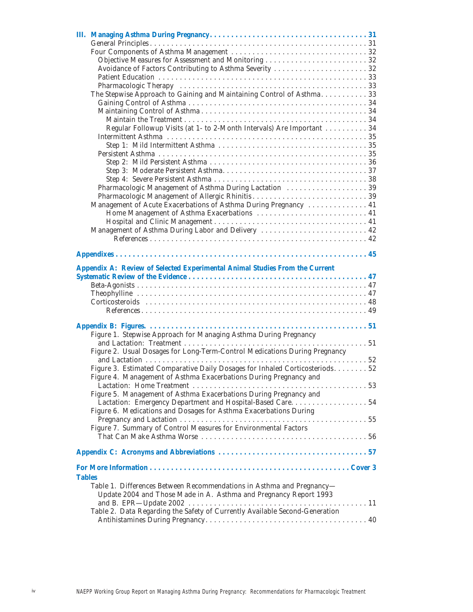|               | The Stepwise Approach to Gaining and Maintaining Control of Asthma. 33                                                                     |  |  |  |
|---------------|--------------------------------------------------------------------------------------------------------------------------------------------|--|--|--|
|               |                                                                                                                                            |  |  |  |
|               |                                                                                                                                            |  |  |  |
|               |                                                                                                                                            |  |  |  |
|               | Regular Followup Visits (at 1- to 2-Month Intervals) Are Important 34                                                                      |  |  |  |
|               |                                                                                                                                            |  |  |  |
|               |                                                                                                                                            |  |  |  |
|               |                                                                                                                                            |  |  |  |
|               |                                                                                                                                            |  |  |  |
|               |                                                                                                                                            |  |  |  |
|               |                                                                                                                                            |  |  |  |
|               | Pharmacologic Management of Asthma During Lactation  39                                                                                    |  |  |  |
|               |                                                                                                                                            |  |  |  |
|               | Management of Acute Exacerbations of Asthma During Pregnancy  41                                                                           |  |  |  |
|               | Home Management of Asthma Exacerbations  41                                                                                                |  |  |  |
|               | Management of Asthma During Labor and Delivery  42                                                                                         |  |  |  |
|               |                                                                                                                                            |  |  |  |
|               |                                                                                                                                            |  |  |  |
|               |                                                                                                                                            |  |  |  |
|               | Appendix A: Review of Selected Experimental Animal Studies From the Current                                                                |  |  |  |
|               |                                                                                                                                            |  |  |  |
|               |                                                                                                                                            |  |  |  |
|               |                                                                                                                                            |  |  |  |
|               |                                                                                                                                            |  |  |  |
|               |                                                                                                                                            |  |  |  |
|               |                                                                                                                                            |  |  |  |
|               | Figure 1. Stepwise Approach for Managing Asthma During Pregnancy                                                                           |  |  |  |
|               |                                                                                                                                            |  |  |  |
|               | Figure 2. Usual Dosages for Long-Term-Control Medications During Pregnancy                                                                 |  |  |  |
|               |                                                                                                                                            |  |  |  |
|               | Figure 3. Estimated Comparative Daily Dosages for Inhaled Corticosteriods 52                                                               |  |  |  |
|               | Figure 4. Management of Asthma Exacerbations During Pregnancy and                                                                          |  |  |  |
|               |                                                                                                                                            |  |  |  |
|               | Figure 5. Management of Asthma Exacerbations During Pregnancy and                                                                          |  |  |  |
|               | Lactation: Emergency Department and Hospital-Based Care. 54                                                                                |  |  |  |
|               | Figure 6. Medications and Dosages for Asthma Exacerbations During                                                                          |  |  |  |
|               |                                                                                                                                            |  |  |  |
|               | Figure 7. Summary of Control Measures for Environmental Factors                                                                            |  |  |  |
|               |                                                                                                                                            |  |  |  |
|               |                                                                                                                                            |  |  |  |
|               |                                                                                                                                            |  |  |  |
| <b>Tables</b> |                                                                                                                                            |  |  |  |
|               |                                                                                                                                            |  |  |  |
|               | Table 1. Differences Between Recommendations in Asthma and Pregnancy-<br>Update 2004 and Those Made in A. Asthma and Pregnancy Report 1993 |  |  |  |
|               |                                                                                                                                            |  |  |  |
|               | Table 2. Data Regarding the Safety of Currently Available Second-Generation                                                                |  |  |  |
|               |                                                                                                                                            |  |  |  |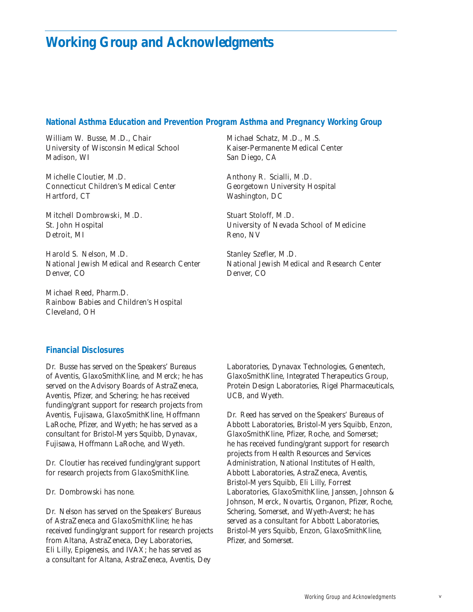## **Working Group and Acknowledgments**

#### **National Asthma Education and Prevention Program Asthma and Pregnancy Working Group**

William W. Busse, M.D., *Chair University of Wisconsin Medical School Madison, WI*

Michelle Cloutier, M.D. *Connecticut Children's Medical Center Hartford, CT*

Mitchell Dombrowski, M.D. *St. John Hospital Detroit, MI*

Harold S. Nelson, M.D. *National Jewish Medical and Research Center Denver, CO*

Michael Reed, Pharm.D. *Rainbow Babies and Children's Hospital Cleveland, OH*

Michael Schatz, M.D., M.S. *Kaiser-Permanente Medical Center San Diego, CA*

Anthony R. Scialli, M.D. *Georgetown University Hospital Washington, DC*

Stuart Stoloff, M.D. *University of Nevada School of Medicine Reno, NV*

Stanley Szefler, M.D. *National Jewish Medical and Research Center Denver, CO*

### **Financial Disclosures**

Dr. Busse has served on the Speakers' Bureaus of Aventis, GlaxoSmithKline, and Merck; he has served on the Advisory Boards of AstraZeneca, Aventis, Pfizer, and Schering; he has received funding/grant support for research projects from Aventis, Fujisawa, GlaxoSmithKline, Hoffmann LaRoche, Pfizer, and Wyeth; he has served as a consultant for Bristol-Myers Squibb, Dynavax, Fujisawa, Hoffmann LaRoche, and Wyeth.

Dr. Cloutier has received funding/grant support for research projects from GlaxoSmithKline.

Dr. Dombrowski has none.

Dr. Nelson has served on the Speakers' Bureaus of AstraZeneca and GlaxoSmithKline; he has received funding/grant support for research projects from Altana, AstraZeneca, Dey Laboratories, Eli Lilly, Epigenesis, and IVAX; he has served as a consultant for Altana, AstraZeneca, Aventis, Dey

Laboratories, Dynavax Technologies, Genentech, GlaxoSmithKline, Integrated Therapeutics Group, Protein Design Laboratories, Rigel Pharmaceuticals, UCB, and Wyeth.

Dr. Reed has served on the Speakers' Bureaus of Abbott Laboratories, Bristol-Myers Squibb, Enzon, GlaxoSmithKline, Pfizer, Roche, and Somerset; he has received funding/grant support for research projects from Health Resources and Services Administration, National Institutes of Health, Abbott Laboratories, AstraZeneca, Aventis, Bristol-Myers Squibb, Eli Lilly, Forrest Laboratories, GlaxoSmithKline, Janssen, Johnson & Johnson, Merck, Novartis, Organon, Pfizer, Roche, Schering, Somerset, and Wyeth-Averst; he has served as a consultant for Abbott Laboratories, Bristol-Myers Squibb, Enzon, GlaxoSmithKline, Pfizer, and Somerset.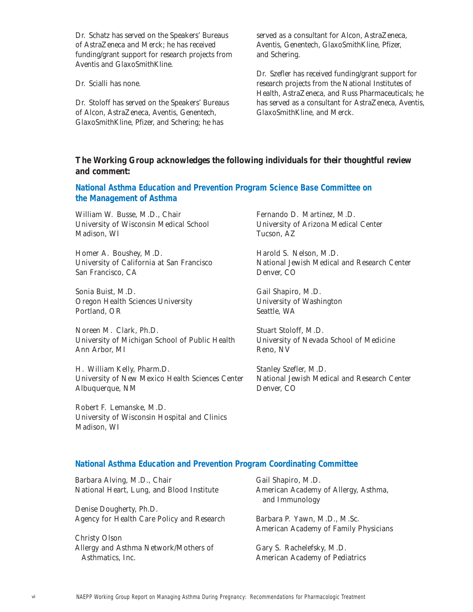Dr. Schatz has served on the Speakers' Bureaus of AstraZeneca and Merck; he has received funding/grant support for research projects from Aventis and GlaxoSmithKline.

Dr. Scialli has none.

Dr. Stoloff has served on the Speakers' Bureaus of Alcon, AstraZeneca, Aventis, Genentech, GlaxoSmithKline, Pfizer, and Schering; he has

served as a consultant for Alcon, AstraZeneca, Aventis, Genentech, GlaxoSmithKline, Pfizer, and Schering.

Dr. Szefler has received funding/grant support for research projects from the National Institutes of Health, AstraZeneca, and Russ Pharmaceuticals; he has served as a consultant for AstraZeneca, Aventis, GlaxoSmithKline, and Merck.

## **The Working Group acknowledges the following individuals for their thoughtful review and comment:**

## **National Asthma Education and Prevention Program Science Base Committee on the Management of Asthma**

William W. Busse, M.D., *Chair University of Wisconsin Medical School Madison, WI*

Homer A. Boushey, M.D. *University of California at San Francisco San Francisco, CA*

Sonia Buist, M.D. *Oregon Health Sciences University Portland, OR*

Noreen M. Clark, Ph.D. *University of Michigan School of Public Health Ann Arbor, MI*

H. William Kelly, Pharm.D. *University of New Mexico Health Sciences Center Albuquerque, NM*

Robert F. Lemanske, M.D. *University of Wisconsin Hospital and Clinics Madison, WI*

Fernando D. Martinez, M.D. *University of Arizona Medical Center Tucson, AZ*

Harold S. Nelson, M.D. *National Jewish Medical and Research Center Denver, CO*

Gail Shapiro, M.D. *University of Washington Seattle, WA*

Stuart Stoloff, M.D. *University of Nevada School of Medicine Reno, NV*

Stanley Szefler, M.D. *National Jewish Medical and Research Center Denver, CO*

## **National Asthma Education and Prevention Program Coordinating Committee**

| Barbara Alving, M.D., Chair<br>National Heart, Lung, and Blood Institute | Gail Shapiro, M.D.<br>American Academy of Allergy, Asthma,<br>and Immunology |
|--------------------------------------------------------------------------|------------------------------------------------------------------------------|
| Denise Dougherty, Ph.D.                                                  |                                                                              |
| Agency for Health Care Policy and Research                               | Barbara P. Yawn, M.D., M.Sc.<br>American Academy of Family Physicians        |
| Christy Olson                                                            |                                                                              |
| Allergy and Asthma Network/Mothers of<br>Asthmatics, Inc.                | Gary S. Rachelefsky, M.D.<br><b>American Academy of Pediatrics</b>           |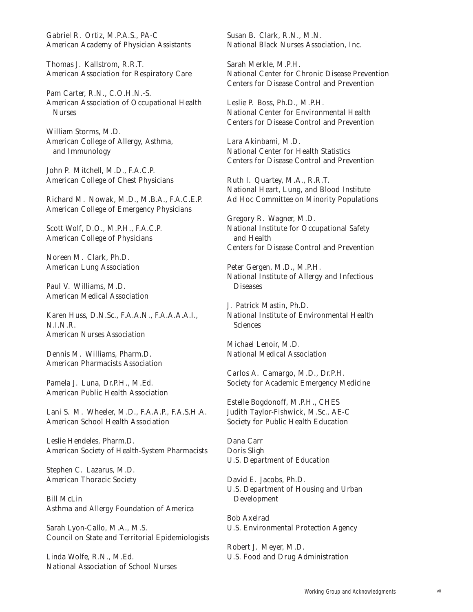Gabriel R. Ortiz, M.P.A.S., PA-C *American Academy of Physician Assistants*

Thomas J. Kallstrom, R.R.T. *American Association for Respiratory Care*

Pam Carter, R.N., C.O.H.N.-S. *American Association of Occupational Health Nurses*

William Storms, M.D. *American College of Allergy, Asthma, and Immunology*

John P. Mitchell, M.D., F.A.C.P. *American College of Chest Physicians*

Richard M. Nowak, M.D., M.B.A., F.A.C.E.P. *American College of Emergency Physicians*

Scott Wolf, D.O., M.P.H., F.A.C.P. *American College of Physicians*

Noreen M. Clark, Ph.D. *American Lung Association*

Paul V. Williams, M.D. *American Medical Association*

Karen Huss, D.N.Sc., F.A.A.N., F.A.A.A.A.I., NINR. *American Nurses Association*

Dennis M. Williams, Pharm.D. *American Pharmacists Association*

Pamela J. Luna, Dr.P.H., M.Ed. *American Public Health Association*

Lani S. M. Wheeler, M.D., F.A.A.P., F.A.S.H.A. *American School Health Association*

Leslie Hendeles, Pharm.D. *American Society of Health-System Pharmacists*

Stephen C. Lazarus, M.D. *American Thoracic Society*

Bill McLin *Asthma and Allergy Foundation of America*

Sarah Lyon-Callo, M.A., M.S. *Council on State and Territorial Epidemiologists*

Linda Wolfe, R.N., M.Ed. *National Association of School Nurses*

Susan B. Clark, R.N., M.N. *National Black Nurses Association, Inc.*

Sarah Merkle, M.P.H. *National Center for Chronic Disease Prevention Centers for Disease Control and Prevention*

Leslie P. Boss, Ph.D., M.P.H. *National Center for Environmental Health Centers for Disease Control and Prevention*

Lara Akinbami, M.D. *National Center for Health Statistics Centers for Disease Control and Prevention*

Ruth I. Quartey, M.A., R.R.T. *National Heart, Lung, and Blood Institute Ad Hoc Committee on Minority Populations*

Gregory R. Wagner, M.D. *National Institute for Occupational Safety and Health Centers for Disease Control and Prevention*

Peter Gergen, M.D., M.P.H. *National Institute of Allergy and Infectious Diseases*

J. Patrick Mastin, Ph.D. *National Institute of Environmental Health Science*s

Michael Lenoir, M.D. *National Medical Association*

Carlos A. Camargo, M.D., Dr.P.H. *Society for Academic Emergency Medicine*

Estelle Bogdonoff, M.P.H., CHES Judith Taylor-Fishwick, M.Sc., AE-C *Society for Public Health Education*

Dana Carr Doris Sligh *U.S. Department of Education*

David E. Jacobs, Ph.D. *U.S. Department of Housing and Urban Development*

Bob Axelrad *U.S. Environmental Protection Agency*

Robert J. Meyer, M.D. *U.S. Food and Drug Administration*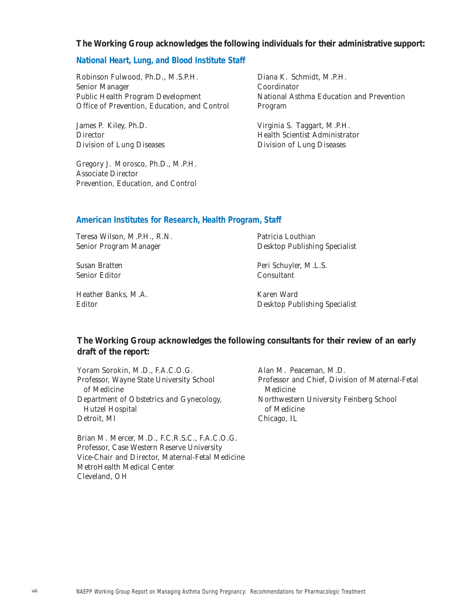#### **The Working Group acknowledges the following individuals for their administrative support:**

#### **National Heart, Lung, and Blood Institute Staff**

Robinson Fulwood, Ph.D., M.S.P.H. *Senior Manager Public Health Program Development Office of Prevention, Education, and Control*

James P. Kiley, Ph.D. *Director Division of Lung Diseases*

Gregory J. Morosco, Ph.D., M.P.H. *Associate Director Prevention, Education, and Control* Diana K. Schmidt, M.P.H. *Coordinator National Asthma Education and Prevention Program*

Virginia S. Taggart, M.P.H. *Health Scientist Administrator Division of Lung Diseases*

#### **American Institutes for Research, Health Program, Staff**

Teresa Wilson, M.P.H., R.N. *Senior Program Manager*

Patricia Louthian *Desktop Publishing Specialist*

Susan Bratten *Senior Editor* Peri Schuyler, M.L.S. *Consultant*

Heather Banks, M.A. *Editor*

Karen Ward *Desktop Publishing Specialist*

## **The Working Group acknowledges the following consultants for their review of an early draft of the report:**

Yoram Sorokin, M.D., F.A.C.O.G. *Professor, Wayne State University School of Medicine Department of Obstetrics and Gynecology, Hutzel Hospital Detroit, MI*

Brian M. Mercer, M.D., F.C.R.S.C., F.A.C.O.G. *Professor, Case Western Reserve University Vice-Chair and Director, Maternal-Fetal Medicine MetroHealth Medical Center Cleveland, OH*

Alan M. Peaceman, M.D. *Professor and Chief, Division of Maternal-Fetal Medicine Northwestern University Feinberg School of Medicine Chicago, IL*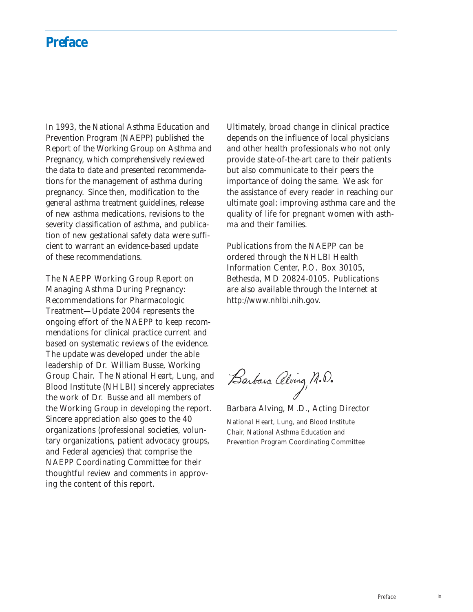## **Preface**

In 1993, the National Asthma Education and Prevention Program (NAEPP) published the Report of the Working Group on Asthma and Pregnancy, which comprehensively reviewed the data to date and presented recommendations for the management of asthma during pregnancy. Since then, modification to the general asthma treatment guidelines, release of new asthma medications, revisions to the severity classification of asthma, and publication of new gestational safety data were sufficient to warrant an evidence-based update of these recommendations.

The *NAEPP Working Group Report on Managing Asthma During Pregnancy: Recommendations for Pharmacologic Treatment—Update 2004* represents the ongoing effort of the NAEPP to keep recommendations for clinical practice current and based on systematic reviews of the evidence. The update was developed under the able leadership of Dr. William Busse, Working Group Chair. The National Heart, Lung, and Blood Institute (NHLBI) sincerely appreciates the work of Dr. Busse and all members of the Working Group in developing the report. Sincere appreciation also goes to the 40 organizations (professional societies, voluntary organizations, patient advocacy groups, and Federal agencies) that comprise the NAEPP Coordinating Committee for their thoughtful review and comments in approving the content of this report.

Ultimately, broad change in clinical practice depends on the influence of local physicians and other health professionals who not only provide state-of-the-art care to their patients but also communicate to their peers the importance of doing the same. We ask for the assistance of every reader in reaching our ultimate goal: improving asthma care and the quality of life for pregnant women with asthma and their families.

Publications from the NAEPP can be ordered through the NHLBI Health Information Center, P.O. Box 30105, Bethesda, MD 20824-0105. Publications are also available through the Internet at http://www.nhlbi.nih.gov.

Barbara Alving, M.D.

Barbara Alving, M.D., Acting Director

National Heart, Lung, and Blood Institute Chair, National Asthma Education and Prevention Program Coordinating Committee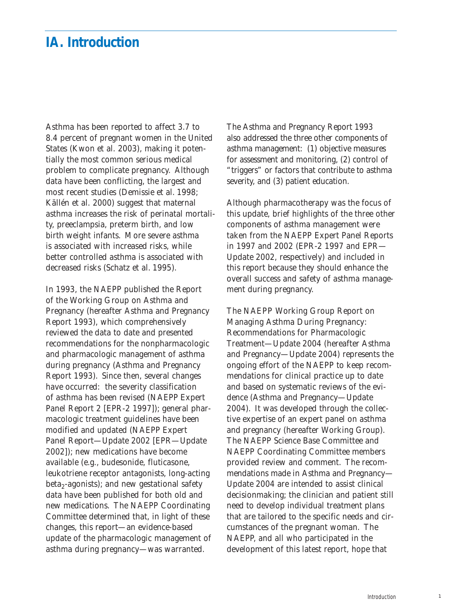## **IA. Introduction**

Asthma has been reported to affect 3.7 to 8.4 percent of pregnant women in the United States (Kwon et al. 2003), making it potentially the most common serious medical problem to complicate pregnancy. Although data have been conflicting, the largest and most recent studies (Demissie et al. 1998; Källén et al. 2000) suggest that maternal asthma increases the risk of perinatal mortality, preeclampsia, preterm birth, and low birth weight infants. More severe asthma is associated with increased risks, while better controlled asthma is associated with decreased risks (Schatz et al. 1995).

In 1993, the NAEPP published the *Report of the Working Group on Asthma and Pregnancy* (hereafter Asthma and Pregnancy Report 1993), which comprehensively reviewed the data to date and presented recommendations for the nonpharmacologic and pharmacologic management of asthma during pregnancy (Asthma and Pregnancy Report 1993). Since then, several changes have occurred: the severity classification of asthma has been revised (NAEPP Expert Panel Report 2 [EPR-2 1997]); general pharmacologic treatment guidelines have been modified and updated (NAEPP Expert Panel Report—Update 2002 [EPR—Update 2002]); new medications have become available (e.g., budesonide, fluticasone, leukotriene receptor antagonists, long-acting  $beta_2$ -agonists); and new gestational safety data have been published for both old and new medications. The NAEPP Coordinating Committee determined that, in light of these changes, this report—an evidence-based update of the pharmacologic management of asthma during pregnancy—was warranted.

The Asthma and Pregnancy Report 1993 also addressed the three other components of asthma management: (1) objective measures for assessment and monitoring, (2) control of "triggers" or factors that contribute to asthma severity, and (3) patient education.

Although pharmacotherapy was the focus of this update, brief highlights of the three other components of asthma management were taken from the NAEPP Expert Panel Reports in 1997 and 2002 (EPR-2 1997 and EPR— Update 2002, respectively) and included in this report because they should enhance the overall success and safety of asthma management during pregnancy.

The *NAEPP Working Group Report on Managing Asthma During Pregnancy: Recommendations for Pharmacologic Treatment—Update 2004* (hereafter Asthma and Pregnancy—Update 2004) represents the ongoing effort of the NAEPP to keep recommendations for clinical practice up to date and based on systematic reviews of the evidence (Asthma and Pregnancy—Update 2004). It was developed through the collective expertise of an expert panel on asthma and pregnancy (hereafter Working Group). The NAEPP Science Base Committee and NAEPP Coordinating Committee members provided review and comment. The recommendations made in Asthma and Pregnancy— Update 2004 are intended to *assist* clinical decisionmaking; the clinician and patient still need to develop individual treatment plans that are tailored to the specific needs and circumstances of the pregnant woman. The NAEPP, and all who participated in the development of this latest report, hope that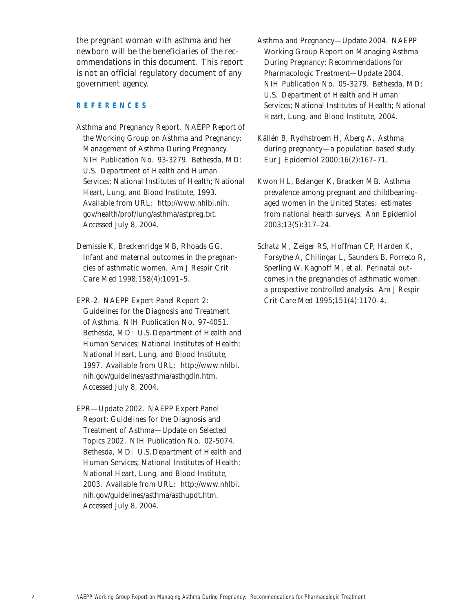the pregnant woman with asthma and her newborn will be the beneficiaries of the recommendations in this document. This report is not an official regulatory document of any government agency.

#### **REFERENCES**

- Asthma and Pregnancy Report. NAEPP Report of the Working Group on Asthma and Pregnancy: Management of Asthma During Pregnancy. NIH Publication No. 93-3279. Bethesda, MD: U.S. Department of Health and Human Services; National Institutes of Health; National Heart, Lung, and Blood Institute, 1993. Available from URL: http://www.nhlbi.nih. gov/health/prof/lung/asthma/astpreg.txt. Accessed July 8, 2004.
- Demissie K, Breckenridge MB, Rhoads GG. Infant and maternal outcomes in the pregnancies of asthmatic women. *Am J Respir Crit Care Med* 1998;158(4):1091–5.
- EPR-2. NAEPP Expert Panel Report 2: Guidelines for the Diagnosis and Treatment of Asthma. NIH Publication No. 97-4051. Bethesda, MD: U.S.Department of Health and Human Services; National Institutes of Health; National Heart, Lung, and Blood Institute, 1997. Available from URL: http://www.nhlbi. nih.gov/guidelines/asthma/asthgdln.htm. Accessed July 8, 2004.

EPR—Update 2002. NAEPP Expert Panel Report: Guidelines for the Diagnosis and Treatment of Asthma—Update on Selected Topics 2002. NIH Publication No. 02-5074. Bethesda, MD: U.S.Department of Health and Human Services; National Institutes of Health; National Heart, Lung, and Blood Institute, 2003. Available from URL: http://www.nhlbi. nih.gov/guidelines/asthma/asthupdt.htm. Accessed July 8, 2004.

- Asthma and Pregnancy—Update 2004. NAEPP Working Group Report on Managing Asthma During Pregnancy: Recommendations for Pharmacologic Treatment—Update 2004. NIH Publication No. 05-3279. Bethesda, MD: U.S. Department of Health and Human Services; National Institutes of Health; National Heart, Lung, and Blood Institute, 2004.
- Källén B, Rydhstroem H, Åberg A. Asthma during pregnancy—a population based study. *Eur J Epidemiol* 2000;16(2):167–71.
- Kwon HL, Belanger K, Bracken MB. Asthma prevalence among pregnant and childbearingaged women in the United States: estimates from national health surveys. *Ann Epidemiol* 2003;13(5):317–24.
- Schatz M, Zeiger RS, Hoffman CP, Harden K, Forsythe A, Chilingar L, Saunders B, Porreco R, Sperling W, Kagnoff M, et al. Perinatal outcomes in the pregnancies of asthmatic women: a prospective controlled analysis. *Am J Respir Crit Care Med* 1995;151(4):1170–4.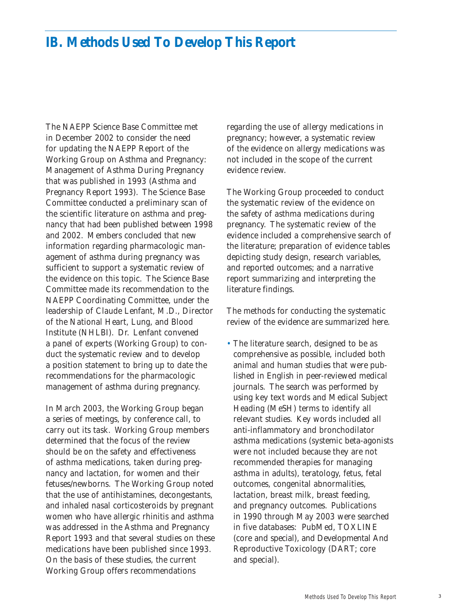## **IB. Methods Used To Develop This Report**

The NAEPP Science Base Committee met in December 2002 to consider the need for updating the NAEPP Report of the Working Group on Asthma and Pregnancy: Management of Asthma During Pregnancy that was published in 1993 (Asthma and Pregnancy Report 1993). The Science Base Committee conducted a preliminary scan of the scientific literature on asthma and pregnancy that had been published between 1998 and 2002. Members concluded that new information regarding pharmacologic management of asthma during pregnancy was sufficient to support a systematic review of the evidence on this topic. The Science Base Committee made its recommendation to the NAEPP Coordinating Committee, under the leadership of Claude Lenfant, M.D., Director of the National Heart, Lung, and Blood Institute (NHLBI). Dr. Lenfant convened a panel of experts (Working Group) to conduct the systematic review and to develop a position statement to bring up to date the recommendations for the pharmacologic management of asthma during pregnancy.

In March 2003, the Working Group began a series of meetings, by conference call, to carry out its task. Working Group members determined that the focus of the review should be on the safety and effectiveness of asthma medications, taken during pregnancy and lactation, for women and their fetuses/newborns. The Working Group noted that the use of antihistamines, decongestants, and inhaled nasal corticosteroids by pregnant women who have allergic rhinitis and asthma was addressed in the Asthma and Pregnancy Report 1993 and that several studies on these medications have been published since 1993. On the basis of these studies, the current Working Group offers recommendations

regarding the use of allergy medications in pregnancy; however, a systematic review of the evidence on allergy medications was not included in the scope of the current evidence review.

The Working Group proceeded to conduct the systematic review of the evidence on the safety of asthma medications during pregnancy. The systematic review of the evidence included a comprehensive search of the literature; preparation of evidence tables depicting study design, research variables, and reported outcomes; and a narrative report summarizing and interpreting the literature findings.

The methods for conducting the systematic review of the evidence are summarized here.

• The literature search, designed to be as comprehensive as possible, included both animal and human studies that were published in English in peer-reviewed medical journals. The search was performed by using key text words and Medical Subject Heading (MeSH) terms to identify all relevant studies. Key words included all anti-inflammatory and bronchodilator asthma medications (systemic beta-agonists were not included because they are not recommended therapies for managing asthma in adults), teratology, fetus, fetal outcomes, congenital abnormalities, lactation, breast milk, breast feeding, and pregnancy outcomes. Publications in 1990 through May 2003 were searched in five databases: PubMed, TOXLINE (core and special), and Developmental And Reproductive Toxicology (DART; core and special).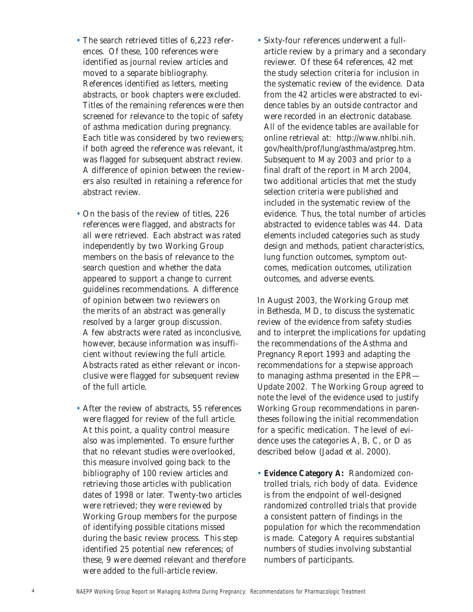- The search retrieved titles of 6,223 references. Of these, 100 references were identified as journal review articles and moved to a separate bibliography. References identified as letters, meeting abstracts, or book chapters were excluded. Titles of the remaining references were then screened for relevance to the topic of safety of asthma medication during pregnancy. Each title was considered by two reviewers; if both agreed the reference was relevant, it was flagged for subsequent abstract review. A difference of opinion between the reviewers also resulted in retaining a reference for abstract review.
- On the basis of the review of titles, 226 references were flagged, and abstracts for all were retrieved. Each abstract was rated independently by two Working Group members on the basis of relevance to the search question and whether the data appeared to support a change to current guidelines recommendations. A difference of opinion between two reviewers on the merits of an abstract was generally resolved by a larger group discussion. A few abstracts were rated as inconclusive, however, because information was insufficient without reviewing the full article. Abstracts rated as either relevant or inconclusive were flagged for subsequent review of the full article.
- After the review of abstracts, 55 references were flagged for review of the full article. At this point, a quality control measure also was implemented. To ensure further that no relevant studies were overlooked, this measure involved going back to the bibliography of 100 review articles and retrieving those articles with publication dates of 1998 or later. Twenty-two articles were retrieved; they were reviewed by Working Group members for the purpose of identifying possible citations missed during the basic review process. This step identified 25 potential new references; of these, 9 were deemed relevant and therefore were added to the full-article review.

• Sixty-four references underwent a fullarticle review by a primary and a secondary reviewer. Of these 64 references, 42 met the study selection criteria for inclusion in the systematic review of the evidence. Data from the 42 articles were abstracted to evidence tables by an outside contractor and were recorded in an electronic database. *All of the evidence tables are available for online retrieval at:* http://www.nhlbi.nih. gov/health/prof/lung/asthma/astpreg.htm. Subsequent to May 2003 and prior to a final draft of the report in March 2004, two additional articles that met the study selection criteria were published and included in the systematic review of the evidence. Thus, the total number of articles abstracted to evidence tables was 44. Data elements included categories such as study design and methods, patient characteristics, lung function outcomes, symptom outcomes, medication outcomes, utilization outcomes, and adverse events.

In August 2003, the Working Group met in Bethesda, MD, to discuss the systematic review of the evidence from safety studies and to interpret the implications for updating the recommendations of the Asthma and Pregnancy Report 1993 and adapting the recommendations for a stepwise approach to managing asthma presented in the EPR— Update 2002. The Working Group agreed to note the level of the evidence used to justify Working Group recommendations in parentheses following the initial recommendation for a specific medication. The level of evidence uses the categories A, B, C, or D as described below (Jadad et al. 2000).

• **Evidence Category A:** Randomized controlled trials, rich body of data. Evidence is from the endpoint of well-designed randomized controlled trials that provide a consistent pattern of findings in the population for which the recommendation is made. Category A requires substantial numbers of studies involving substantial numbers of participants.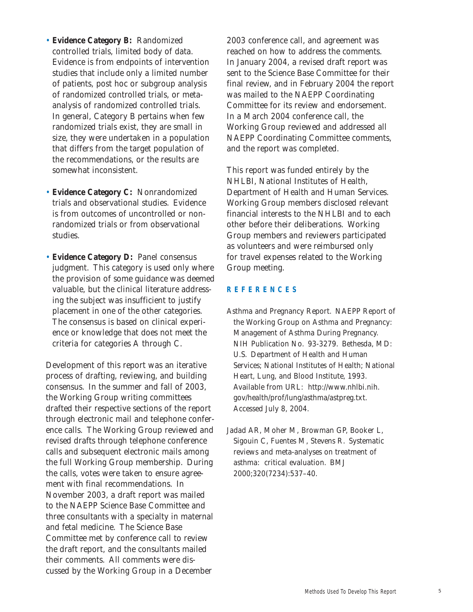- **Evidence Category B:** Randomized controlled trials, limited body of data. Evidence is from endpoints of intervention studies that include only a limited number of patients, post hoc or subgroup analysis of randomized controlled trials, or metaanalysis of randomized controlled trials. In general, Category B pertains when few randomized trials exist, they are small in size, they were undertaken in a population that differs from the target population of the recommendations, or the results are somewhat inconsistent.
- **Evidence Category C:** Nonrandomized trials and observational studies. Evidence is from outcomes of uncontrolled or nonrandomized trials or from observational studies.
- **Evidence Category D:** Panel consensus judgment. This category is used only where the provision of some guidance was deemed valuable, but the clinical literature addressing the subject was insufficient to justify placement in one of the other categories. The consensus is based on clinical experience or knowledge that does not meet the criteria for categories A through C.

Development of this report was an iterative process of drafting, reviewing, and building consensus. In the summer and fall of 2003, the Working Group writing committees drafted their respective sections of the report through electronic mail and telephone conference calls. The Working Group reviewed and revised drafts through telephone conference calls and subsequent electronic mails among the full Working Group membership. During the calls, votes were taken to ensure agreement with final recommendations. In November 2003, a draft report was mailed to the NAEPP Science Base Committee and three consultants with a specialty in maternal and fetal medicine. The Science Base Committee met by conference call to review the draft report, and the consultants mailed their comments. All comments were discussed by the Working Group in a December

2003 conference call, and agreement was reached on how to address the comments. In January 2004, a revised draft report was sent to the Science Base Committee for their final review, and in February 2004 the report was mailed to the NAEPP Coordinating Committee for its review and endorsement. In a March 2004 conference call, the Working Group reviewed and addressed all NAEPP Coordinating Committee comments, and the report was completed.

This report was funded entirely by the NHLBI, National Institutes of Health, Department of Health and Human Services. Working Group members disclosed relevant financial interests to the NHLBI and to each other before their deliberations. Working Group members and reviewers participated as volunteers and were reimbursed only for travel expenses related to the Working Group meeting.

#### **REFERENCES**

Asthma and Pregnancy Report. NAEPP Report of the Working Group on Asthma and Pregnancy: Management of Asthma During Pregnancy. NIH Publication No. 93-3279. Bethesda, MD: U.S. Department of Health and Human Services; National Institutes of Health; National Heart, Lung, and Blood Institute, 1993. Available from URL: http://www.nhlbi.nih. gov/health/prof/lung/asthma/astpreg.txt. Accessed July 8, 2004.

Jadad AR, Moher M, Browman GP, Booker L, Sigouin C, Fuentes M, Stevens R. Systematic reviews and meta-analyses on treatment of asthma: critical evaluation. *BMJ* 2000;320(7234):537–40.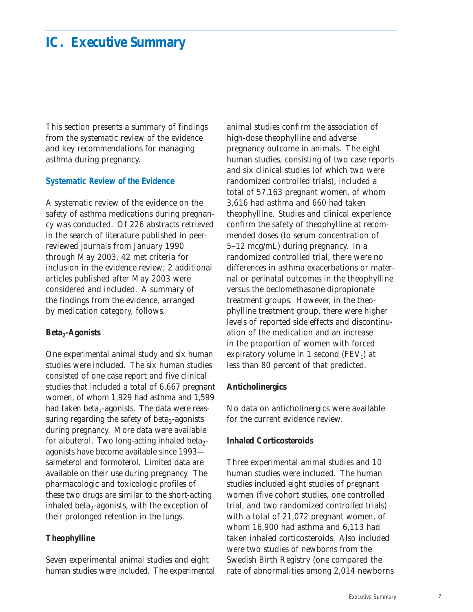## **IC. Executive Summary**

This section presents a summary of findings from the systematic review of the evidence and key recommendations for managing asthma during pregnancy.

#### **Systematic Review of the Evidence**

A systematic review of the evidence on the safety of asthma medications during pregnancy was conducted. Of 226 abstracts retrieved in the search of literature published in peerreviewed journals from January 1990 through May 2003, 42 met criteria for inclusion in the evidence review; 2 additional articles published after May 2003 were considered and included. A summary of the findings from the evidence, arranged by medication category, follows.

#### Beta<sub>2</sub>-Agonists

One experimental animal study and six human studies were included. The six human studies consisted of one case report and five clinical studies that included a total of 6,667 pregnant women, of whom 1,929 had asthma and 1,599 had taken beta<sub>2</sub>-agonists. The data were reassuring regarding the safety of beta $_2$ -agonists during pregnancy. More data were available for albuterol. Two long-acting inhaled beta<sub>2</sub>agonists have become available since 1993 salmeterol and formoterol. Limited data are available on their use during pregnancy. The pharmacologic and toxicologic profiles of these two drugs are similar to the short-acting inhaled beta $_2$ -agonists, with the exception of their prolonged retention in the lungs.

### **Theophylline**

Seven experimental animal studies and eight human studies were included. The experimental

animal studies confirm the association of high-dose theophylline and adverse pregnancy outcome in animals. The eight human studies, consisting of two case reports and six clinical studies (of which two were randomized controlled trials), included a total of 57,163 pregnant women, of whom 3,616 had asthma and 660 had taken theophylline. Studies and clinical experience confirm the safety of theophylline at recommended doses (to serum concentration of 5–12 mcg/mL) during pregnancy. In a randomized controlled trial, there were no differences in asthma exacerbations or maternal or perinatal outcomes in the theophylline versus the beclomethasone dipropionate treatment groups. However, in the theophylline treatment group, there were higher levels of reported side effects and discontinuation of the medication and an increase in the proportion of women with forced expiratory volume in 1 second  $(FEV_1)$  at less than 80 percent of that predicted.

#### **Anticholinergics**

No data on anticholinergics were available for the current evidence review.

#### **Inhaled Corticosteroids**

Three experimental animal studies and 10 human studies were included. The human studies included eight studies of pregnant women (five cohort studies, one controlled trial, and two randomized controlled trials) with a total of 21,072 pregnant women, of whom 16,900 had asthma and 6,113 had taken inhaled corticosteroids. Also included were two studies of newborns from the Swedish Birth Registry (one compared the rate of abnormalities among 2,014 newborns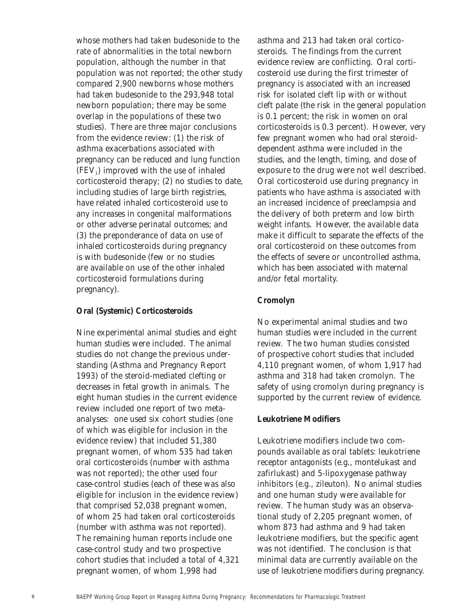whose mothers had taken budesonide to the rate of abnormalities in the total newborn population, although the number in that population was not reported; the other study compared 2,900 newborns whose mothers had taken budesonide to the 293,948 total newborn population; there may be some overlap in the populations of these two studies). There are three major conclusions from the evidence review: (1) the risk of asthma exacerbations associated with pregnancy can be reduced and lung function  $(FEV<sub>1</sub>)$  improved with the use of inhaled corticosteroid therapy; (2) no studies to date, including studies of large birth registries, have related inhaled corticosteroid use to any increases in congenital malformations or other adverse perinatal outcomes; and (3) the preponderance of data on use of inhaled corticosteroids during pregnancy is with budesonide (few or no studies are available on use of the other inhaled corticosteroid formulations during pregnancy).

#### **Oral (Systemic) Corticosteroids**

Nine experimental animal studies and eight human studies were included. The animal studies do not change the previous understanding (Asthma and Pregnancy Report 1993) of the steroid-mediated clefting or decreases in fetal growth in animals. The eight human studies in the current evidence review included one report of two metaanalyses: one used six cohort studies (one of which was eligible for inclusion in the evidence review) that included 51,380 pregnant women, of whom 535 had taken oral corticosteroids (number with asthma was not reported); the other used four case-control studies (each of these was also eligible for inclusion in the evidence review) that comprised 52,038 pregnant women, of whom 25 had taken oral corticosteroids (number with asthma was not reported). The remaining human reports include one case-control study and two prospective cohort studies that included a total of 4,321 pregnant women, of whom 1,998 had

asthma and 213 had taken oral corticosteroids. The findings from the current evidence review are conflicting. Oral corticosteroid use during the first trimester of pregnancy is associated with an increased risk for isolated cleft lip with or without cleft palate (the risk in the general population is 0.1 percent; the risk in women on oral corticosteroids is 0.3 percent). However, very few pregnant women who had oral steroiddependent asthma were included in the studies, and the length, timing, and dose of exposure to the drug were not well described. Oral corticosteroid use during pregnancy in patients who have asthma is associated with an increased incidence of preeclampsia and the delivery of both preterm and low birth weight infants. However, the available data make it difficult to separate the effects of the oral corticosteroid on these outcomes from the effects of severe or uncontrolled asthma, which has been associated with maternal and/or fetal mortality.

#### **Cromolyn**

No experimental animal studies and two human studies were included in the current review. The two human studies consisted of prospective cohort studies that included 4,110 pregnant women, of whom 1,917 had asthma and 318 had taken cromolyn. The safety of using cromolyn during pregnancy is supported by the current review of evidence.

#### **Leukotriene Modifiers**

Leukotriene modifiers include two compounds available as oral tablets: leukotriene receptor antagonists (e.g., montelukast and zafirlukast) and 5-lipoxygenase pathway inhibitors (e.g., zileuton). No animal studies and one human study were available for review. The human study was an observational study of 2,205 pregnant women, of whom 873 had asthma and 9 had taken leukotriene modifiers, but the specific agent was not identified. The conclusion is that minimal data are currently available on the use of leukotriene modifiers during pregnancy.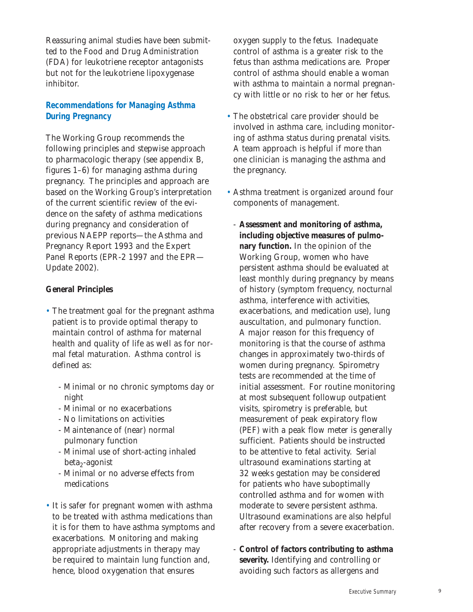Reassuring animal studies have been submitted to the Food and Drug Administration (FDA) for leukotriene receptor antagonists but not for the leukotriene lipoxygenase inhibitor.

## **Recommendations for Managing Asthma During Pregnancy**

The Working Group recommends the following principles and stepwise approach to pharmacologic therapy (see appendix B, figures 1–6) for managing asthma during pregnancy. The principles and approach are based on the Working Group's interpretation of the current scientific review of the evidence on the safety of asthma medications during pregnancy and consideration of previous NAEPP reports—the Asthma and Pregnancy Report 1993 and the Expert Panel Reports (EPR-2 1997 and the EPR— Update 2002).

## **General Principles**

- The treatment goal for the pregnant asthma patient is to provide optimal therapy to maintain control of asthma for maternal health and quality of life as well as for normal fetal maturation. Asthma control is defined as:
	- Minimal or no chronic symptoms day or night
	- Minimal or no exacerbations
	- No limitations on activities
	- Maintenance of (near) normal pulmonary function
	- Minimal use of short-acting inhaled  $beta_2$ -agonist
	- Minimal or no adverse effects from medications
- It is safer for pregnant women with asthma to be treated with asthma medications than it is for them to have asthma symptoms and exacerbations. Monitoring and making appropriate adjustments in therapy may be required to maintain lung function and, hence, blood oxygenation that ensures

oxygen supply to the fetus. Inadequate control of asthma is a greater risk to the fetus than asthma medications are. Proper control of asthma should enable a woman with asthma to maintain a normal pregnancy with little or no risk to her or her fetus.

- The obstetrical care provider should be involved in asthma care, including monitoring of asthma status during prenatal visits. A team approach is helpful if more than one clinician is managing the asthma and the pregnancy.
- Asthma treatment is organized around four components of management.
	- **Assessment and monitoring of asthma, including objective measures of pulmonary function.** In the opinion of the Working Group, women who have persistent asthma should be evaluated at least monthly during pregnancy by means of history (symptom frequency, nocturnal asthma, interference with activities, exacerbations, and medication use), lung auscultation, and pulmonary function. A major reason for this frequency of monitoring is that the course of asthma changes in approximately two-thirds of women during pregnancy. Spirometry tests are recommended at the time of initial assessment. For routine monitoring at most subsequent followup outpatient visits, spirometry is preferable, but measurement of peak expiratory flow (PEF) with a peak flow meter is generally sufficient. Patients should be instructed to be attentive to fetal activity. Serial ultrasound examinations starting at 32 weeks gestation may be considered for patients who have suboptimally controlled asthma and for women with moderate to severe persistent asthma. Ultrasound examinations are also helpful after recovery from a severe exacerbation.
	- **Control of factors contributing to asthma severity.** Identifying and controlling or avoiding such factors as allergens and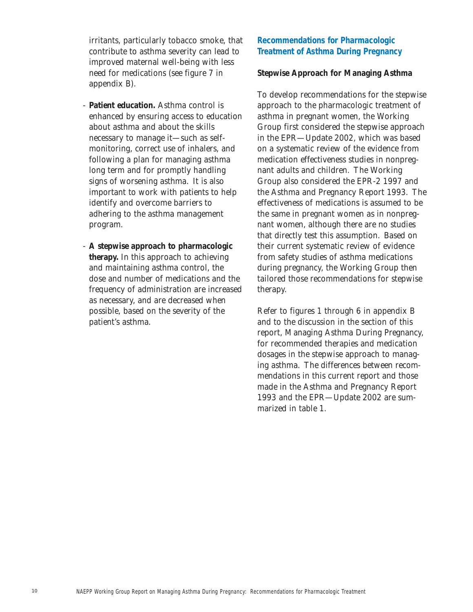irritants, particularly tobacco smoke, that contribute to asthma severity can lead to improved maternal well-being with less need for medications (see figure 7 in appendix B).

- **Patient education.** Asthma control is enhanced by ensuring access to education about asthma and about the skills necessary to manage it—such as selfmonitoring, correct use of inhalers, and following a plan for managing asthma long term and for promptly handling signs of worsening asthma. It is also important to work with patients to help identify and overcome barriers to adhering to the asthma management program.
- **A stepwise approach to pharmacologic therapy.** In this approach to achieving and maintaining asthma control, the dose and number of medications and the frequency of administration are increased as necessary, and are decreased when possible, based on the severity of the patient's asthma.

## **Recommendations for Pharmacologic Treatment of Asthma During Pregnancy**

### **Stepwise Approach for Managing Asthma**

To develop recommendations for the stepwise approach to the pharmacologic treatment of asthma in pregnant women, the Working Group first considered the stepwise approach in the EPR—Update 2002, which was based on a systematic review of the evidence from medication effectiveness studies in nonpregnant adults and children. The Working Group also considered the EPR-2 1997 and the Asthma and Pregnancy Report 1993. The effectiveness of medications is assumed to be the same in pregnant women as in nonpregnant women, although there are no studies that directly test this assumption. Based on their current systematic review of evidence from safety studies of asthma medications during pregnancy, the Working Group then tailored those recommendations for stepwise therapy.

Refer to figures 1 through 6 in appendix B and to the discussion in the section of this report, Managing Asthma During Pregnancy, for recommended therapies and medication dosages in the stepwise approach to managing asthma. The differences between recommendations in this current report and those made in the Asthma and Pregnancy Report 1993 and the EPR—Update 2002 are summarized in table 1.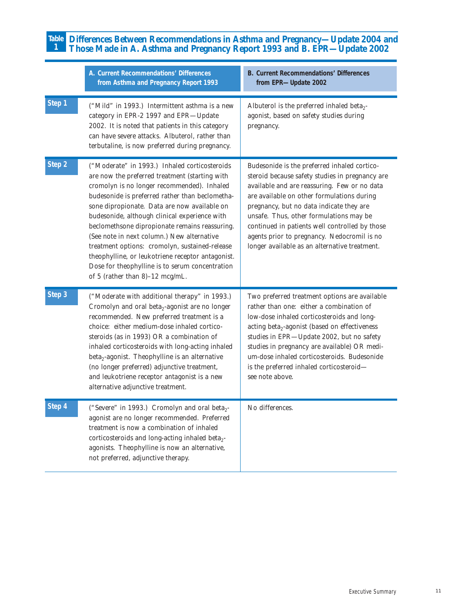#### **Differences Between Recommendations in Asthma and Pregnancy—Update 2004 and Those Made in A. Asthma and Pregnancy Report 1993 and B. EPR—Update 2002 Table 1**

|        | A. Current Recommendations' Differences<br>from Asthma and Pregnancy Report 1993                                                                                                                                                                                                                                                                                                                                                                                                                                                                                                                | <b>B. Current Recommendations' Differences</b><br>from EPR-Update 2002                                                                                                                                                                                                                                                                                                                                                                 |
|--------|-------------------------------------------------------------------------------------------------------------------------------------------------------------------------------------------------------------------------------------------------------------------------------------------------------------------------------------------------------------------------------------------------------------------------------------------------------------------------------------------------------------------------------------------------------------------------------------------------|----------------------------------------------------------------------------------------------------------------------------------------------------------------------------------------------------------------------------------------------------------------------------------------------------------------------------------------------------------------------------------------------------------------------------------------|
| Step 1 | ("Mild" in 1993.) Intermittent asthma is a new<br>category in EPR-2 1997 and EPR-Update<br>2002. It is noted that patients in this category<br>can have severe attacks. Albuterol, rather than<br>terbutaline, is now preferred during pregnancy.                                                                                                                                                                                                                                                                                                                                               | Albuterol is the preferred inhaled beta <sub>2</sub> -<br>agonist, based on safety studies during<br>pregnancy.                                                                                                                                                                                                                                                                                                                        |
| Step 2 | ("Moderate" in 1993.) Inhaled corticosteroids<br>are now the preferred treatment (starting with<br>cromolyn is no longer recommended). Inhaled<br>budesonide is preferred rather than beclometha-<br>sone dipropionate. Data are now available on<br>budesonide, although clinical experience with<br>beclomethsone dipropionate remains reassuring.<br>(See note in next column.) New alternative<br>treatment options: cromolyn, sustained-release<br>theophylline, or leukotriene receptor antagonist.<br>Dose for theophylline is to serum concentration<br>of 5 (rather than 8)-12 mcg/mL. | Budesonide is the preferred inhaled cortico-<br>steroid because safety studies in pregnancy are<br>available and are reassuring. Few or no data<br>are available on other formulations during<br>pregnancy, but no data indicate they are<br>unsafe. Thus, other formulations may be<br>continued in patients well controlled by those<br>agents prior to pregnancy. Nedocromil is no<br>longer available as an alternative treatment. |
| Step 3 | ("Moderate with additional therapy" in 1993.)<br>Cromolyn and oral beta <sub>2</sub> -agonist are no longer<br>recommended. New preferred treatment is a<br>choice: either medium-dose inhaled cortico-<br>steroids (as in 1993) OR a combination of<br>inhaled corticosteroids with long-acting inhaled<br>beta <sub>2</sub> -agonist. Theophylline is an alternative<br>(no longer preferred) adjunctive treatment,<br>and leukotriene receptor antagonist is a new<br>alternative adjunctive treatment.                                                                                      | Two preferred treatment options are available<br>rather than one: either a combination of<br>low-dose inhaled corticosteroids and long-<br>acting beta <sub>2</sub> -agonist (based on effectiveness<br>studies in EPR-Update 2002, but no safety<br>studies in pregnancy are available) OR medi-<br>um-dose inhaled corticosteroids. Budesonide<br>is the preferred inhaled corticosteroid-<br>see note above.                        |
| Step 4 | ("Severe" in 1993.) Cromolyn and oral beta <sub>2</sub><br>agonist are no longer recommended. Preferred<br>treatment is now a combination of inhaled<br>corticosteroids and long-acting inhaled beta <sub>2</sub> -<br>agonists. Theophylline is now an alternative,<br>not preferred, adjunctive therapy.                                                                                                                                                                                                                                                                                      | No differences.                                                                                                                                                                                                                                                                                                                                                                                                                        |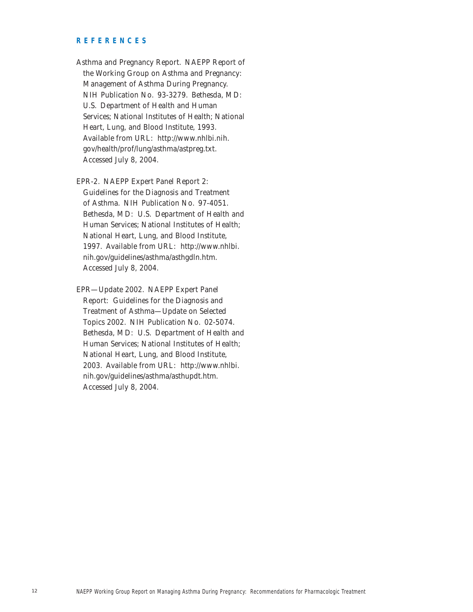#### **REFERENCES**

Asthma and Pregnancy Report. NAEPP Report of the Working Group on Asthma and Pregnancy: Management of Asthma During Pregnancy. NIH Publication No. 93-3279. Bethesda, MD: U.S. Department of Health and Human Services; National Institutes of Health; National Heart, Lung, and Blood Institute, 1993. Available from URL: http://www.nhlbi.nih. gov/health/prof/lung/asthma/astpreg.txt. Accessed July 8, 2004.

EPR-2. NAEPP Expert Panel Report 2: Guidelines for the Diagnosis and Treatment of Asthma. NIH Publication No. 97-4051. Bethesda, MD: U.S. Department of Health and Human Services; National Institutes of Health; National Heart, Lung, and Blood Institute, 1997. Available from URL: http://www.nhlbi. nih.gov/guidelines/asthma/asthgdln.htm. Accessed July 8, 2004.

EPR—Update 2002. NAEPP Expert Panel Report: Guidelines for the Diagnosis and Treatment of Asthma—Update on Selected Topics 2002. NIH Publication No. 02-5074. Bethesda, MD: U.S. Department of Health and Human Services; National Institutes of Health; National Heart, Lung, and Blood Institute, 2003. Available from URL: http://www.nhlbi. nih.gov/guidelines/asthma/asthupdt.htm. Accessed July 8, 2004.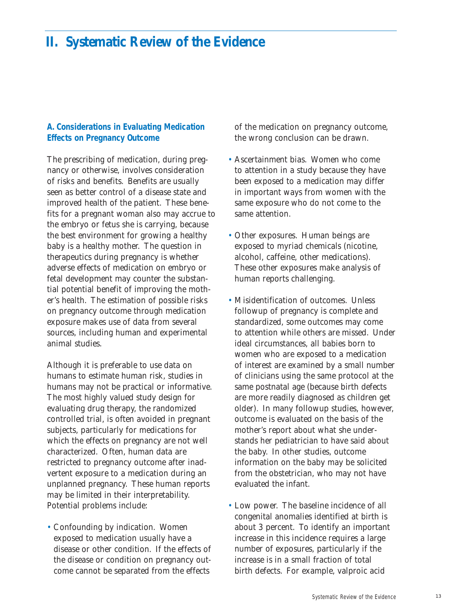## **II. Systematic Review of the Evidence**

## **A. Considerations in Evaluating Medication Effects on Pregnancy Outcome**

The prescribing of medication, during pregnancy or otherwise, involves consideration of risks and benefits. Benefits are usually seen as better control of a disease state and improved health of the patient. These benefits for a pregnant woman also may accrue to the embryo or fetus she is carrying, because the best environment for growing a healthy baby is a healthy mother. The question in therapeutics during pregnancy is whether adverse effects of medication on embryo or fetal development may counter the substantial potential benefit of improving the mother's health. The estimation of possible risks on pregnancy outcome through medication exposure makes use of data from several sources, including human and experimental animal studies.

Although it is preferable to use data on humans to estimate human risk, studies in humans may not be practical or informative. The most highly valued study design for evaluating drug therapy, the randomized controlled trial, is often avoided in pregnant subjects, particularly for medications for which the effects on pregnancy are not well characterized. Often, human data are restricted to pregnancy outcome after inadvertent exposure to a medication during an unplanned pregnancy. These human reports may be limited in their interpretability. Potential problems include:

• Confounding by indication. Women exposed to medication usually have a disease or other condition. If the effects of the disease or condition on pregnancy outcome cannot be separated from the effects

of the medication on pregnancy outcome, the wrong conclusion can be drawn.

- Ascertainment bias. Women who come to attention in a study because they have been exposed to a medication may differ in important ways from women with the same exposure who do not come to the same attention.
- Other exposures. Human beings are exposed to myriad chemicals (nicotine, alcohol, caffeine, other medications). These other exposures make analysis of human reports challenging.
- Misidentification of outcomes. Unless followup of pregnancy is complete and standardized, some outcomes may come to attention while others are missed. Under ideal circumstances, all babies born to women who are exposed to a medication of interest are examined by a small number of clinicians using the same protocol at the same postnatal age (because birth defects are more readily diagnosed as children get older). In many followup studies, however, outcome is evaluated on the basis of the mother's report about what she understands her pediatrician to have said about the baby. In other studies, outcome information on the baby may be solicited from the obstetrician, who may not have evaluated the infant.
- Low power. The baseline incidence of all congenital anomalies identified at birth is about 3 percent. To identify an important increase in this incidence requires a large number of exposures, particularly if the increase is in a small fraction of total birth defects. For example, valproic acid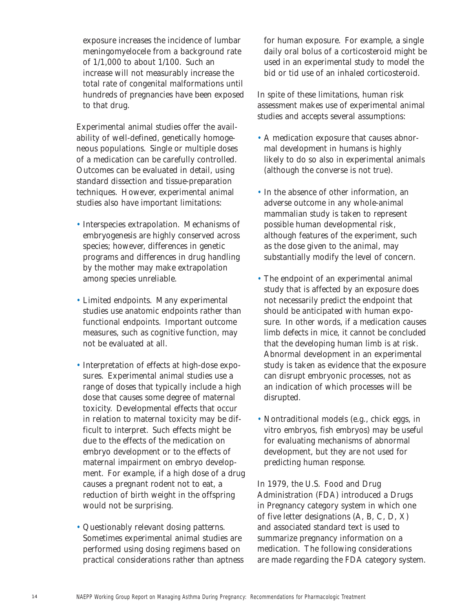exposure increases the incidence of lumbar meningomyelocele from a background rate of 1/1,000 to about 1/100. Such an increase will not measurably increase the total rate of congenital malformations until hundreds of pregnancies have been exposed to that drug.

Experimental animal studies offer the availability of well-defined, genetically homogeneous populations. Single or multiple doses of a medication can be carefully controlled. Outcomes can be evaluated in detail, using standard dissection and tissue-preparation techniques. However, experimental animal studies also have important limitations:

- Interspecies extrapolation. Mechanisms of embryogenesis are highly conserved across species; however, differences in genetic programs and differences in drug handling by the mother may make extrapolation among species unreliable.
- Limited endpoints. Many experimental studies use anatomic endpoints rather than functional endpoints. Important outcome measures, such as cognitive function, may not be evaluated at all.
- Interpretation of effects at high-dose exposures. Experimental animal studies use a range of doses that typically include a high dose that causes some degree of maternal toxicity. Developmental effects that occur in relation to maternal toxicity may be difficult to interpret. Such effects might be due to the effects of the medication on embryo development or to the effects of maternal impairment on embryo development. For example, if a high dose of a drug causes a pregnant rodent not to eat, a reduction of birth weight in the offspring would not be surprising.
- Questionably relevant dosing patterns. Sometimes experimental animal studies are performed using dosing regimens based on practical considerations rather than aptness

for human exposure. For example, a single daily oral bolus of a corticosteroid might be used in an experimental study to model the bid or tid use of an inhaled corticosteroid.

In spite of these limitations, human risk assessment makes use of experimental animal studies and accepts several assumptions:

- A medication exposure that causes abnormal development in humans is highly likely to do so also in experimental animals (although the converse is not true).
- In the absence of other information, an adverse outcome in any whole-animal mammalian study is taken to represent possible human developmental risk, although features of the experiment, such as the dose given to the animal, may substantially modify the level of concern.
- The endpoint of an experimental animal study that is affected by an exposure does not necessarily predict the endpoint that should be anticipated with human exposure. In other words, if a medication causes limb defects in mice, it cannot be concluded that the developing human limb is at risk. Abnormal development in an experimental study is taken as evidence that the exposure can disrupt embryonic processes, not as an indication of which processes will be disrupted.
- Nontraditional models (e.g., chick eggs, in vitro embryos, fish embryos) may be useful for evaluating mechanisms of abnormal development, but they are not used for predicting human response.

In 1979, the U.S. Food and Drug Administration (FDA) introduced a Drugs in Pregnancy category system in which one of five letter designations (A, B, C, D, X) and associated standard text is used to summarize pregnancy information on a medication. The following considerations are made regarding the FDA category system.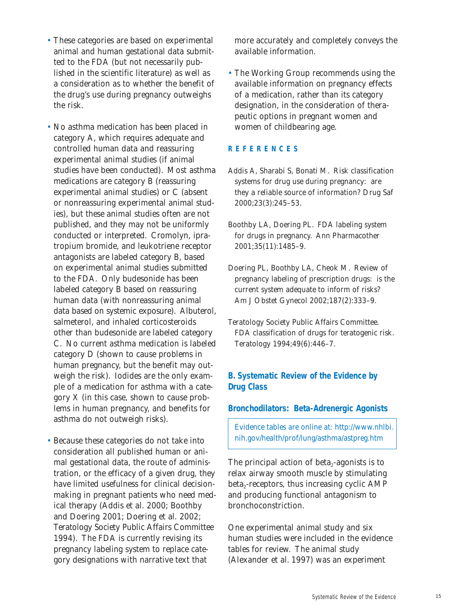- These categories are based on experimental animal and human gestational data submitted to the FDA (but not necessarily published in the scientific literature) as well as a consideration as to whether the benefit of the drug's use during pregnancy outweighs the risk.
- No asthma medication has been placed in category A, which requires adequate and controlled human data and reassuring experimental animal studies (if animal studies have been conducted). Most asthma medications are category B (reassuring experimental animal studies) or C (absent or nonreassuring experimental animal studies), but these animal studies often are not published, and they may not be uniformly conducted or interpreted. Cromolyn, ipratropium bromide, and leukotriene receptor antagonists are labeled category B, based on experimental animal studies submitted to the FDA. Only budesonide has been labeled category B based on reassuring human data (with nonreassuring animal data based on systemic exposure). Albuterol, salmeterol, and inhaled corticosteroids other than budesonide are labeled category C. No current asthma medication is labeled category D (shown to cause problems in human pregnancy, but the benefit may outweigh the risk). Iodides are the only example of a medication for asthma with a category X (in this case, shown to cause problems in human pregnancy, and benefits for asthma do not outweigh risks).
- Because these categories do not take into consideration all published human or animal gestational data, the route of administration, or the efficacy of a given drug, they have limited usefulness for clinical decisionmaking in pregnant patients who need medical therapy (Addis et al. 2000; Boothby and Doering 2001; Doering et al. 2002; Teratology Society Public Affairs Committee 1994). The FDA is currently revising its pregnancy labeling system to replace category designations with narrative text that

more accurately and completely conveys the available information.

• The Working Group recommends using the available information on pregnancy effects of a medication, rather than its category designation, in the consideration of therapeutic options in pregnant women and women of childbearing age.

## **REFERENCES**

- Addis A, Sharabi S, Bonati M. Risk classification systems for drug use during pregnancy: are they a reliable source of information? *Drug Saf* 2000;23(3):245–53.
- Boothby LA, Doering PL. FDA labeling system for drugs in pregnancy. *Ann Pharmacother* 2001;35(11):1485–9.
- Doering PL, Boothby LA, Cheok M. Review of pregnancy labeling of prescription drugs: is the current system adequate to inform of risks? *Am J Obstet Gynecol* 2002;187(2):333–9.
- Teratology Society Public Affairs Committee. FDA classification of drugs for teratogenic risk. *Teratology* 1994;49(6):446–7.

## **B. Systematic Review of the Evidence by Drug Class**

#### **Bronchodilators: Beta-Adrenergic Agonists**

Evidence tables are online at: http://www.nhlbi. nih.gov/health/prof/lung/asthma/astpreg.htm

The principal action of beta<sub> $2$ </sub>-agonists is to relax airway smooth muscle by stimulating  $beta_2$ -receptors, thus increasing cyclic AMP and producing functional antagonism to bronchoconstriction.

One experimental animal study and six human studies were included in the evidence tables for review. The animal study (Alexander et al. 1997) was an experiment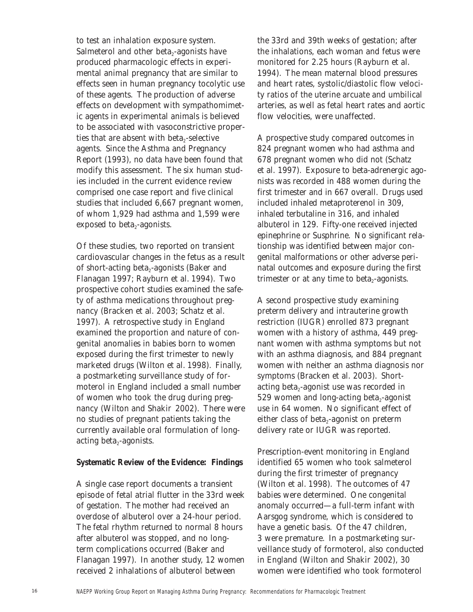to test an inhalation exposure system. Salmeterol and other beta<sub>2</sub>-agonists have produced pharmacologic effects in experimental animal pregnancy that are similar to effects seen in human pregnancy tocolytic use of these agents. The production of adverse effects on development with sympathomimetic agents in experimental animals is believed to be associated with vasoconstrictive properties that are absent with beta<sub> $2$ -selective</sub> agents. Since the Asthma and Pregnancy Report (1993), no data have been found that modify this assessment. The six human studies included in the current evidence review comprised one case report and five clinical studies that included 6,667 pregnant women, of whom 1,929 had asthma and 1,599 were exposed to beta $_2$ -agonists.

Of these studies, two reported on transient cardiovascular changes in the fetus as a result of short-acting beta<sub>2</sub>-agonists (Baker and Flanagan 1997; Rayburn et al. 1994). Two prospective cohort studies examined the safety of asthma medications throughout pregnancy (Bracken et al. 2003; Schatz et al. 1997). A retrospective study in England examined the proportion and nature of congenital anomalies in babies born to women exposed during the first trimester to newly marketed drugs (Wilton et al. 1998). Finally, a postmarketing surveillance study of formoterol in England included a small number of women who took the drug during pregnancy (Wilton and Shakir 2002). There were no studies of pregnant patients taking the currently available oral formulation of longacting beta $_2$ -agonists.

#### **Systematic Review of the Evidence: Findings**

A single case report documents a transient episode of fetal atrial flutter in the 33rd week of gestation. The mother had received an overdose of albuterol over a 24-hour period. The fetal rhythm returned to normal 8 hours after albuterol was stopped, and no longterm complications occurred (Baker and Flanagan 1997). In another study, 12 women received 2 inhalations of albuterol between

the 33rd and 39th weeks of gestation; after the inhalations, each woman and fetus were monitored for 2.25 hours (Rayburn et al. 1994). The mean maternal blood pressures and heart rates, systolic/diastolic flow velocity ratios of the uterine arcuate and umbilical arteries, as well as fetal heart rates and aortic flow velocities, were unaffected.

A prospective study compared outcomes in 824 pregnant women who had asthma and 678 pregnant women who did not (Schatz et al. 1997). Exposure to beta-adrenergic agonists was recorded in 488 women during the first trimester and in 667 overall. Drugs used included inhaled metaproterenol in 309, inhaled terbutaline in 316, and inhaled albuterol in 129. Fifty-one received injected epinephrine or Susphrine. No significant relationship was identified between major congenital malformations or other adverse perinatal outcomes and exposure during the first trimester or at any time to beta $_2$ -agonists.

A second prospective study examining preterm delivery and intrauterine growth restriction (IUGR) enrolled 873 pregnant women with a history of asthma, 449 pregnant women with asthma symptoms but not with an asthma diagnosis, and 884 pregnant women with neither an asthma diagnosis nor symptoms (Bracken et al. 2003). Shortacting beta $_2$ -agonist use was recorded in 529 women and long-acting beta<sub> $2$ </sub>-agonist use in 64 women. No significant effect of either class of beta<sub>2</sub>-agonist on preterm delivery rate or IUGR was reported.

Prescription-event monitoring in England identified 65 women who took salmeterol during the first trimester of pregnancy (Wilton et al. 1998). The outcomes of 47 babies were determined. One congenital anomaly occurred—a full-term infant with Aarsgog syndrome, which is considered to have a genetic basis. Of the 47 children, 3 were premature. In a postmarketing surveillance study of formoterol, also conducted in England (Wilton and Shakir 2002), 30 women were identified who took formoterol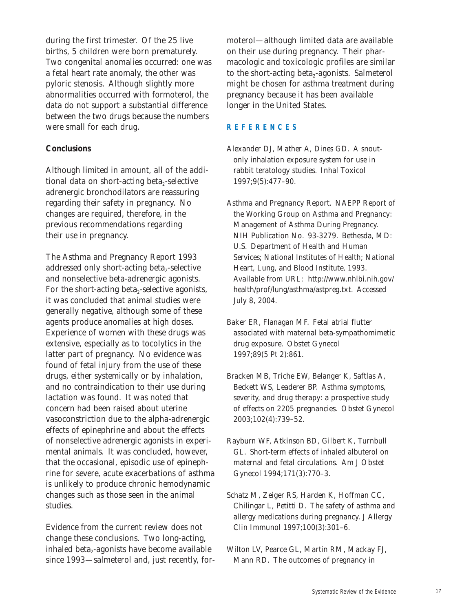during the first trimester. Of the 25 live births, 5 children were born prematurely. Two congenital anomalies occurred: one was a fetal heart rate anomaly, the other was pyloric stenosis. Although slightly more abnormalities occurred with formoterol, the data do not support a substantial difference between the two drugs because the numbers were small for each drug.

## **Conclusions**

Although limited in amount, all of the additional data on short-acting beta<sub>2</sub>-selective adrenergic bronchodilators are reassuring regarding their safety in pregnancy. No changes are required, therefore, in the previous recommendations regarding their use in pregnancy.

The Asthma and Pregnancy Report 1993 addressed only short-acting beta<sub>2</sub>-selective and nonselective beta-adrenergic agonists. For the short-acting beta<sub>2</sub>-selective agonists, it was concluded that animal studies were generally negative, although some of these agents produce anomalies at high doses. Experience of women with these drugs was extensive, especially as to tocolytics in the latter part of pregnancy. No evidence was found of fetal injury from the use of these drugs, either systemically or by inhalation, and no contraindication to their use during lactation was found. It was noted that concern had been raised about uterine vasoconstriction due to the alpha-adrenergic effects of epinephrine and about the effects of nonselective adrenergic agonists in experimental animals. It was concluded, however, that the occasional, episodic use of epinephrine for severe, acute exacerbations of asthma is unlikely to produce chronic hemodynamic changes such as those seen in the animal studies.

Evidence from the current review does not change these conclusions. Two long-acting, inhaled beta $_2$ -agonists have become available since 1993—salmeterol and, just recently, for-

moterol—although limited data are available on their use during pregnancy. Their pharmacologic and toxicologic profiles are similar to the short-acting beta<sub>2</sub>-agonists. Salmeterol might be chosen for asthma treatment during pregnancy because it has been available longer in the United States.

## **REFERENCES**

- Alexander DJ, Mather A, Dines GD. A snoutonly inhalation exposure system for use in rabbit teratology studies. *Inhal Toxicol* 1997;9(5):477–90.
- Asthma and Pregnancy Report. NAEPP Report of the Working Group on Asthma and Pregnancy: Management of Asthma During Pregnancy. NIH Publication No. 93-3279. Bethesda, MD: U.S. Department of Health and Human Services; National Institutes of Health; National Heart, Lung, and Blood Institute, 1993. Available from URL: http://www.nhlbi.nih.gov/ health/prof/lung/asthma/astpreg.txt. Accessed July 8, 2004.
- Baker ER, Flanagan MF. Fetal atrial flutter associated with maternal beta-sympathomimetic drug exposure. *Obstet Gynecol* 1997;89(5 Pt 2):861.
- Bracken MB, Triche EW, Belanger K, Saftlas A, Beckett WS, Leaderer BP. Asthma symptoms, severity, and drug therapy: a prospective study of effects on 2205 pregnancies. *Obstet Gynecol* 2003;102(4):739–52.
- Rayburn WF, Atkinson BD, Gilbert K, Turnbull GL. Short-term effects of inhaled albuterol on maternal and fetal circulations. *Am J Obstet Gynecol* 1994;171(3):770–3.
- Schatz M, Zeiger RS, Harden K, Hoffman CC, Chilingar L, Petitti D. The safety of asthma and allergy medications during pregnancy. *J Allergy Clin Immunol* 1997;100(3):301–6.
- Wilton LV, Pearce GL, Martin RM, Mackay FJ, Mann RD. The outcomes of pregnancy in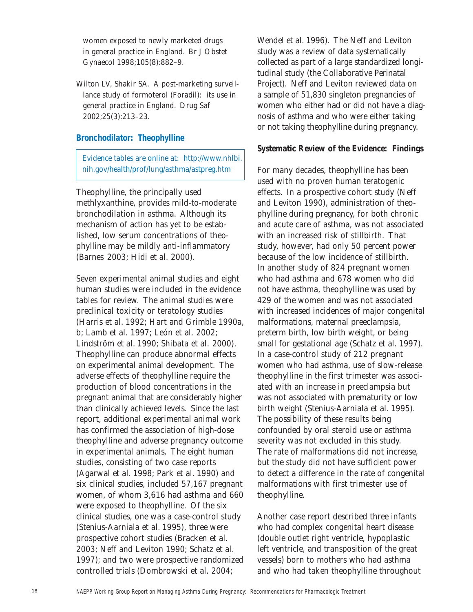women exposed to newly marketed drugs in general practice in England. *Br J Obstet Gynaecol* 1998;105(8):882–9.

Wilton LV, Shakir SA. A post-marketing surveillance study of formoterol (Foradil): its use in general practice in England. *Drug Saf* 2002;25(3):213–23.

### **Bronchodilator: Theophylline**

Evidence tables are online at: http://www.nhlbi. nih.gov/health/prof/lung/asthma/astpreg.htm

Theophylline, the principally used methlyxanthine, provides mild-to-moderate bronchodilation in asthma. Although its mechanism of action has yet to be established, low serum concentrations of theophylline may be mildly anti-inflammatory (Barnes 2003; Hidi et al. 2000).

Seven experimental animal studies and eight human studies were included in the evidence tables for review. The animal studies were preclinical toxicity or teratology studies (Harris et al. 1992; Hart and Grimble 1990*a*, *b*; Lamb et al. 1997; León et al. 2002; Lindström et al. 1990; Shibata et al. 2000). Theophylline can produce abnormal effects on experimental animal development. The adverse effects of theophylline require the production of blood concentrations in the pregnant animal that are considerably higher than clinically achieved levels. Since the last report, additional experimental animal work has confirmed the association of high-dose theophylline and adverse pregnancy outcome in experimental animals. The eight human studies, consisting of two case reports (Agarwal et al. 1998; Park et al. 1990) and six clinical studies, included 57,167 pregnant women, of whom 3,616 had asthma and 660 were exposed to theophylline. Of the six clinical studies, one was a case-control study (Stenius-Aarniala et al. 1995), three were prospective cohort studies (Bracken et al. 2003; Neff and Leviton 1990; Schatz et al. 1997); and two were prospective randomized controlled trials (Dombrowski et al. 2004;

Wendel et al. 1996). The Neff and Leviton study was a review of data systematically collected as part of a large standardized longitudinal study (the Collaborative Perinatal Project). Neff and Leviton reviewed data on a sample of 51,830 singleton pregnancies of women who either had or did not have a diagnosis of asthma and who were either taking or not taking theophylline during pregnancy.

### **Systematic Review of the Evidence: Findings**

For many decades, theophylline has been used with no proven human teratogenic effects. In a prospective cohort study (Neff and Leviton 1990), administration of theophylline during pregnancy, for both chronic and acute care of asthma, was not associated with an increased risk of stillbirth. That study, however, had only 50 percent power because of the low incidence of stillbirth. In another study of 824 pregnant women who had asthma and 678 women who did not have asthma, theophylline was used by 429 of the women and was not associated with increased incidences of major congenital malformations, maternal preeclampsia, preterm birth, low birth weight, or being small for gestational age (Schatz et al. 1997). In a case-control study of 212 pregnant women who had asthma, use of slow-release theophylline in the first trimester was associated with an increase in preeclampsia but was not associated with prematurity or low birth weight (Stenius-Aarniala et al. 1995). The possibility of these results being confounded by oral steroid use or asthma severity was not excluded in this study. The rate of malformations did not increase, but the study did not have sufficient power to detect a difference in the rate of congenital malformations with first trimester use of theophylline.

Another case report described three infants who had complex congenital heart disease (double outlet right ventricle, hypoplastic left ventricle, and transposition of the great vessels) born to mothers who had asthma and who had taken theophylline throughout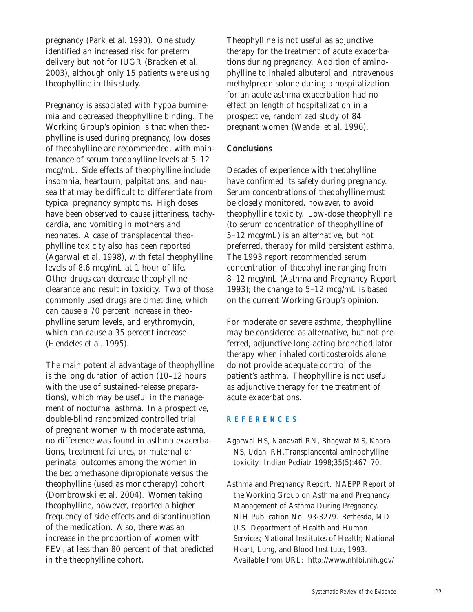pregnancy (Park et al. 1990). One study identified an increased risk for preterm delivery but not for IUGR (Bracken et al. 2003), although only 15 patients were using theophylline in this study.

Pregnancy is associated with hypoalbuminemia and decreased theophylline binding. The Working Group's opinion is that when theophylline is used during pregnancy, low doses of theophylline are recommended, with maintenance of serum theophylline levels at 5–12 mcg/mL. Side effects of theophylline include insomnia, heartburn, palpitations, and nausea that may be difficult to differentiate from typical pregnancy symptoms. High doses have been observed to cause jitteriness, tachycardia, and vomiting in mothers and neonates. A case of transplacental theophylline toxicity also has been reported (Agarwal et al. 1998), with fetal theophylline levels of 8.6 mcg/mL at 1 hour of life. Other drugs can decrease theophylline clearance and result in toxicity. Two of those commonly used drugs are cimetidine, which can cause a 70 percent increase in theophylline serum levels, and erythromycin, which can cause a 35 percent increase (Hendeles et al. 1995).

The main potential advantage of theophylline is the long duration of action (10–12 hours with the use of sustained-release preparations), which may be useful in the management of nocturnal asthma. In a prospective, double-blind randomized controlled trial of pregnant women with moderate asthma, no difference was found in asthma exacerbations, treatment failures, or maternal or perinatal outcomes among the women in the beclomethasone dipropionate versus the theophylline (used as monotherapy) cohort (Dombrowski et al. 2004). Women taking theophylline, however, reported a higher frequency of side effects and discontinuation of the medication. Also, there was an increase in the proportion of women with  $FEV<sub>1</sub>$  at less than 80 percent of that predicted in the theophylline cohort.

Theophylline is not useful as adjunctive therapy for the treatment of acute exacerbations during pregnancy. Addition of aminophylline to inhaled albuterol and intravenous methylprednisolone during a hospitalization for an acute asthma exacerbation had no effect on length of hospitalization in a prospective, randomized study of 84 pregnant women (Wendel et al. 1996).

## **Conclusions**

Decades of experience with theophylline have confirmed its safety during pregnancy. Serum concentrations of theophylline must be closely monitored, however, to avoid theophylline toxicity. Low-dose theophylline (to serum concentration of theophylline of 5–12 mcg/mL) is an alternative, but not preferred, therapy for mild persistent asthma. The 1993 report recommended serum concentration of theophylline ranging from 8–12 mcg/mL (Asthma and Pregnancy Report 1993); the change to 5–12 mcg/mL is based on the current Working Group's opinion.

For moderate or severe asthma, theophylline may be considered as alternative, but not preferred, adjunctive long-acting bronchodilator therapy when inhaled corticosteroids alone do not provide adequate control of the patient's asthma. Theophylline is not useful as adjunctive therapy for the treatment of acute exacerbations.

#### **REFERENCES**

- Agarwal HS, Nanavati RN, Bhagwat MS, Kabra NS, Udani RH.Transplancental aminophylline toxicity. *Indian Pediatr* 1998;35(5):467–70.
- Asthma and Pregnancy Report. NAEPP Report of the Working Group on Asthma and Pregnancy: Management of Asthma During Pregnancy. NIH Publication No. 93-3279. Bethesda, MD: U.S. Department of Health and Human Services; National Institutes of Health; National Heart, Lung, and Blood Institute, 1993. Available from URL: http://www.nhlbi.nih.gov/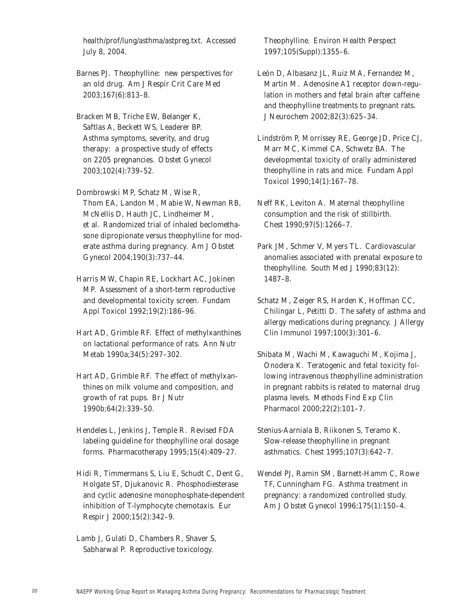health/prof/lung/asthma/astpreg.txt. Accessed July 8, 2004.

Barnes PJ. Theophylline: new perspectives for an old drug. *Am J Respir Crit Care Med* 2003;167(6):813–8.

Bracken MB, Triche EW, Belanger K, Saftlas A, Beckett WS, Leaderer BP. Asthma symptoms, severity, and drug therapy: a prospective study of effects on 2205 pregnancies. *Obstet Gynecol* 2003;102(4):739–52.

Dombrowski MP, Schatz M, Wise R, Thom EA, Landon M, Mabie W, Newman RB, McNellis D, Hauth JC, Lindheimer M, et al. Randomized trial of inhaled beclomethasone dipropionate versus theophylline for moderate asthma during pregnancy. *Am J Obstet Gynecol* 2004;190(3):737–44.

Harris MW, Chapin RE, Lockhart AC, Jokinen MP. Assessment of a short-term reproductive and developmental toxicity screen. *Fundam Appl Toxicol* 1992;19(2):186–96.

Hart AD, Grimble RF. Effect of methylxanthines on lactational performance of rats. *Ann Nutr Metab* 1990*a*;34(5):297–302.

Hart AD, Grimble RF. The effect of methylxanthines on milk volume and composition, and growth of rat pups. *Br J Nutr*  1990*b*;64(2):339–50.

Hendeles L, Jenkins J, Temple R. Revised FDA labeling guideline for theophylline oral dosage forms. *Pharmacotherapy* 1995;15(4):409–27.

Hidi R, Timmermans S, Liu E, Schudt C, Dent G, Holgate ST, Djukanovic R. Phosphodiesterase and cyclic adenosine monophosphate-dependent inhibition of T-lymphocyte chemotaxis. *Eur Respir J* 2000;15(2):342–9.

Lamb J, Gulati D, Chambers R, Shaver S, Sabharwal P. Reproductive toxicology.

Theophylline. *Environ Health Perspect* 1997;105(Suppl):1355–6.

León D, Albasanz JL, Ruiz MA, Fernandez M, Martin M. Adenosine A1 receptor down-regulation in mothers and fetal brain after caffeine and theophylline treatments to pregnant rats. *J Neurochem* 2002;82(3):625–34.

Lindström P, Morrissey RE, George JD, Price CJ, Marr MC, Kimmel CA, Schwetz BA. The developmental toxicity of orally administered theophylline in rats and mice. *Fundam Appl Toxicol* 1990;14(1):167–78.

Neff RK, Leviton A. Maternal theophylline consumption and the risk of stillbirth. *Chest* 1990;97(5):1266–7.

Park JM, Schmer V, Myers TL. Cardiovascular anomalies associated with prenatal exposure to theophylline. *South Med J* 1990;83(12): 1487–8.

Schatz M, Zeiger RS, Harden K, Hoffman CC, Chilingar L, Petitti D. The safety of asthma and allergy medications during pregnancy. *J Allergy Clin Immunol* 1997;100(3):301–6.

Shibata M, Wachi M, Kawaguchi M, Kojima J, Onodera K. Teratogenic and fetal toxicity following intravenous theophylline administration in pregnant rabbits is related to maternal drug plasma levels. *Methods Find Exp Clin Pharmacol* 2000;22(2):101–7.

Stenius-Aarniala B, Riikonen S, Teramo K. Slow-release theophylline in pregnant asthmatics. *Chest* 1995;107(3):642–7.

Wendel PJ, Ramin SM, Barnett-Hamm C, Rowe TF, Cunningham FG. Asthma treatment in pregnancy: a randomized controlled study. *Am J Obstet Gynecol* 1996;175(1):150–4.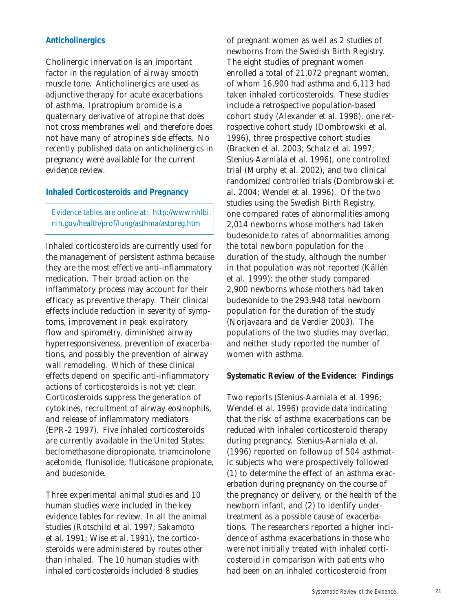### **Anticholinergics**

Cholinergic innervation is an important factor in the regulation of airway smooth muscle tone. Anticholinergics are used as adjunctive therapy for acute exacerbations of asthma. Ipratropium bromide is a quaternary derivative of atropine that does not cross membranes well and therefore does not have many of atropine's side effects. No recently published data on anticholinergics in pregnancy were available for the current evidence review.

#### **Inhaled Corticosteroids and Pregnancy**

Evidence tables are online at: http://www.nhlbi. nih.gov/health/prof/lung/asthma/astpreg.htm

Inhaled corticosteroids are currently used for the management of persistent asthma because they are the most effective anti-inflammatory medication. Their broad action on the inflammatory process may account for their efficacy as preventive therapy. Their clinical effects include reduction in severity of symptoms, improvement in peak expiratory flow and spirometry, diminished airway hyperresponsiveness, prevention of exacerbations, and possibly the prevention of airway wall remodeling. Which of these clinical effects depend on specific anti-inflammatory actions of corticosteroids is not yet clear. Corticosteroids suppress the generation of cytokines, recruitment of airway eosinophils, and release of inflammatory mediators (EPR-2 1997). Five inhaled corticosteroids are currently available in the United States: beclomethasone dipropionate, triamcinolone acetonide, flunisolide, fluticasone propionate, and budesonide.

Three experimental animal studies and 10 human studies were included in the key evidence tables for review. In all the animal studies (Rotschild et al. 1997; Sakamoto et al. 1991; Wise et al. 1991), the corticosteroids were administered by routes other than inhaled. The 10 human studies with inhaled corticosteroids included 8 studies

of pregnant women as well as 2 studies of newborns from the Swedish Birth Registry. The eight studies of pregnant women enrolled a total of 21,072 pregnant women, of whom 16,900 had asthma and 6,113 had taken inhaled corticosteroids. These studies include a retrospective population-based cohort study (Alexander et al. 1998), one retrospective cohort study (Dombrowski et al. 1996), three prospective cohort studies (Bracken et al. 2003; Schatz et al. 1997; Stenius-Aarniala et al. 1996), one controlled trial (Murphy et al. 2002), and two clinical randomized controlled trials (Dombrowski et al. 2004; Wendel et al. 1996). Of the two studies using the Swedish Birth Registry, one compared rates of abnormalities among 2,014 newborns whose mothers had taken budesonide to rates of abnormalities among the total newborn population for the duration of the study, although the number in that population was not reported (Källén et al. 1999); the other study compared 2,900 newborns whose mothers had taken budesonide to the 293,948 total newborn population for the duration of the study (Norjavaara and de Verdier 2003). The populations of the two studies may overlap, and neither study reported the number of women with asthma.

### **Systematic Review of the Evidence: Findings**

Two reports (Stenius-Aarniala et al. 1996; Wendel et al. 1996) provide data indicating that the risk of asthma exacerbations can be reduced with inhaled corticosteroid therapy during pregnancy. Stenius-Aarniala et al. (1996) reported on followup of 504 asthmatic subjects who were prospectively followed (1) to determine the effect of an asthma exacerbation during pregnancy on the course of the pregnancy or delivery, or the health of the newborn infant, and (2) to identify undertreatment as a possible cause of exacerbations. The researchers reported a higher incidence of asthma exacerbations in those who were not initially treated with inhaled corticosteroid in comparison with patients who had been on an inhaled corticosteroid from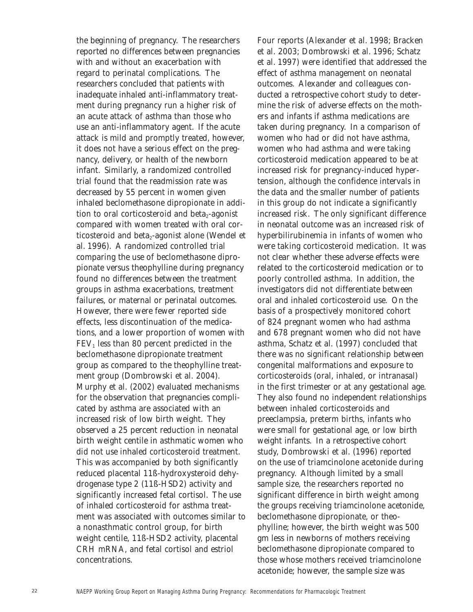the beginning of pregnancy. The researchers reported no differences between pregnancies with and without an exacerbation with regard to perinatal complications. The researchers concluded that patients with inadequate inhaled anti-inflammatory treatment during pregnancy run a higher risk of an acute attack of asthma than those who use an anti-inflammatory agent. If the acute attack is mild and promptly treated, however, it does not have a serious effect on the pregnancy, delivery, or health of the newborn infant. Similarly, a randomized controlled trial found that the readmission rate was decreased by 55 percent in women given inhaled beclomethasone dipropionate in addition to oral corticosteroid and beta $_2$ -agonist compared with women treated with oral corticosteroid and beta<sub>2</sub>-agonist alone (Wendel et al. 1996). A randomized controlled trial comparing the use of beclomethasone dipropionate versus theophylline during pregnancy found no differences between the treatment groups in asthma exacerbations, treatment failures, or maternal or perinatal outcomes. However, there were fewer reported side effects, less discontinuation of the medications, and a lower proportion of women with  $FEV<sub>1</sub>$  less than 80 percent predicted in the beclomethasone dipropionate treatment group as compared to the theophylline treatment group (Dombrowski et al. 2004). Murphy et al. (2002) evaluated mechanisms for the observation that pregnancies complicated by asthma are associated with an increased risk of low birth weight. They observed a 25 percent reduction in neonatal birth weight centile in asthmatic women who did not use inhaled corticosteroid treatment. This was accompanied by both significantly reduced placental 11ß-hydroxysteroid dehydrogenase type 2 (11ß-HSD2) activity and significantly increased fetal cortisol. The use of inhaled corticosteroid for asthma treatment was associated with outcomes similar to a nonasthmatic control group, for birth weight centile, 11ß-HSD2 activity, placental CRH mRNA, and fetal cortisol and estriol concentrations.

Four reports (Alexander et al. 1998; Bracken et al. 2003; Dombrowski et al. 1996; Schatz et al. 1997) were identified that addressed the effect of asthma management on neonatal outcomes. Alexander and colleagues conducted a retrospective cohort study to determine the risk of adverse effects on the mothers and infants if asthma medications are taken during pregnancy. In a comparison of women who had or did not have asthma, women who had asthma and were taking corticosteroid medication appeared to be at increased risk for pregnancy-induced hypertension, although the confidence intervals in the data and the smaller number of patients in this group do not indicate a significantly increased risk. The only significant difference in neonatal outcome was an increased risk of hyperbilirubinemia in infants of women who were taking corticosteroid medication. It was not clear whether these adverse effects were related to the corticosteroid medication or to poorly controlled asthma. In addition, the investigators did not differentiate between oral and inhaled corticosteroid use. On the basis of a prospectively monitored cohort of 824 pregnant women who had asthma and 678 pregnant women who did not have asthma, Schatz et al. (1997) concluded that there was no significant relationship between congenital malformations and exposure to corticosteroids (oral, inhaled, or intranasal) in the first trimester or at any gestational age. They also found no independent relationships between inhaled corticosteroids and preeclampsia, preterm births, infants who were small for gestational age, or low birth weight infants. In a retrospective cohort study, Dombrowski et al. (1996) reported on the use of triamcinolone acetonide during pregnancy. Although limited by a small sample size, the researchers reported no significant difference in birth weight among the groups receiving triamcinolone acetonide, beclomethasone dipropionate, or theophylline; however, the birth weight was 500 gm less in newborns of mothers receiving beclomethasone dipropionate compared to those whose mothers received triamcinolone acetonide; however, the sample size was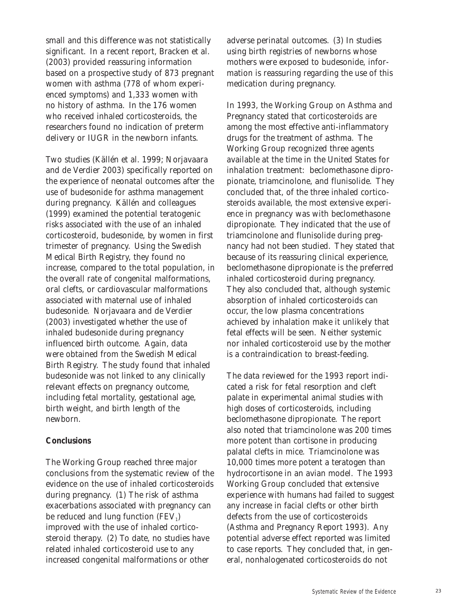small and this difference was not statistically significant. In a recent report, Bracken et al. (2003) provided reassuring information based on a prospective study of 873 pregnant women with asthma (778 of whom experienced symptoms) and 1,333 women with no history of asthma. In the 176 women who received inhaled corticosteroids, the researchers found no indication of preterm delivery or IUGR in the newborn infants.

Two studies (Källén et al. 1999; Norjavaara and de Verdier 2003) specifically reported on the experience of neonatal outcomes after the use of budesonide for asthma management during pregnancy. Källén and colleagues (1999) examined the potential teratogenic risks associated with the use of an inhaled corticosteroid, budesonide, by women in first trimester of pregnancy. Using the Swedish Medical Birth Registry, they found no increase, compared to the total population, in the overall rate of congenital malformations, oral clefts, or cardiovascular malformations associated with maternal use of inhaled budesonide. Norjavaara and de Verdier (2003) investigated whether the use of inhaled budesonide during pregnancy influenced birth outcome. Again, data were obtained from the Swedish Medical Birth Registry. The study found that inhaled budesonide was not linked to any clinically relevant effects on pregnancy outcome, including fetal mortality, gestational age, birth weight, and birth length of the newborn.

#### **Conclusions**

The Working Group reached three major conclusions from the systematic review of the evidence on the use of inhaled corticosteroids during pregnancy. (1) The risk of asthma exacerbations associated with pregnancy can be reduced and lung function  $(FEV_1)$ improved with the use of inhaled corticosteroid therapy. (2) To date, no studies have related inhaled corticosteroid use to any increased congenital malformations or other

adverse perinatal outcomes. (3) In studies using birth registries of newborns whose mothers were exposed to budesonide, information is reassuring regarding the use of this medication during pregnancy.

In 1993, the Working Group on Asthma and Pregnancy stated that corticosteroids are among the most effective anti-inflammatory drugs for the treatment of asthma. The Working Group recognized three agents available at the time in the United States for inhalation treatment: beclomethasone dipropionate, triamcinolone, and flunisolide. They concluded that, of the three inhaled corticosteroids available, the most extensive experience in pregnancy was with beclomethasone dipropionate. They indicated that the use of triamcinolone and flunisolide during pregnancy had not been studied. They stated that because of its reassuring clinical experience, beclomethasone dipropionate is the preferred inhaled corticosteroid during pregnancy. They also concluded that, although systemic absorption of inhaled corticosteroids can occur, the low plasma concentrations achieved by inhalation make it unlikely that fetal effects will be seen. Neither systemic nor inhaled corticosteroid use by the mother is a contraindication to breast-feeding.

The data reviewed for the 1993 report indicated a risk for fetal resorption and cleft palate in experimental animal studies with high doses of corticosteroids, including beclomethasone dipropionate. The report also noted that triamcinolone was 200 times more potent than cortisone in producing palatal clefts in mice. Triamcinolone was 10,000 times more potent a teratogen than hydrocortisone in an avian model. The 1993 Working Group concluded that extensive experience with humans had failed to suggest any increase in facial clefts or other birth defects from the use of corticosteroids (Asthma and Pregnancy Report 1993). Any potential adverse effect reported was limited to case reports. They concluded that, in general, nonhalogenated corticosteroids do not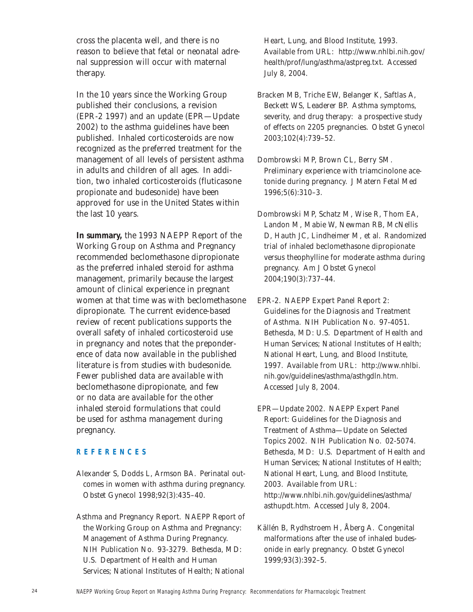cross the placenta well, and there is no reason to believe that fetal or neonatal adrenal suppression will occur with maternal therapy.

In the 10 years since the Working Group published their conclusions, a revision (EPR-2 1997) and an update (EPR—Update 2002) to the asthma guidelines have been published. Inhaled corticosteroids are now recognized as the preferred treatment for the management of all levels of persistent asthma in adults and children of all ages. In addition, two inhaled corticosteroids (fluticasone propionate and budesonide) have been approved for use in the United States within the last 10 years.

**In summary,** the 1993 *NAEPP Report of the Working Group on Asthma and Pregnancy* recommended beclomethasone dipropionate as the preferred inhaled steroid for asthma management, primarily because the largest amount of clinical experience in pregnant women at that time was with beclomethasone dipropionate. The current evidence-based review of recent publications supports the overall safety of inhaled corticosteroid use in pregnancy and notes that the preponderence of data now available in the published literature is from studies with budesonide. Fewer published data are available with beclomethasone dipropionate, and few or no data are available for the other inhaled steroid formulations that could be used for asthma management during pregnancy.

## **REFERENCES**

- Alexander S, Dodds L, Armson BA. Perinatal outcomes in women with asthma during pregnancy. *Obstet Gynecol* 1998;92(3):435–40.
- Asthma and Pregnancy Report. NAEPP Report of the Working Group on Asthma and Pregnancy: Management of Asthma During Pregnancy. NIH Publication No. 93-3279. Bethesda, MD: U.S. Department of Health and Human Services; National Institutes of Health; National

Heart, Lung, and Blood Institute, 1993. Available from URL: http://www.nhlbi.nih.gov/ health/prof/lung/asthma/astpreg.txt. Accessed July 8, 2004.

- Bracken MB, Triche EW, Belanger K, Saftlas A, Beckett WS, Leaderer BP. Asthma symptoms, severity, and drug therapy: a prospective study of effects on 2205 pregnancies. *Obstet Gynecol* 2003;102(4):739–52.
- Dombrowski MP, Brown CL, Berry SM. Preliminary experience with triamcinolone acetonide during pregnancy. *J Matern Fetal Med* 1996;5(6):310–3.
- Dombrowski MP, Schatz M, Wise R, Thom EA, Landon M, Mabie W, Newman RB, McNellis D, Hauth JC, Lindheimer M, et al. Randomized trial of inhaled beclomethasone dipropionate versus theophylline for moderate asthma during pregnancy. *Am J Obstet Gynecol*  2004;190(3):737–44.
- EPR-2. NAEPP Expert Panel Report 2: Guidelines for the Diagnosis and Treatment of Asthma. NIH Publication No. 97-4051. Bethesda, MD: U.S. Department of Health and Human Services; National Institutes of Health; National Heart, Lung, and Blood Institute, 1997. Available from URL: http://www.nhlbi. nih.gov/guidelines/asthma/asthgdln.htm. Accessed July 8, 2004.
- EPR—Update 2002. NAEPP Expert Panel Report: Guidelines for the Diagnosis and Treatment of Asthma—Update on Selected Topics 2002. NIH Publication No. 02-5074. Bethesda, MD: U.S. Department of Health and Human Services; National Institutes of Health; National Heart, Lung, and Blood Institute, 2003. Available from URL: http://www.nhlbi.nih.gov/guidelines/asthma/ asthupdt.htm. Accessed July 8, 2004.
- Källén B, Rydhstroem H, Åberg A. Congenital malformations after the use of inhaled budesonide in early pregnancy. *Obstet Gynecol* 1999;93(3):392–5.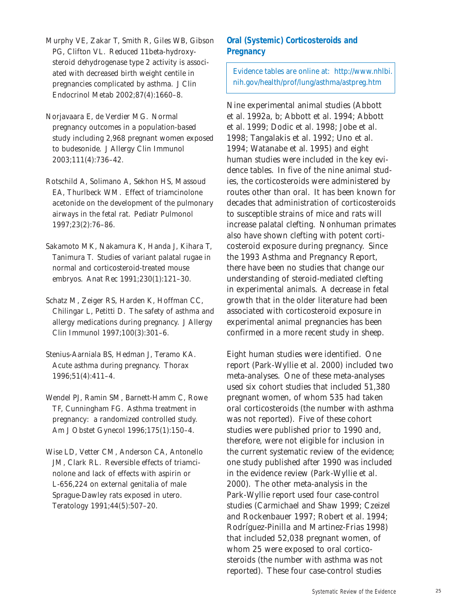- Murphy VE, Zakar T, Smith R, Giles WB, Gibson PG, Clifton VL. Reduced 11beta-hydroxysteroid dehydrogenase type 2 activity is associated with decreased birth weight centile in pregnancies complicated by asthma. *J Clin Endocrinol Metab* 2002;87(4):1660–8.
- Norjavaara E, de Verdier MG. Normal pregnancy outcomes in a population-based study including 2,968 pregnant women exposed to budesonide. *J Allergy Clin Immunol*  2003;111(4):736–42.
- Rotschild A, Solimano A, Sekhon HS, Massoud EA, Thurlbeck WM. Effect of triamcinolone acetonide on the development of the pulmonary airways in the fetal rat. *Pediatr Pulmonol* 1997;23(2):76–86.
- Sakamoto MK, Nakamura K, Handa J, Kihara T, Tanimura T. Studies of variant palatal rugae in normal and corticosteroid-treated mouse embryos. *Anat Rec* 1991;230(1):121–30.
- Schatz M, Zeiger RS, Harden K, Hoffman CC, Chilingar L, Petitti D. The safety of asthma and allergy medications during pregnancy. *J Allergy Clin Immunol* 1997;100(3):301–6.
- Stenius-Aarniala BS, Hedman J, Teramo KA. Acute asthma during pregnancy. *Thorax* 1996;51(4):411–4.
- Wendel PJ, Ramin SM, Barnett-Hamm C, Rowe TF, Cunningham FG. Asthma treatment in pregnancy: a randomized controlled study. *Am J Obstet Gynecol* 1996;175(1):150–4.
- Wise LD, Vetter CM, Anderson CA, Antonello JM, Clark RL. Reversible effects of triamcinolone and lack of effects with aspirin or L-656,224 on external genitalia of male Sprague-Dawley rats exposed in utero. *Teratology* 1991;44(5):507–20.

# **Oral (Systemic) Corticosteroids and Pregnancy**

Evidence tables are online at: http://www.nhlbi. nih.gov/health/prof/lung/asthma/astpreg.htm

Nine experimental animal studies (Abbott et al. 1992*a*, *b*; Abbott et al. 1994; Abbott et al. 1999; Dodic et al. 1998; Jobe et al. 1998; Tangalakis et al. 1992; Uno et al. 1994; Watanabe et al. 1995) and eight human studies were included in the key evidence tables. In five of the nine animal studies, the corticosteroids were administered by routes other than oral. It has been known for decades that administration of corticosteroids to susceptible strains of mice and rats will increase palatal clefting. Nonhuman primates also have shown clefting with potent corticosteroid exposure during pregnancy. Since the 1993 Asthma and Pregnancy Report, there have been no studies that change our understanding of steroid-mediated clefting in experimental animals. A decrease in fetal growth that in the older literature had been associated with corticosteroid exposure in experimental animal pregnancies has been confirmed in a more recent study in sheep.

Eight human studies were identified. One report (Park-Wyllie et al. 2000) included two meta-analyses. One of these meta-analyses used six cohort studies that included 51,380 pregnant women, of whom 535 had taken oral corticosteroids (the number with asthma was not reported). Five of these cohort studies were published prior to 1990 and, therefore, were not eligible for inclusion in the current systematic review of the evidence; one study published after 1990 was included in the evidence review (Park-Wyllie et al. 2000). The other meta-analysis in the Park-Wyllie report used four case-control studies (Carmichael and Shaw 1999; Czeizel and Rockenbauer 1997; Robert et al. 1994; Rodríguez-Pinilla and Martinez-Frias 1998) that included 52,038 pregnant women, of whom 25 were exposed to oral corticosteroids (the number with asthma was not reported). These four case-control studies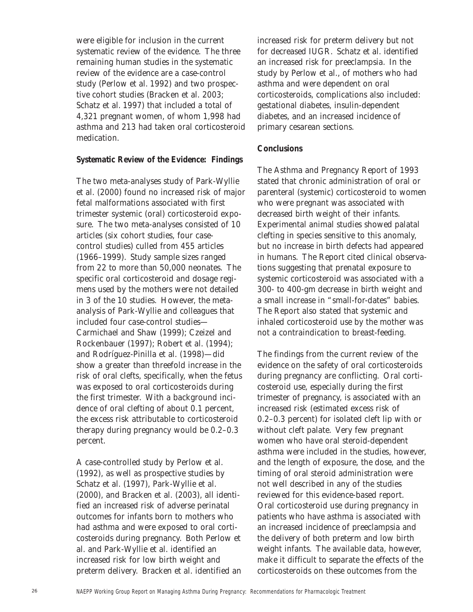were eligible for inclusion in the current systematic review of the evidence. The three remaining human studies in the systematic review of the evidence are a case-control study (Perlow et al. 1992) and two prospective cohort studies (Bracken et al. 2003; Schatz et al. 1997) that included a total of 4,321 pregnant women, of whom 1,998 had asthma and 213 had taken oral corticosteroid medication.

# **Systematic Review of the Evidence: Findings**

The two meta-analyses study of Park-Wyllie et al. (2000) found no increased risk of major fetal malformations associated with first trimester systemic (oral) corticosteroid exposure. The two meta-analyses consisted of 10 articles (six cohort studies, four casecontrol studies) culled from 455 articles (1966–1999). Study sample sizes ranged from 22 to more than 50,000 neonates. The specific oral corticosteroid and dosage regimens used by the mothers were not detailed in 3 of the 10 studies. However, the metaanalysis of Park-Wyllie and colleagues that included four case-control studies— Carmichael and Shaw (1999); Czeizel and Rockenbauer (1997); Robert et al. (1994); and Rodríguez-Pinilla et al. (1998)—did show a greater than threefold increase in the risk of oral clefts, specifically, when the fetus was exposed to oral corticosteroids during the first trimester. With a background incidence of oral clefting of about 0.1 percent, the excess risk attributable to corticosteroid therapy during pregnancy would be 0.2–0.3 percent.

A case-controlled study by Perlow et al. (1992), as well as prospective studies by Schatz et al. (1997), Park-Wyllie et al. (2000), and Bracken et al. (2003), all identified an increased risk of adverse perinatal outcomes for infants born to mothers who had asthma and were exposed to oral corticosteroids during pregnancy. Both Perlow et al. and Park-Wyllie et al. identified an increased risk for low birth weight and preterm delivery. Bracken et al. identified an increased risk for preterm delivery but not for decreased IUGR. Schatz et al. identified an increased risk for preeclampsia. In the study by Perlow et al., of mothers who had asthma and were dependent on oral corticosteroids, complications also included: gestational diabetes, insulin-dependent diabetes, and an increased incidence of primary cesarean sections.

# **Conclusions**

The Asthma and Pregnancy Report of 1993 stated that chronic administration of oral or parenteral (systemic) corticosteroid to women who were pregnant was associated with decreased birth weight of their infants. Experimental animal studies showed palatal clefting in species sensitive to this anomaly, but no increase in birth defects had appeared in humans. The Report cited clinical observations suggesting that prenatal exposure to systemic corticosteroid was associated with a 300- to 400-gm decrease in birth weight and a small increase in "small-for-dates" babies. The Report also stated that systemic and inhaled corticosteroid use by the mother was not a contraindication to breast-feeding.

The findings from the current review of the evidence on the safety of oral corticosteroids during pregnancy are conflicting. Oral corticosteroid use, especially during the first trimester of pregnancy, is associated with an increased risk (estimated excess risk of 0.2–0.3 percent) for isolated cleft lip with or without cleft palate. Very few pregnant women who have oral steroid-dependent asthma were included in the studies, however, and the length of exposure, the dose, and the timing of oral steroid administration were not well described in any of the studies reviewed for this evidence-based report. Oral corticosteroid use during pregnancy in patients who have asthma is associated with an increased incidence of preeclampsia and the delivery of both preterm and low birth weight infants. The available data, however, make it difficult to separate the effects of the corticosteroids on these outcomes from the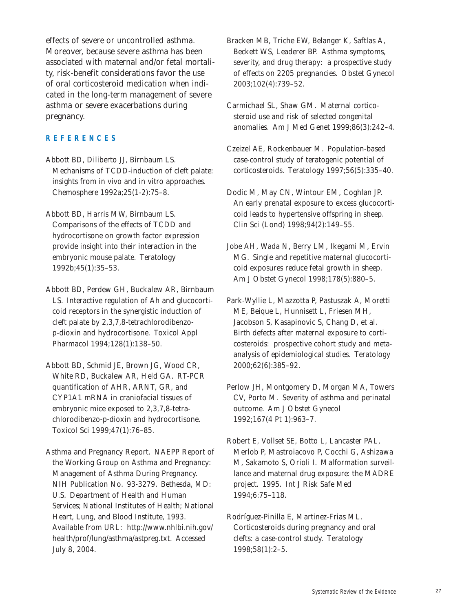effects of severe or uncontrolled asthma. Moreover, because severe asthma has been associated with maternal and/or fetal mortality, risk-benefit considerations favor the use of oral corticosteroid medication when indicated in the long-term management of severe asthma or severe exacerbations during pregnancy.

# **REFERENCES**

Abbott BD, Diliberto JJ, Birnbaum LS. Mechanisms of TCDD-induction of cleft palate: insights from in vivo and in vitro approaches. *Chemosphere* 1992*a*;25(1-2):75–8.

Abbott BD, Harris MW, Birnbaum LS. Comparisons of the effects of TCDD and hydrocortisone on growth factor expression provide insight into their interaction in the embryonic mouse palate. *Teratology* 1992*b*;45(1):35–53.

Abbott BD, Perdew GH, Buckalew AR, Birnbaum LS. Interactive regulation of Ah and glucocorticoid receptors in the synergistic induction of cleft palate by 2,3,7,8-tetrachlorodibenzop-dioxin and hydrocortisone. *Toxicol Appl Pharmacol* 1994;128(1):138–50.

Abbott BD, Schmid JE, Brown JG, Wood CR, White RD, Buckalew AR, Held GA. RT-PCR quantification of AHR, ARNT, GR, and CYP1A1 mRNA in craniofacial tissues of embryonic mice exposed to 2,3,7,8-tetrachlorodibenzo-p-dioxin and hydrocortisone. *Toxicol Sci* 1999;47(1):76–85.

Asthma and Pregnancy Report. NAEPP Report of the Working Group on Asthma and Pregnancy: Management of Asthma During Pregnancy. NIH Publication No. 93-3279. Bethesda, MD: U.S. Department of Health and Human Services; National Institutes of Health; National Heart, Lung, and Blood Institute, 1993. Available from URL: http://www.nhlbi.nih.gov/ health/prof/lung/asthma/astpreg.txt. Accessed July 8, 2004.

Bracken MB, Triche EW, Belanger K, Saftlas A, Beckett WS, Leaderer BP. Asthma symptoms, severity, and drug therapy: a prospective study of effects on 2205 pregnancies. *Obstet Gynecol* 2003;102(4):739–52.

Carmichael SL, Shaw GM. Maternal corticosteroid use and risk of selected congenital anomalies. *Am J Med Genet* 1999;86(3):242–4.

Czeizel AE, Rockenbauer M. Population-based case-control study of teratogenic potential of corticosteroids. *Teratology* 1997;56(5):335–40.

Dodic M, May CN, Wintour EM, Coghlan JP. An early prenatal exposure to excess glucocorticoid leads to hypertensive offspring in sheep. *Clin Sci (Lond)* 1998;94(2):149–55.

Jobe AH, Wada N, Berry LM, Ikegami M, Ervin MG. Single and repetitive maternal glucocorticoid exposures reduce fetal growth in sheep. *Am J Obstet Gynecol* 1998;178(5):880–5.

Park-Wyllie L, Mazzotta P, Pastuszak A, Moretti ME, Beique L, Hunnisett L, Friesen MH, Jacobson S, Kasapinovic S, Chang D, et al. Birth defects after maternal exposure to corticosteroids: prospective cohort study and metaanalysis of epidemiological studies. *Teratology* 2000;62(6):385–92.

Perlow JH, Montgomery D, Morgan MA, Towers CV, Porto M. Severity of asthma and perinatal outcome. *Am J Obstet Gynecol* 1992;167(4 Pt 1):963–7.

Robert E, Vollset SE, Botto L, Lancaster PAL, Merlob P, Mastroiacovo P, Cocchi G, Ashizawa M, Sakamoto S, Orioli I. Malformation surveillance and maternal drug exposure: the MADRE project. 1995. *Int J Risk Safe Med* 1994;6:75–118.

Rodríguez-Pinilla E, Martinez-Frias ML. Corticosteroids during pregnancy and oral clefts: a case-control study. *Teratology* 1998;58(1):2–5.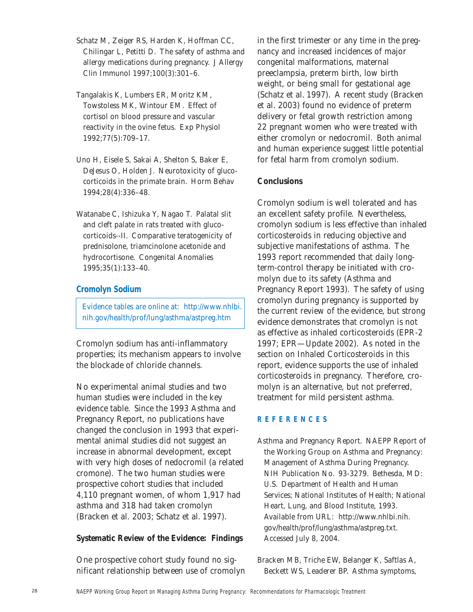- Schatz M, Zeiger RS, Harden K, Hoffman CC, Chilingar L, Petitti D. The safety of asthma and allergy medications during pregnancy. *J Allergy Clin Immunol* 1997;100(3):301–6.
- Tangalakis K, Lumbers ER, Moritz KM, Towstoless MK, Wintour EM. Effect of cortisol on blood pressure and vascular reactivity in the ovine fetus. *Exp Physiol* 1992;77(5):709–17.
- Uno H, Eisele S, Sakai A, Shelton S, Baker E, DeJesus O, Holden J. Neurotoxicity of glucocorticoids in the primate brain. *Horm Behav* 1994;28(4):336–48.
- Watanabe C, Ishizuka Y, Nagao T. Palatal slit and cleft palate in rats treated with glucocorticoids--II. Comparative teratogenicity of prednisolone, triamcinolone acetonide and hydrocortisone. *Congenital Anomalies*  1995;35(1):133–40.

# **Cromolyn Sodium**

Evidence tables are online at: http://www.nhlbi. nih.gov/health/prof/lung/asthma/astpreg.htm

Cromolyn sodium has anti-inflammatory properties; its mechanism appears to involve the blockade of chloride channels.

No experimental animal studies and two human studies were included in the key evidence table. Since the 1993 Asthma and Pregnancy Report, no publications have changed the conclusion in 1993 that experimental animal studies did not suggest an increase in abnormal development, except with very high doses of nedocromil (a related cromone). The two human studies were prospective cohort studies that included 4,110 pregnant women, of whom 1,917 had asthma and 318 had taken cromolyn (Bracken et al. 2003; Schatz et al. 1997).

# **Systematic Review of the Evidence: Findings**

One prospective cohort study found no significant relationship between use of cromolyn in the first trimester or any time in the pregnancy and increased incidences of major congenital malformations, maternal preeclampsia, preterm birth, low birth weight, or being small for gestational age (Schatz et al. 1997). A recent study (Bracken et al. 2003) found no evidence of preterm delivery or fetal growth restriction among 22 pregnant women who were treated with either cromolyn or nedocromil. Both animal and human experience suggest little potential for fetal harm from cromolyn sodium.

# **Conclusions**

Cromolyn sodium is well tolerated and has an excellent safety profile. Nevertheless, cromolyn sodium is less effective than inhaled corticosteroids in reducing objective and subjective manifestations of asthma. The 1993 report recommended that daily longterm-control therapy be initiated with cromolyn due to its safety (Asthma and Pregnancy Report 1993). The safety of using cromolyn during pregnancy is supported by the current review of the evidence, but strong evidence demonstrates that cromolyn is not as effective as inhaled corticosteroids (EPR-2 1997; EPR—Update 2002). As noted in the section on Inhaled Corticosteroids in this report, evidence supports the use of inhaled corticosteroids in pregnancy. Therefore, cromolyn is an alternative, but not preferred, treatment for mild persistent asthma.

#### **REFERENCES**

Asthma and Pregnancy Report. NAEPP Report of the Working Group on Asthma and Pregnancy: Management of Asthma During Pregnancy. NIH Publication No. 93-3279. Bethesda, MD: U.S. Department of Health and Human Services; National Institutes of Health; National Heart, Lung, and Blood Institute, 1993. Available from URL: http://www.nhlbi.nih. gov/health/prof/lung/asthma/astpreg.txt. Accessed July 8, 2004.

Bracken MB, Triche EW, Belanger K, Saftlas A, Beckett WS, Leaderer BP. Asthma symptoms,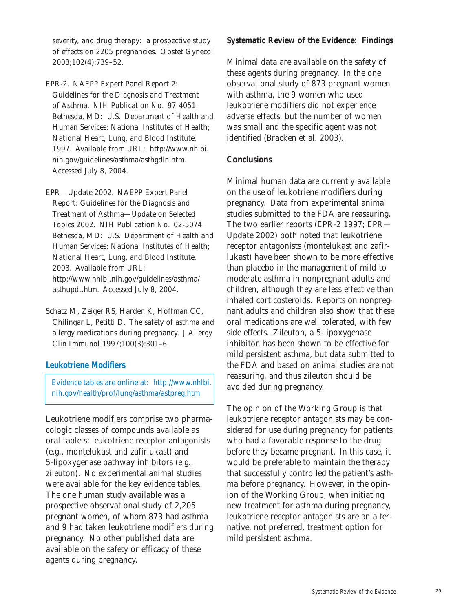severity, and drug therapy: a prospective study of effects on 2205 pregnancies. *Obstet Gynecol* 2003;102(4):739–52.

EPR-2. NAEPP Expert Panel Report 2: Guidelines for the Diagnosis and Treatment of Asthma. NIH Publication No. 97-4051. Bethesda, MD: U.S. Department of Health and Human Services; National Institutes of Health; National Heart, Lung, and Blood Institute, 1997. Available from URL: http://www.nhlbi. nih.gov/guidelines/asthma/asthgdln.htm. Accessed July 8, 2004.

EPR—Update 2002. NAEPP Expert Panel Report: Guidelines for the Diagnosis and Treatment of Asthma—Update on Selected Topics 2002. NIH Publication No. 02-5074. Bethesda, MD: U.S. Department of Health and Human Services; National Institutes of Health; National Heart, Lung, and Blood Institute, 2003. Available from URL: http://www.nhlbi.nih.gov/guidelines/asthma/ asthupdt.htm. Accessed July 8, 2004.

Schatz M, Zeiger RS, Harden K, Hoffman CC, Chilingar L, Petitti D. The safety of asthma and allergy medications during pregnancy. *J Allergy Clin Immunol* 1997;100(3):301–6.

# **Leukotriene Modifiers**

Evidence tables are online at: http://www.nhlbi. nih.gov/health/prof/lung/asthma/astpreg.htm

Leukotriene modifiers comprise two pharmacologic classes of compounds available as oral tablets: leukotriene receptor antagonists (e.g., montelukast and zafirlukast) and 5-lipoxygenase pathway inhibitors (e.g., zileuton). No experimental animal studies were available for the key evidence tables. The one human study available was a prospective observational study of 2,205 pregnant women, of whom 873 had asthma and 9 had taken leukotriene modifiers during pregnancy. No other published data are available on the safety or efficacy of these agents during pregnancy.

### **Systematic Review of the Evidence: Findings**

Minimal data are available on the safety of these agents during pregnancy. In the one observational study of 873 pregnant women with asthma, the 9 women who used leukotriene modifiers did not experience adverse effects, but the number of women was small and the specific agent was not identified (Bracken et al. 2003).

### **Conclusions**

Minimal human data are currently available on the use of leukotriene modifiers during pregnancy. Data from experimental animal studies submitted to the FDA are reassuring. The two earlier reports (EPR-2 1997; EPR— Update 2002) both noted that leukotriene receptor antagonists (montelukast and zafirlukast) have been shown to be more effective than placebo in the management of mild to moderate asthma in nonpregnant adults and children, although they are less effective than inhaled corticosteroids. Reports on nonpregnant adults and children also show that these oral medications are well tolerated, with few side effects. Zileuton, a 5-lipoxygenase inhibitor, has been shown to be effective for mild persistent asthma, but data submitted to the FDA and based on animal studies are not reassuring, and thus zileuton should be avoided during pregnancy.

The opinion of the Working Group is that leukotriene receptor antagonists may be considered for use during pregnancy for patients who had a favorable response to the drug before they became pregnant. In this case, it would be preferable to maintain the therapy that successfully controlled the patient's asthma before pregnancy. However, in the opinion of the Working Group, when initiating new treatment for asthma during pregnancy, leukotriene receptor antagonists are an alternative, not preferred, treatment option for mild persistent asthma.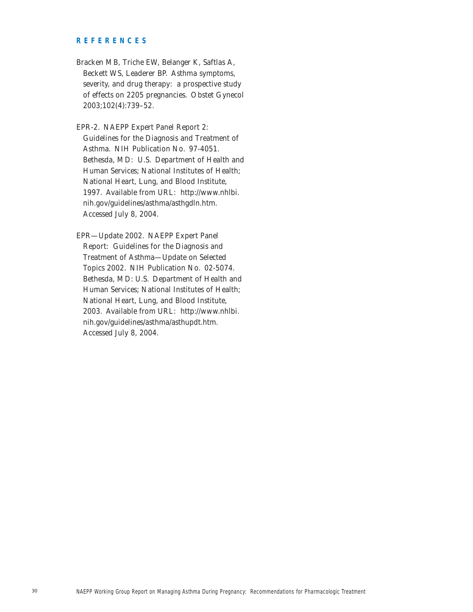#### **REFERENCES**

- Bracken MB, Triche EW, Belanger K, Saftlas A, Beckett WS, Leaderer BP. Asthma symptoms, severity, and drug therapy: a prospective study of effects on 2205 pregnancies. *Obstet Gynecol* 2003;102(4):739–52.
- EPR-2. NAEPP Expert Panel Report 2: Guidelines for the Diagnosis and Treatment of Asthma. NIH Publication No. 97-4051. Bethesda, MD: U.S. Department of Health and Human Services; National Institutes of Health; National Heart, Lung, and Blood Institute, 1997. Available from URL: http://www.nhlbi. nih.gov/guidelines/asthma/asthgdln.htm. Accessed July 8, 2004.
- EPR—Update 2002. NAEPP Expert Panel Report: Guidelines for the Diagnosis and Treatment of Asthma—Update on Selected Topics 2002. NIH Publication No. 02-5074. Bethesda, MD: U.S. Department of Health and Human Services; National Institutes of Health; National Heart, Lung, and Blood Institute, 2003. Available from URL: http://www.nhlbi. nih.gov/guidelines/asthma/asthupdt.htm. Accessed July 8, 2004.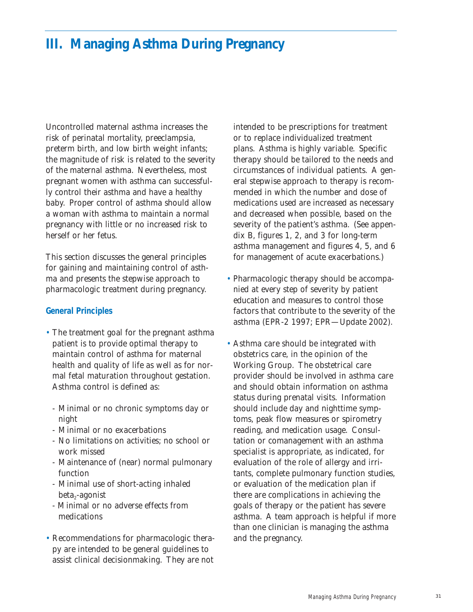# **III. Managing Asthma During Pregnancy**

Uncontrolled maternal asthma increases the risk of perinatal mortality, preeclampsia, preterm birth, and low birth weight infants; the magnitude of risk is related to the severity of the maternal asthma. Nevertheless, most pregnant women with asthma can successfully control their asthma and have a healthy baby. Proper control of asthma should allow a woman with asthma to maintain a normal pregnancy with little or no increased risk to herself or her fetus.

This section discusses the general principles for gaining and maintaining control of asthma and presents the stepwise approach to pharmacologic treatment during pregnancy.

#### **General Principles**

- The treatment goal for the pregnant asthma patient is to provide optimal therapy to maintain control of asthma for maternal health and quality of life as well as for normal fetal maturation throughout gestation. Asthma control is defined as:
	- Minimal or no chronic symptoms day or night
	- Minimal or no exacerbations
	- No limitations on activities; no school or work missed
	- Maintenance of (near) normal pulmonary function
	- Minimal use of short-acting inhaled beta<sub>2</sub>-agonist
	- Minimal or no adverse effects from medications
- Recommendations for pharmacologic therapy are intended to be general guidelines to assist clinical decisionmaking. They are not

intended to be prescriptions for treatment or to replace individualized treatment plans. Asthma is highly variable. Specific therapy should be tailored to the needs and circumstances of individual patients. A general stepwise approach to therapy is recommended in which the number and dose of medications used are increased as necessary and decreased when possible, based on the severity of the patient's asthma. (See appendix B, figures 1, 2, and 3 for long-term asthma management and figures 4, 5, and 6 for management of acute exacerbations.)

- Pharmacologic therapy should be accompanied at every step of severity by patient education and measures to control those factors that contribute to the severity of the asthma (EPR-2 1997; EPR—Update 2002).
- Asthma care should be integrated with obstetrics care, in the opinion of the Working Group. The obstetrical care provider should be involved in asthma care and should obtain information on asthma status during prenatal visits. Information should include day and nighttime symptoms, peak flow measures or spirometry reading, and medication usage. Consultation or comanagement with an asthma specialist is appropriate, as indicated, for evaluation of the role of allergy and irritants, complete pulmonary function studies, or evaluation of the medication plan if there are complications in achieving the goals of therapy or the patient has severe asthma. A team approach is helpful if more than one clinician is managing the asthma and the pregnancy.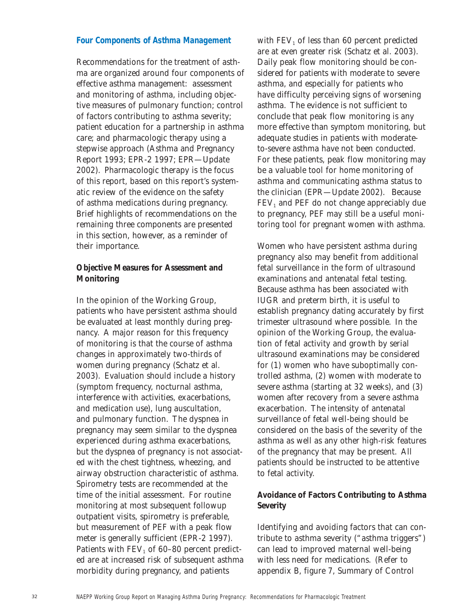### **Four Components of Asthma Management**

Recommendations for the treatment of asthma are organized around four components of effective asthma management: assessment and monitoring of asthma, including objective measures of pulmonary function; control of factors contributing to asthma severity; patient education for a partnership in asthma care; and pharmacologic therapy using a stepwise approach (Asthma and Pregnancy Report 1993; EPR-2 1997; EPR—Update 2002). Pharmacologic therapy is the focus of this report, based on this report's systematic review of the evidence on the safety of asthma medications during pregnancy. Brief highlights of recommendations on the remaining three components are presented in this section, however, as a reminder of their importance.

# **Objective Measures for Assessment and Monitoring**

In the opinion of the Working Group, patients who have persistent asthma should be evaluated at least monthly during pregnancy. A major reason for this frequency of monitoring is that the course of asthma changes in approximately two-thirds of women during pregnancy (Schatz et al. 2003). Evaluation should include a history (symptom frequency, nocturnal asthma, interference with activities, exacerbations, and medication use), lung auscultation, and pulmonary function. The dyspnea in pregnancy may seem similar to the dyspnea experienced during asthma exacerbations, but the dyspnea of pregnancy is not associated with the chest tightness, wheezing, and airway obstruction characteristic of asthma. Spirometry tests are recommended at the time of the initial assessment. For routine monitoring at most subsequent followup outpatient visits, spirometry is preferable, but measurement of PEF with a peak flow meter is generally sufficient (EPR-2 1997). Patients with  $FEV<sub>1</sub>$  of 60–80 percent predicted are at increased risk of subsequent asthma morbidity during pregnancy, and patients

with  $FEV<sub>1</sub>$  of less than 60 percent predicted are at even greater risk (Schatz et al. 2003). Daily peak flow monitoring should be considered for patients with moderate to severe asthma, and especially for patients who have difficulty perceiving signs of worsening asthma. The evidence is not sufficient to conclude that peak flow monitoring is any more effective than symptom monitoring, but adequate studies in patients with moderateto-severe asthma have not been conducted. For these patients, peak flow monitoring may be a valuable tool for home monitoring of asthma and communicating asthma status to the clinician (EPR—Update 2002). Because  $FEV<sub>1</sub>$  and PEF do not change appreciably due to pregnancy, PEF may still be a useful monitoring tool for pregnant women with asthma.

Women who have persistent asthma during pregnancy also may benefit from additional fetal surveillance in the form of ultrasound examinations and antenatal fetal testing. Because asthma has been associated with IUGR and preterm birth, it is useful to establish pregnancy dating accurately by first trimester ultrasound where possible. In the opinion of the Working Group, the evaluation of fetal activity and growth by serial ultrasound examinations may be considered for (1) women who have suboptimally controlled asthma, (2) women with moderate to severe asthma (starting at 32 weeks), and (3) women after recovery from a severe asthma exacerbation. The intensity of antenatal surveillance of fetal well-being should be considered on the basis of the severity of the asthma as well as any other high-risk features of the pregnancy that may be present. All patients should be instructed to be attentive to fetal activity.

# **Avoidance of Factors Contributing to Asthma Severity**

Identifying and avoiding factors that can contribute to asthma severity ("asthma triggers") can lead to improved maternal well-being with less need for medications. (Refer to appendix B, figure 7, Summary of Control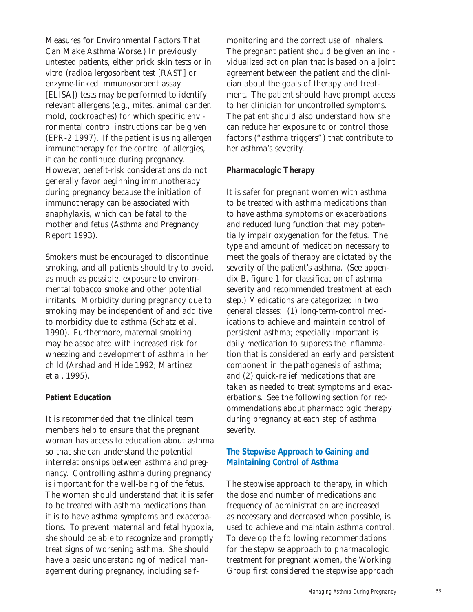Measures for Environmental Factors That Can Make Asthma Worse.) In previously untested patients, either prick skin tests or in vitro (radioallergosorbent test [RAST] or enzyme-linked immunosorbent assay [ELISA]) tests may be performed to identify relevant allergens (e.g., mites, animal dander, mold, cockroaches) for which specific environmental control instructions can be given (EPR-2 1997). If the patient is using allergen immunotherapy for the control of allergies, it can be continued during pregnancy. However, benefit-risk considerations do not generally favor beginning immunotherapy during pregnancy because the initiation of immunotherapy can be associated with anaphylaxis, which can be fatal to the mother and fetus (Asthma and Pregnancy Report 1993).

Smokers must be encouraged to discontinue smoking, and all patients should try to avoid, as much as possible, exposure to environmental tobacco smoke and other potential irritants. Morbidity during pregnancy due to smoking may be independent of and additive to morbidity due to asthma (Schatz et al. 1990). Furthermore, maternal smoking may be associated with increased risk for wheezing and development of asthma in her child (Arshad and Hide 1992; Martinez et al. 1995).

# **Patient Education**

It is recommended that the clinical team members help to ensure that the pregnant woman has access to education about asthma so that she can understand the potential interrelationships between asthma and pregnancy. Controlling asthma during pregnancy is important for the well-being of the fetus. The woman should understand that it is safer to be treated with asthma medications than it is to have asthma symptoms and exacerbations. To prevent maternal and fetal hypoxia, she should be able to recognize and promptly treat signs of worsening asthma. She should have a basic understanding of medical management during pregnancy, including selfmonitoring and the correct use of inhalers. The pregnant patient should be given an individualized action plan that is based on a joint agreement between the patient and the clinician about the goals of therapy and treatment. The patient should have prompt access to her clinician for uncontrolled symptoms. The patient should also understand how she can reduce her exposure to or control those factors ("asthma triggers") that contribute to her asthma's severity.

### **Pharmacologic Therapy**

It is safer for pregnant women with asthma to be treated with asthma medications than to have asthma symptoms or exacerbations and reduced lung function that may potentially impair oxygenation for the fetus. The type and amount of medication necessary to meet the goals of therapy are dictated by the severity of the patient's asthma. (See appendix B, figure 1 for classification of asthma severity and recommended treatment at each step.) Medications are categorized in two general classes: (1) long-term-control medications to achieve and maintain control of persistent asthma; especially important is daily medication to suppress the inflammation that is considered an early and persistent component in the pathogenesis of asthma; and (2) quick-relief medications that are taken as needed to treat symptoms and exacerbations. See the following section for recommendations about pharmacologic therapy during pregnancy at each step of asthma severity.

# **The Stepwise Approach to Gaining and Maintaining Control of Asthma**

The stepwise approach to therapy, in which the dose and number of medications and frequency of administration are increased as necessary and decreased when possible, is used to achieve and maintain asthma control. To develop the following recommendations for the stepwise approach to pharmacologic treatment for pregnant women, the Working Group first considered the stepwise approach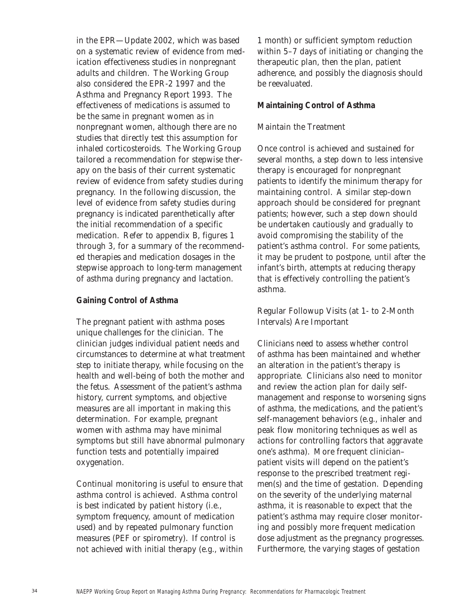in the EPR—Update 2002, which was based on a systematic review of evidence from medication effectiveness studies in nonpregnant adults and children. The Working Group also considered the EPR-2 1997 and the Asthma and Pregnancy Report 1993. The effectiveness of medications is assumed to be the same in pregnant women as in nonpregnant women, although there are no studies that directly test this assumption for inhaled corticosteroids. The Working Group tailored a recommendation for stepwise therapy on the basis of their current systematic review of evidence from safety studies during pregnancy. In the following discussion, the level of evidence from safety studies during pregnancy is indicated parenthetically after the initial recommendation of a specific medication. Refer to appendix B, figures 1 through 3, for a summary of the recommended therapies and medication dosages in the stepwise approach to long-term management of asthma during pregnancy and lactation.

### **Gaining Control of Asthma**

The pregnant patient with asthma poses unique challenges for the clinician. The clinician judges individual patient needs and circumstances to determine at what treatment step to initiate therapy, while focusing on the health and well-being of both the mother and the fetus. Assessment of the patient's asthma history, current symptoms, and objective measures are all important in making this determination. For example, pregnant women with asthma may have minimal symptoms but still have abnormal pulmonary function tests and potentially impaired oxygenation.

Continual monitoring is useful to ensure that asthma control is achieved. Asthma control is best indicated by patient history (i.e., symptom frequency, amount of medication used) and by repeated pulmonary function measures (PEF or spirometry). If control is not achieved with initial therapy (e.g., within 1 month) or sufficient symptom reduction within 5–7 days of initiating or changing the therapeutic plan, then the plan, patient adherence, and possibly the diagnosis should be reevaluated.

### **Maintaining Control of Asthma**

# *Maintain the Treatment*

Once control is achieved and sustained for several months, a step down to less intensive therapy is encouraged for nonpregnant patients to identify the minimum therapy for maintaining control. A similar step-down approach should be considered for pregnant patients; however, such a step down should be undertaken cautiously and gradually to avoid compromising the stability of the patient's asthma control. For some patients, it may be prudent to postpone, until after the infant's birth, attempts at reducing therapy that is effectively controlling the patient's asthma.

# *Regular Followup Visits (at 1- to 2-Month Intervals) Are Important*

Clinicians need to assess whether control of asthma has been maintained and whether an alteration in the patient's therapy is appropriate. Clinicians also need to monitor and review the action plan for daily selfmanagement and response to worsening signs of asthma, the medications, and the patient's self-management behaviors (e.g., inhaler and peak flow monitoring techniques as well as actions for controlling factors that aggravate one's asthma). More frequent clinician– patient visits will depend on the patient's response to the prescribed treatment regimen(s) and the time of gestation. Depending on the severity of the underlying maternal asthma, it is reasonable to expect that the patient's asthma may require closer monitoring and possibly more frequent medication dose adjustment as the pregnancy progresses. Furthermore, the varying stages of gestation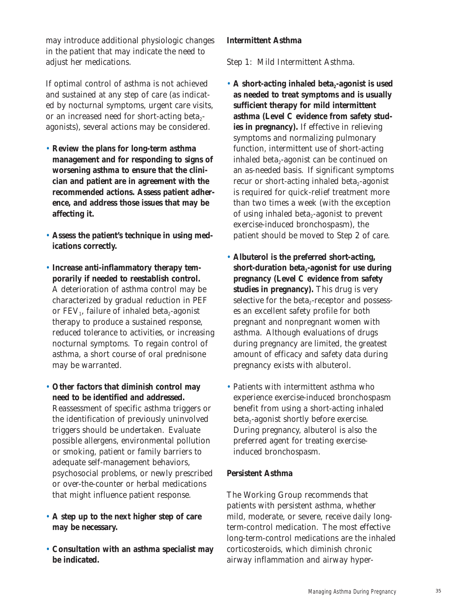may introduce additional physiologic changes in the patient that may indicate the need to adjust her medications.

If optimal control of asthma is not achieved and sustained at any step of care (as indicated by nocturnal symptoms, urgent care visits, or an increased need for short-acting beta $_{2}$ agonists), several actions may be considered.

- **Review the plans for long-term asthma management and for responding to signs of worsening asthma to ensure that the clinician and patient are in agreement with the recommended actions. Assess patient adherence, and address those issues that may be affecting it.**
- **Assess the patient's technique in using medications correctly.**
- **Increase anti-inflammatory therapy temporarily if needed to reestablish control.** A deterioration of asthma control may be characterized by gradual reduction in PEF or  $FEV_1$ , failure of inhaled beta<sub>2</sub>-agonist therapy to produce a sustained response, reduced tolerance to activities, or increasing nocturnal symptoms. To regain control of asthma, a short course of oral prednisone may be warranted.
- **Other factors that diminish control may need to be identified and addressed.** Reassessment of specific asthma triggers or the identification of previously uninvolved triggers should be undertaken. Evaluate possible allergens, environmental pollution or smoking, patient or family barriers to adequate self-management behaviors, psychosocial problems, or newly prescribed or over-the-counter or herbal medications that might influence patient response.
- **A step up to the next higher step of care may be necessary.**
- **Consultation with an asthma specialist may be indicated.**

# **Intermittent Asthma**

# *Step 1: Mild Intermittent Asthma.*

- A short-acting inhaled beta<sub>2</sub>-agonist is used **as needed to treat symptoms and is usually sufficient therapy for mild intermittent asthma (Level C evidence from safety studies in pregnancy).** If effective in relieving symptoms and normalizing pulmonary function, intermittent use of short-acting inhaled beta $_2$ -agonist can be continued on an as-needed basis. If significant symptoms recur or short-acting inhaled beta $_2$ -agonist is required for quick-relief treatment more than two times a week (with the exception of using inhaled beta $_2$ -agonist to prevent exercise-induced bronchospasm), the patient should be moved to Step 2 of care.
- **Albuterol is the preferred short-acting,** short-duration beta<sub>2</sub>-agonist for use during **pregnancy (Level C evidence from safety studies in pregnancy).** This drug is very selective for the beta<sub>2</sub>-receptor and possesses an excellent safety profile for both pregnant and nonpregnant women with asthma. Although evaluations of drugs during pregnancy are limited, the greatest amount of efficacy and safety data during pregnancy exists with albuterol.
- Patients with intermittent asthma who experience exercise-induced bronchospasm benefit from using a short-acting inhaled  $beta_2$ -agonist shortly before exercise. During pregnancy, albuterol is also the preferred agent for treating exerciseinduced bronchospasm.

# **Persistent Asthma**

The Working Group recommends that patients with persistent asthma, whether mild, moderate, or severe, receive daily longterm-control medication. The most effective long-term-control medications are the inhaled corticosteroids, which diminish chronic airway inflammation and airway hyper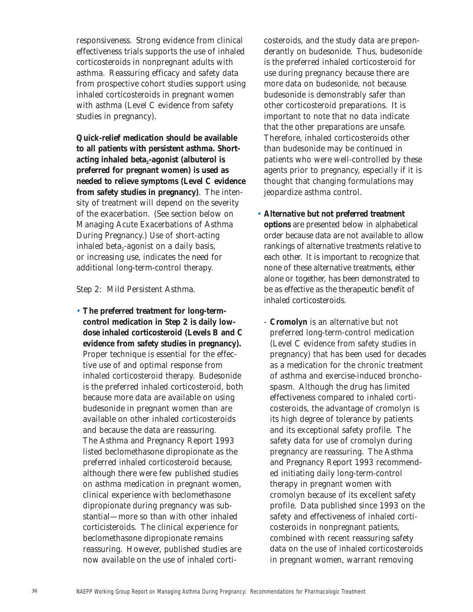responsiveness. Strong evidence from clinical effectiveness trials supports the use of inhaled corticosteroids in nonpregnant adults with asthma. Reassuring efficacy and safety data from prospective cohort studies support using inhaled corticosteroids in pregnant women with asthma (Level C evidence from safety studies in pregnancy).

**Quick-relief medication should be available to all patients with persistent asthma. Short**acting inhaled beta<sub>2</sub>-agonist (albuterol is **preferred for pregnant women) is used as needed to relieve symptoms (Level C evidence from safety studies in pregnancy)**. The intensity of treatment will depend on the severity of the exacerbation. (See section below on Managing Acute Exacerbations of Asthma During Pregnancy.) Use of short-acting inhaled beta $_2$ -agonist on a daily basis, or increasing use, indicates the need for additional long-term-control therapy.

#### *Step 2: Mild Persistent Asthma.*

• **The preferred treatment for long-termcontrol medication in Step 2 is daily lowdose inhaled corticosteroid (Levels B and C evidence from safety studies in pregnancy).** Proper technique is essential for the effective use of and optimal response from inhaled corticosteroid therapy. Budesonide is the preferred inhaled corticosteroid, both because more data are available on using budesonide in pregnant women than are available on other inhaled corticosteroids and because the data are reassuring. The Asthma and Pregnancy Report 1993 listed beclomethasone dipropionate as the preferred inhaled corticosteroid because, although there were few published studies on asthma medication in pregnant women, clinical experience with beclomethasone dipropionate during pregnancy was substantial—more so than with other inhaled corticisteroids. The clinical experience for beclomethasone dipropionate remains reassuring. However, published studies are now available on the use of inhaled corti-

costeroids, and the study data are preponderantly on budesonide. Thus, budesonide is the preferred inhaled corticosteroid for use during pregnancy because there are more data on budesonide, not because budesonide is demonstrably safer than other corticosteroid preparations. It is important to note that no data indicate that the other preparations are unsafe. Therefore, inhaled corticosteroids other than budesonide may be continued in patients who were well-controlled by these agents prior to pregnancy, especially if it is thought that changing formulations may jeopardize asthma control.

- **Alternative but not preferred treatment options** are presented below in alphabetical order because data are not available to allow rankings of alternative treatments relative to each other. It is important to recognize that none of these alternative treatments, either alone or together, has been demonstrated to be as effective as the therapeutic benefit of inhaled corticosteroids.
	- **Cromolyn** is an alternative but not preferred long-term-control medication (Level C evidence from safety studies in pregnancy) that has been used for decades as a medication for the chronic treatment of asthma and exercise-induced bronchospasm. Although the drug has limited effectiveness compared to inhaled corticosteroids, the advantage of cromolyn is its high degree of tolerance by patients and its exceptional safety profile. The safety data for use of cromolyn during pregnancy are reassuring. The Asthma and Pregnancy Report 1993 recommended initiating daily long-term-control therapy in pregnant women with cromolyn because of its excellent safety profile. Data published since 1993 on the safety and effectiveness of inhaled corticosteroids in nonpregnant patients, combined with recent reassuring safety data on the use of inhaled corticosteroids in pregnant women, warrant removing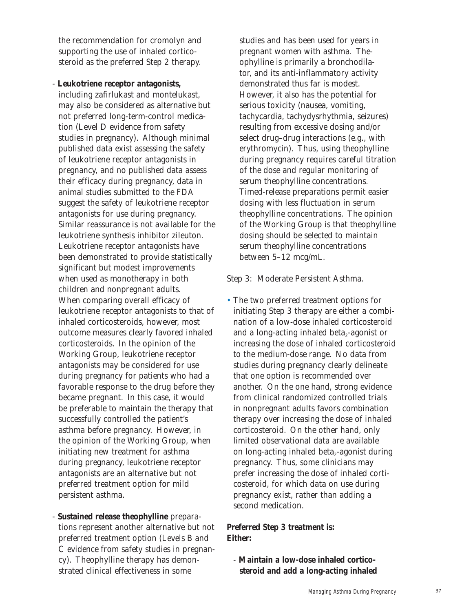the recommendation for cromolyn and supporting the use of inhaled corticosteroid as the preferred Step 2 therapy.

- **Leukotriene receptor antagonists,** 

including zafirlukast and montelukast, may also be considered as alternative but not preferred long-term-control medication (Level D evidence from safety studies in pregnancy). Although minimal published data exist assessing the safety of leukotriene receptor antagonists in pregnancy, and no published data assess their efficacy during pregnancy, data in animal studies submitted to the FDA suggest the safety of leukotriene receptor antagonists for use during pregnancy. Similar reassurance is not available for the leukotriene synthesis inhibitor zileuton. Leukotriene receptor antagonists have been demonstrated to provide statistically significant but modest improvements when used as monotherapy in both children and nonpregnant adults. When comparing overall efficacy of leukotriene receptor antagonists to that of inhaled corticosteroids, however, most outcome measures clearly favored inhaled corticosteroids. In the opinion of the Working Group, leukotriene receptor antagonists may be considered for use during pregnancy for patients who had a favorable response to the drug before they became pregnant. In this case, it would be preferable to maintain the therapy that successfully controlled the patient's asthma before pregnancy. However, in the opinion of the Working Group, when initiating new treatment for asthma during pregnancy, leukotriene receptor antagonists are an alternative but not preferred treatment option for mild persistent asthma.

- **Sustained release theophylline** preparations represent another alternative but not preferred treatment option (Levels B and C evidence from safety studies in pregnancy). Theophylline therapy has demonstrated clinical effectiveness in some

studies and has been used for years in pregnant women with asthma. Theophylline is primarily a bronchodilator, and its anti-inflammatory activity demonstrated thus far is modest. However, it also has the potential for serious toxicity (nausea, vomiting, tachycardia, tachydysrhythmia, seizures) resulting from excessive dosing and/or select drug–drug interactions (e.g., with erythromycin). Thus, using theophylline during pregnancy requires careful titration of the dose and regular monitoring of serum theophylline concentrations. Timed-release preparations permit easier dosing with less fluctuation in serum theophylline concentrations. The opinion of the Working Group is that theophylline dosing should be selected to maintain serum theophylline concentrations between 5–12 mcg/mL.

### *Step 3: Moderate Persistent Asthma.*

• The two preferred treatment options for initiating Step 3 therapy are either a combination of a low-dose inhaled corticosteroid and a long-acting inhaled beta<sub> $2$ </sub>-agonist or increasing the dose of inhaled corticosteroid to the medium-dose range. No data from studies during pregnancy clearly delineate that one option is recommended over another. On the one hand, strong evidence from clinical randomized controlled trials in nonpregnant adults favors combination therapy over increasing the dose of inhaled corticosteroid. On the other hand, only limited observational data are available on long-acting inhaled beta $_2$ -agonist during pregnancy. Thus, some clinicians may prefer increasing the dose of inhaled corticosteroid, for which data on use during pregnancy exist, rather than adding a second medication.

# **Preferred Step 3 treatment is: Either:**

- **Maintain a low-dose inhaled corticosteroid and add a long-acting inhaled**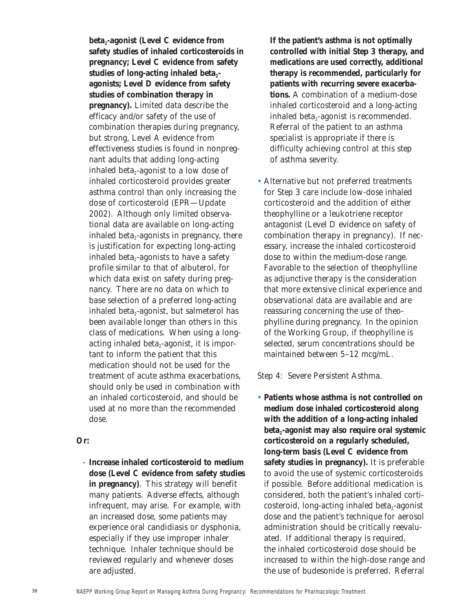**beta<sub>2</sub>-agonist (Level C evidence from safety studies of inhaled corticosteroids in pregnancy; Level C evidence from safety**  studies of long-acting inhaled beta<sub>2</sub>**agonists; Level D evidence from safety studies of combination therapy in pregnancy).** Limited data describe the efficacy and/or safety of the use of combination therapies during pregnancy, but strong, Level A evidence from effectiveness studies is found in nonpregnant adults that adding long-acting inhaled beta $_2$ -agonist to a low dose of inhaled corticosteroid provides greater asthma control than only increasing the dose of corticosteroid (EPR—Update 2002). Although only limited observational data are available on long-acting inhaled beta $_2$ -agonists in pregnancy, there is justification for expecting long-acting inhaled beta<sub>2</sub>-agonists to have a safety profile similar to that of albuterol, for which data exist on safety during pregnancy. There are no data on which to base selection of a preferred long-acting inhaled beta<sub>2</sub>-agonist, but salmeterol has been available longer than others in this class of medications. When using a longacting inhaled beta $_2$ -agonist, it is important to inform the patient that this medication should not be used for the treatment of acute asthma exacerbations, should only be used in combination with an inhaled corticosteroid, and should be used at no more than the recommended dose.

**Or:**

- **Increase inhaled corticosteroid to medium dose (Level C evidence from safety studies in pregnancy)**. This strategy will benefit many patients. Adverse effects, although infrequent, may arise. For example, with an increased dose, some patients may experience oral candidiasis or dysphonia, especially if they use improper inhaler technique. Inhaler technique should be reviewed regularly and whenever doses are adjusted.

**If the patient's asthma is not optimally controlled with initial Step 3 therapy, and medications are used correctly, additional therapy is recommended, particularly for patients with recurring severe exacerbations.** A combination of a medium-dose inhaled corticosteroid and a long-acting inhaled beta $_2$ -agonist is recommended. Referral of the patient to an asthma specialist is appropriate if there is difficulty achieving control at this step of asthma severity.

• Alternative but not preferred treatments for Step 3 care include low-dose inhaled corticosteroid and the addition of either theophylline or a leukotriene receptor antagonist (Level D evidence on safety of combination therapy in pregnancy). If necessary, increase the inhaled corticosteroid dose to within the medium-dose range. Favorable to the selection of theophylline as adjunctive therapy is the consideration that more extensive clinical experience and observational data are available and are reassuring concerning the use of theophylline during pregnancy. In the opinion of the Working Group, if theophylline is selected, serum concentrations should be maintained between 5–12 mcg/mL.

# *Step 4: Severe Persistent Asthma.*

• **Patients whose asthma is not controlled on medium dose inhaled corticosteroid along with the addition of a long-acting inhaled** beta<sub>2</sub>-agonist may also require oral systemic **corticosteroid on a regularly scheduled, long-term basis (Level C evidence from safety studies in pregnancy).** It is preferable to avoid the use of systemic corticosteroids if possible. Before additional medication is considered, both the patient's inhaled corticosteroid, long-acting inhaled beta $_2$ -agonist dose and the patient's technique for aerosol administration should be critically reevaluated. If additional therapy is required, the inhaled corticosteroid dose should be increased to within the high-dose range and the use of budesonide is preferred. Referral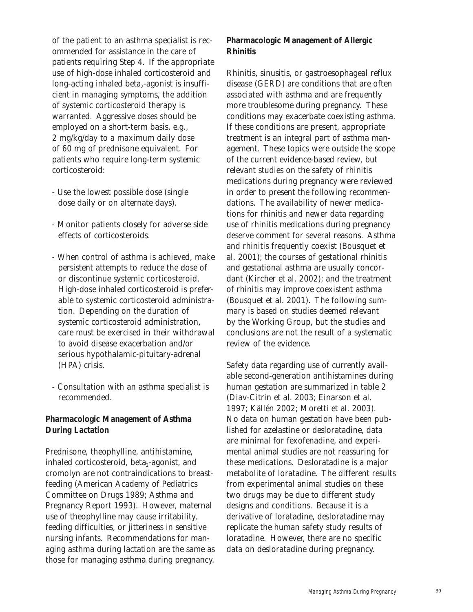of the patient to an asthma specialist is recommended for assistance in the care of patients requiring Step 4. If the appropriate use of high-dose inhaled corticosteroid and long-acting inhaled beta<sub>2</sub>-agonist is insufficient in managing symptoms, the addition of systemic corticosteroid therapy is warranted. Aggressive doses should be employed on a short-term basis, e.g., 2 mg/kg/day to a maximum daily dose of 60 mg of prednisone equivalent. For patients who require long-term systemic corticosteroid:

- Use the lowest possible dose (single dose daily or on alternate days).
- Monitor patients closely for adverse side effects of corticosteroids.
- When control of asthma is achieved, make persistent attempts to reduce the dose of or discontinue systemic corticosteroid. High-dose inhaled corticosteroid is preferable to systemic corticosteroid administration. Depending on the duration of systemic corticosteroid administration, care must be exercised in their withdrawal to avoid disease exacerbation and/or serious hypothalamic-pituitary-adrenal (HPA) crisis.
- Consultation with an asthma specialist is recommended.

# **Pharmacologic Management of Asthma During Lactation**

Prednisone, theophylline, antihistamine, inhaled corticosteroid, beta $_2$ -agonist, and cromolyn are not contraindications to breastfeeding (American Academy of Pediatrics Committee on Drugs 1989; Asthma and Pregnancy Report 1993). However, maternal use of theophylline may cause irritability, feeding difficulties, or jitteriness in sensitive nursing infants. Recommendations for managing asthma during lactation are the same as those for managing asthma during pregnancy.

# **Pharmacologic Management of Allergic Rhinitis**

Rhinitis, sinusitis, or gastroesophageal reflux disease (GERD) are conditions that are often associated with asthma and are frequently more troublesome during pregnancy. These conditions may exacerbate coexisting asthma. If these conditions are present, appropriate treatment is an integral part of asthma management. These topics were outside the scope of the current evidence-based review, but relevant studies on the safety of rhinitis medications during pregnancy were reviewed in order to present the following recommendations. The availability of newer medications for rhinitis and newer data regarding use of rhinitis medications during pregnancy deserve comment for several reasons. Asthma and rhinitis frequently coexist (Bousquet et al. 2001); the courses of gestational rhinitis and gestational asthma are usually concordant (Kircher et al. 2002); and the treatment of rhinitis may improve coexistent asthma (Bousquet et al. 2001). The following summary is based on studies deemed relevant by the Working Group, but the studies and conclusions are not the result of a systematic review of the evidence.

Safety data regarding use of currently available second-generation antihistamines during human gestation are summarized in table 2 (Diav-Citrin et al. 2003; Einarson et al. 1997; Källén 2002; Moretti et al. 2003). No data on human gestation have been published for azelastine or desloratadine, data are minimal for fexofenadine, and experimental animal studies are not reassuring for these medications. Desloratadine is a major metabolite of loratadine. The different results from experimental animal studies on these two drugs may be due to different study designs and conditions. Because it is a derivative of loratadine, desloratadine may replicate the human safety study results of loratadine. However, there are no specific data on desloratadine during pregnancy.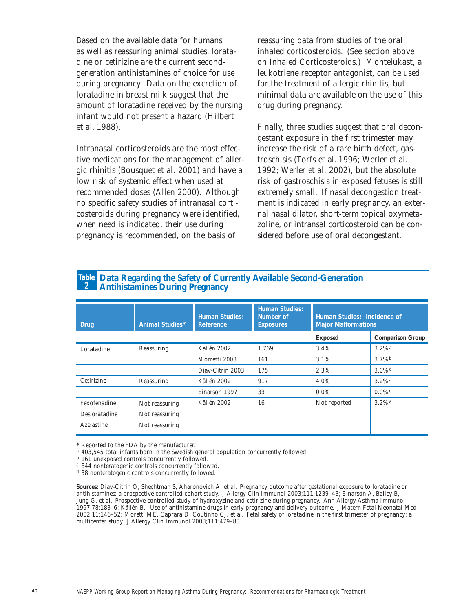Based on the available data for humans as well as reassuring animal studies, loratadine or cetirizine are the current secondgeneration antihistamines of choice for use during pregnancy. Data on the excretion of loratadine in breast milk suggest that the amount of loratadine received by the nursing infant would not present a hazard (Hilbert et al. 1988).

Intranasal corticosteroids are the most effective medications for the management of allergic rhinitis (Bousquet et al. 2001) and have a low risk of systemic effect when used at recommended doses (Allen 2000). Although no specific safety studies of intranasal corticosteroids during pregnancy were identified, when need is indicated, their use during pregnancy is recommended, on the basis of

reassuring data from studies of the oral inhaled corticosteroids. (See section above on Inhaled Corticosteroids.) Montelukast, a leukotriene receptor antagonist, can be used for the treatment of allergic rhinitis, but minimal data are available on the use of this drug during pregnancy.

Finally, three studies suggest that oral decongestant exposure in the first trimester may increase the risk of a rare birth defect, gastroschisis (Torfs et al. 1996; Werler et al. 1992; Werler et al. 2002), but the absolute risk of gastroschisis in exposed fetuses is still extremely small. If nasal decongestion treatment is indicated in early pregnancy, an external nasal dilator, short-term topical oxymetazoline, or intransal corticosteroid can be considered before use of oral decongestant.

| <b>Drug</b>   | <b>Animal Studies*</b> | <b>Human Studies:</b><br><b>Reference</b> | <b>Human Studies:</b><br><b>Number of</b><br><b>Exposures</b> | <b>Human Studies: Incidence of</b><br><b>Major Malformations</b> |                         |
|---------------|------------------------|-------------------------------------------|---------------------------------------------------------------|------------------------------------------------------------------|-------------------------|
|               |                        |                                           |                                                               | <b>Exposed</b>                                                   | <b>Comparison Group</b> |
| Loratadine    | Reassuring             | Källén 2002                               | 1.769                                                         | 3.4%                                                             | $3.2%$ <sup>a</sup>     |
|               |                        | Morretti 2003                             | 161                                                           | 3.1%                                                             | $3.7\%$                 |
|               |                        | Diav-Citrin 2003                          | 175                                                           | 2.3%                                                             | $3.0\%$ c               |
| Cetirizine    | Reassuring             | Källén 2002                               | 917                                                           | 4.0%                                                             | $3.2\%$ <sup>a</sup>    |
|               |                        | Einarson 1997                             | 33                                                            | $0.0\%$                                                          | $0.0\%$ <sup>d</sup>    |
| Fexofenadine  | Not reassuring         | Källén 2002                               | 16                                                            | Not reported                                                     | $3.2\%$ <sup>a</sup>    |
| Desloratadine | Not reassuring         |                                           |                                                               |                                                                  |                         |
| Azelastine    | Not reassuring         |                                           |                                                               |                                                                  |                         |

# **Data Regarding the Safety of Currently Available Second-Generation Table Antihistamines During Pregnancy 2**

\* Reported to the FDA by the manufacturer.

a 403,545 total infants born in the Swedish general population concurrently followed.

b 161 unexposed controls concurrently followed.

c 844 nonteratogenic controls concurrently followed.

d 38 nonteratogenic controls concurrently followed.

**Sources:** Diav-Citrin O, Shechtman S, Aharonovich A, et al. Pregnancy outcome after gestational exposure to loratadine or antihistamines: a prospective controlled cohort study. *J Allergy Clin Immunol* 2003;111:1239–43; Einarson A, Bailey B, Jung G, et al. Prospective controlled study of hydroxyzine and cetirizine during pregnancy. *Ann Allergy Asthma Immunol* 1997;78:183–6; Källén B. Use of antihistamine drugs in early pregnancy and delivery outcome. *J Matern Fetal Neonatal Med* 2002;11:146–52; Moretti ME, Caprara D, Coutinho CJ, et al. Fetal safety of loratadine in the first trimester of pregnancy: a multicenter study. *J Allergy Clin Immunol* 2003;111:479–83.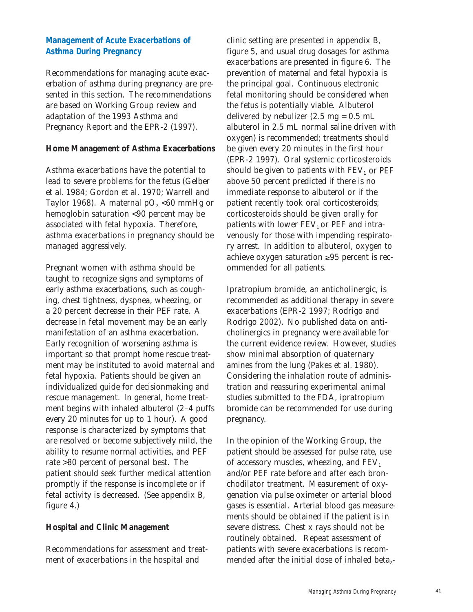# **Management of Acute Exacerbations of Asthma During Pregnancy**

Recommendations for managing acute exacerbation of asthma during pregnancy are presented in this section. The recommendations are based on Working Group review and adaptation of the 1993 Asthma and Pregnancy Report and the EPR-2 (1997).

## **Home Management of Asthma Exacerbations**

Asthma exacerbations have the potential to lead to severe problems for the fetus (Gelber et al. 1984; Gordon et al. 1970; Warrell and Taylor 1968). A maternal  $pO<sub>2</sub> < 60$  mmHg or hemoglobin saturation <90 percent may be associated with fetal hypoxia. Therefore, asthma exacerbations in pregnancy should be managed aggressively.

Pregnant women with asthma should be taught to recognize signs and symptoms of early asthma exacerbations, such as coughing, chest tightness, dyspnea, wheezing, or a 20 percent decrease in their PEF rate. A decrease in fetal movement may be an early manifestation of an asthma exacerbation. Early recognition of worsening asthma is important so that prompt home rescue treatment may be instituted to avoid maternal and fetal hypoxia. Patients should be given an individualized guide for decisionmaking and rescue management. In general, home treatment begins with inhaled albuterol (2–4 puffs every 20 minutes for up to 1 hour). A good response is characterized by symptoms that are resolved or become subjectively mild, the ability to resume normal activities, and PEF rate >80 percent of personal best. The patient should seek further medical attention promptly if the response is incomplete or if fetal activity is decreased. (See appendix B, figure 4.)

# **Hospital and Clinic Management**

Recommendations for assessment and treatment of exacerbations in the hospital and

clinic setting are presented in appendix B, figure 5, and usual drug dosages for asthma exacerbations are presented in figure 6. The prevention of maternal and fetal hypoxia is the principal goal. Continuous electronic fetal monitoring should be considered when the fetus is potentially viable. Albuterol delivered by nebulizer  $(2.5 \text{ mg} = 0.5 \text{ mL})$ albuterol in 2.5 mL normal saline driven with oxygen) is recommended; treatments should be given every 20 minutes in the first hour (EPR-2 1997). Oral systemic corticosteroids should be given to patients with  $FEV<sub>1</sub>$  or  $PEF$ above 50 percent predicted if there is no immediate response to albuterol or if the patient recently took oral corticosteroids; corticosteroids should be given orally for patients with lower  $FEV<sub>1</sub>$  or PEF and intravenously for those with impending respiratory arrest. In addition to albuterol, oxygen to achieve oxygen saturation ≥95 percent is recommended for all patients.

Ipratropium bromide, an anticholinergic, is recommended as additional therapy in severe exacerbations (EPR-2 1997; Rodrigo and Rodrigo 2002). No published data on anticholinergics in pregnancy were available for the current evidence review. However, studies show minimal absorption of quaternary amines from the lung (Pakes et al. 1980). Considering the inhalation route of administration and reassuring experimental animal studies submitted to the FDA, ipratropium bromide can be recommended for use during pregnancy.

In the opinion of the Working Group, the patient should be assessed for pulse rate, use of accessory muscles, wheezing, and  $FEV<sub>1</sub>$ and/or PEF rate before and after each bronchodilator treatment. Measurement of oxygenation via pulse oximeter or arterial blood gases is essential. Arterial blood gas measurements should be obtained if the patient is in severe distress. Chest x rays should not be routinely obtained. Repeat assessment of patients with severe exacerbations is recommended after the initial dose of inhaled beta<sub>2</sub>-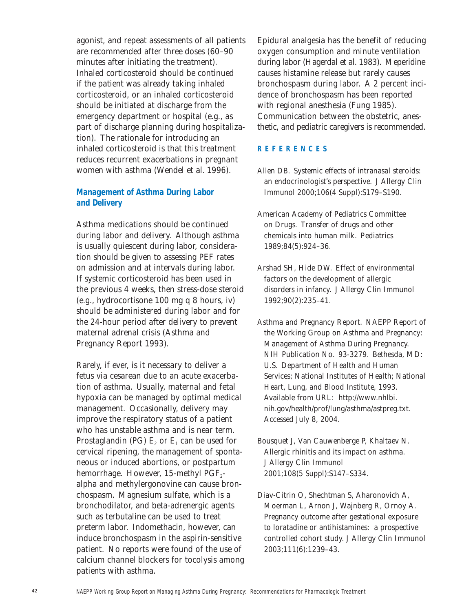agonist, and repeat assessments of all patients are recommended after three doses (60–90 minutes after initiating the treatment). Inhaled corticosteroid should be continued if the patient was already taking inhaled corticosteroid, or an inhaled corticosteroid should be initiated at discharge from the emergency department or hospital (e.g., as part of discharge planning during hospitalization). The rationale for introducing an inhaled corticosteroid is that this treatment reduces recurrent exacerbations in pregnant women with asthma (Wendel et al. 1996).

# **Management of Asthma During Labor and Delivery**

Asthma medications should be continued during labor and delivery. Although asthma is usually quiescent during labor, consideration should be given to assessing PEF rates on admission and at intervals during labor. If systemic corticosteroid has been used in the previous 4 weeks, then stress-dose steroid (e.g., hydrocortisone 100 mg q 8 hours, iv) should be administered during labor and for the 24-hour period after delivery to prevent maternal adrenal crisis (Asthma and Pregnancy Report 1993).

Rarely, if ever, is it necessary to deliver a fetus via cesarean due to an acute exacerbation of asthma. Usually, maternal and fetal hypoxia can be managed by optimal medical management. Occasionally, delivery may improve the respiratory status of a patient who has unstable asthma and is near term. Prostaglandin (PG)  $E_2$  or  $E_1$  can be used for cervical ripening, the management of spontaneous or induced abortions, or postpartum hemorrhage. However, 15-methyl  $PGF_{2}$ alpha and methylergonovine can cause bronchospasm. Magnesium sulfate, which is a bronchodilator, and beta-adrenergic agents such as terbutaline can be used to treat preterm labor. Indomethacin, however, can induce bronchospasm in the aspirin-sensitive patient. No reports were found of the use of calcium channel blockers for tocolysis among patients with asthma.

Epidural analgesia has the benefit of reducing oxygen consumption and minute ventilation during labor (Hagerdal et al. 1983). Meperidine causes histamine release but rarely causes bronchospasm during labor. A 2 percent incidence of bronchospasm has been reported with regional anesthesia (Fung 1985). Communication between the obstetric, anesthetic, and pediatric caregivers is recommended.

# **REFERENCES**

- Allen DB. Systemic effects of intranasal steroids: an endocrinologist's perspective. *J Allergy Clin Immunol* 2000;106(4 Suppl):S179–S190.
- American Academy of Pediatrics Committee on Drugs. Transfer of drugs and other chemicals into human milk. *Pediatrics* 1989;84(5):924–36.
- Arshad SH, Hide DW. Effect of environmental factors on the development of allergic disorders in infancy. *J Allergy Clin Immunol* 1992;90(2):235–41.
- Asthma and Pregnancy Report. NAEPP Report of the Working Group on Asthma and Pregnancy: Management of Asthma During Pregnancy. NIH Publication No. 93-3279. Bethesda, MD: U.S. Department of Health and Human Services; National Institutes of Health; National Heart, Lung, and Blood Institute, 1993. Available from URL: http://www.nhlbi. nih.gov/health/prof/lung/asthma/astpreg.txt. Accessed July 8, 2004.
- Bousquet J, Van Cauwenberge P, Khaltaev N. Allergic rhinitis and its impact on asthma. *J Allergy Clin Immunol* 2001;108(5 Suppl):S147–S334.
- Diav-Citrin O, Shechtman S, Aharonovich A, Moerman L, Arnon J, Wajnberg R, Ornoy A. Pregnancy outcome after gestational exposure to loratadine or antihistamines: a prospective controlled cohort study. *J Allergy Clin Immunol* 2003;111(6):1239–43.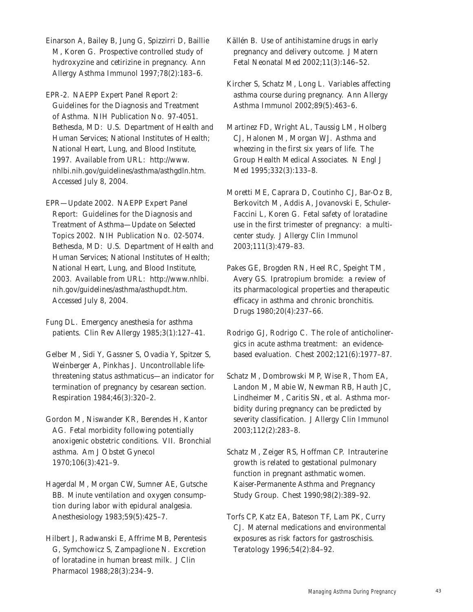Einarson A, Bailey B, Jung G, Spizzirri D, Baillie M, Koren G. Prospective controlled study of hydroxyzine and cetirizine in pregnancy. *Ann Allergy Asthma Immunol* 1997;78(2):183–6.

EPR-2. NAEPP Expert Panel Report 2: Guidelines for the Diagnosis and Treatment of Asthma. NIH Publication No. 97-4051. Bethesda, MD: U.S. Department of Health and Human Services; National Institutes of Health; National Heart, Lung, and Blood Institute, 1997. Available from URL: http://www. nhlbi.nih.gov/guidelines/asthma/asthgdln.htm. Accessed July 8, 2004.

EPR—Update 2002. NAEPP Expert Panel Report: Guidelines for the Diagnosis and Treatment of Asthma—Update on Selected Topics 2002. NIH Publication No. 02-5074. Bethesda, MD: U.S. Department of Health and Human Services; National Institutes of Health; National Heart, Lung, and Blood Institute, 2003. Available from URL: http://www.nhlbi. nih.gov/guidelines/asthma/asthupdt.htm. Accessed July 8, 2004.

Fung DL. Emergency anesthesia for asthma patients. *Clin Rev Allergy* 1985;3(1):127–41.

Gelber M, Sidi Y, Gassner S, Ovadia Y, Spitzer S, Weinberger A, Pinkhas J. Uncontrollable lifethreatening status asthmaticus—an indicator for termination of pregnancy by cesarean section. *Respiration* 1984;46(3):320–2.

Gordon M, Niswander KR, Berendes H, Kantor AG. Fetal morbidity following potentially anoxigenic obstetric conditions. VII. Bronchial asthma. *Am J Obstet Gynecol* 1970;106(3):421–9.

Hagerdal M, Morgan CW, Sumner AE, Gutsche BB. Minute ventilation and oxygen consumption during labor with epidural analgesia. *Anesthesiology* 1983;59(5):425–7.

Hilbert J, Radwanski E, Affrime MB, Perentesis G, Symchowicz S, Zampaglione N. Excretion of loratadine in human breast milk. *J Clin Pharmacol* 1988;28(3):234–9.

Källén B. Use of antihistamine drugs in early pregnancy and delivery outcome. *J Matern Fetal Neonatal Med* 2002;11(3):146–52.

Kircher S, Schatz M, Long L. Variables affecting asthma course during pregnancy. *Ann Allergy Asthma Immunol* 2002;89(5):463–6.

Martinez FD, Wright AL, Taussig LM, Holberg CJ, Halonen M, Morgan WJ. Asthma and wheezing in the first six years of life. The Group Health Medical Associates. *N Engl J Med* 1995;332(3):133–8.

Moretti ME, Caprara D, Coutinho CJ, Bar-Oz B, Berkovitch M, Addis A, Jovanovski E, Schuler-Faccini L, Koren G. Fetal safety of loratadine use in the first trimester of pregnancy: a multicenter study. *J Allergy Clin Immunol*  2003;111(3):479–83.

Pakes GE, Brogden RN, Heel RC, Speight TM, Avery GS. Ipratropium bromide: a review of its pharmacological properties and therapeutic efficacy in asthma and chronic bronchitis. *Drugs* 1980;20(4):237–66.

Rodrigo GJ, Rodrigo C. The role of anticholinergics in acute asthma treatment: an evidencebased evaluation. *Chest* 2002;121(6):1977–87.

Schatz M, Dombrowski MP, Wise R, Thom EA, Landon M, Mabie W, Newman RB, Hauth JC, Lindheimer M, Caritis SN, et al. Asthma morbidity during pregnancy can be predicted by severity classification. *J Allergy Clin Immunol* 2003;112(2):283–8.

Schatz M, Zeiger RS, Hoffman CP. Intrauterine growth is related to gestational pulmonary function in pregnant asthmatic women. Kaiser-Permanente Asthma and Pregnancy Study Group. *Chest* 1990;98(2):389–92.

Torfs CP, Katz EA, Bateson TF, Lam PK, Curry CJ. Maternal medications and environmental exposures as risk factors for gastroschisis. *Teratology* 1996;54(2):84–92.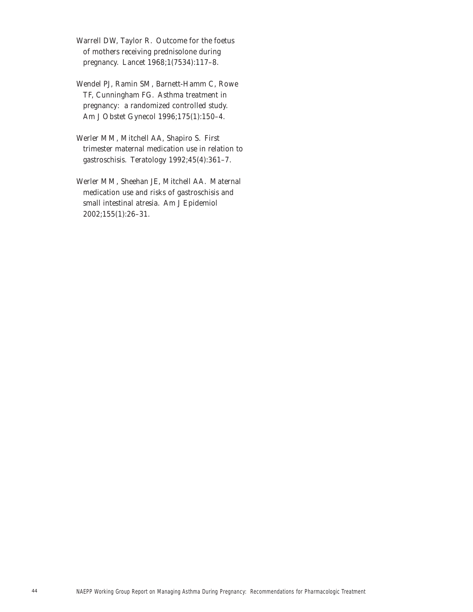Warrell DW, Taylor R. Outcome for the foetus of mothers receiving prednisolone during pregnancy. *Lancet* 1968;1(7534):117–8.

Wendel PJ, Ramin SM, Barnett-Hamm C, Rowe TF, Cunningham FG. Asthma treatment in pregnancy: a randomized controlled study. *Am J Obstet Gynecol* 1996;175(1):150–4.

Werler MM, Mitchell AA, Shapiro S. First trimester maternal medication use in relation to gastroschisis. *Teratology* 1992;45(4):361–7.

Werler MM, Sheehan JE, Mitchell AA. Maternal medication use and risks of gastroschisis and small intestinal atresia. *Am J Epidemiol* 2002;155(1):26–31.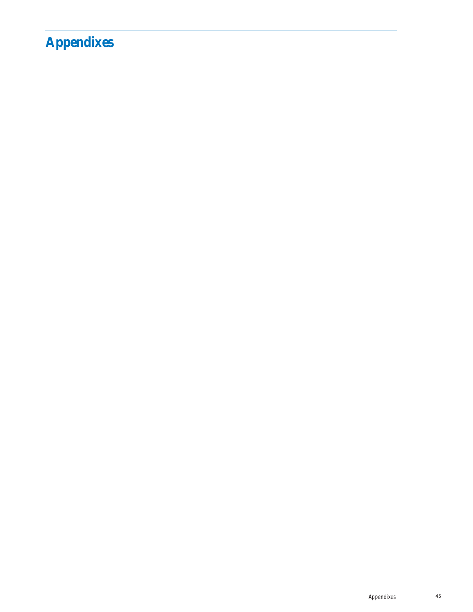# **Appendixes**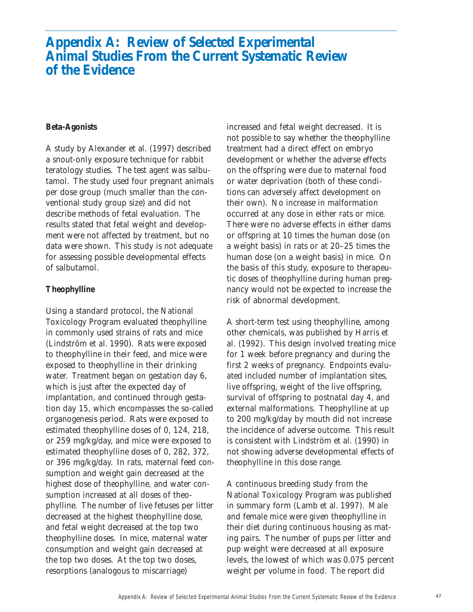# **Appendix A: Review of Selected Experimental Animal Studies From the Current Systematic Review of the Evidence**

#### **Beta-Agonists**

A study by Alexander et al. (1997) described a snout-only exposure technique for rabbit teratology studies. The test agent was salbutamol. The study used four pregnant animals per dose group (much smaller than the conventional study group size) and did not describe methods of fetal evaluation. The results stated that fetal weight and development were not affected by treatment, but no data were shown. This study is not adequate for assessing possible developmental effects of salbutamol.

#### **Theophylline**

Using a standard protocol, the National Toxicology Program evaluated theophylline in commonly used strains of rats and mice (Lindström et al. 1990). Rats were exposed to theophylline in their feed, and mice were exposed to theophylline in their drinking water. Treatment began on gestation day 6, which is just after the expected day of implantation, and continued through gestation day 15, which encompasses the so-called organogenesis period. Rats were exposed to estimated theophylline doses of 0, 124, 218, or 259 mg/kg/day, and mice were exposed to estimated theophylline doses of 0, 282, 372, or 396 mg/kg/day. In rats, maternal feed consumption and weight gain decreased at the highest dose of theophylline, and water consumption increased at all doses of theophylline. The number of live fetuses per litter decreased at the highest theophylline dose, and fetal weight decreased at the top two theophylline doses. In mice, maternal water consumption and weight gain decreased at the top two doses. At the top two doses, resorptions (analogous to miscarriage)

increased and fetal weight decreased. It is not possible to say whether the theophylline treatment had a direct effect on embryo development or whether the adverse effects on the offspring were due to maternal food or water deprivation (both of these conditions can adversely affect development on their own). No increase in malformation occurred at any dose in either rats or mice. There were no adverse effects in either dams or offspring at 10 times the human dose (on a weight basis) in rats or at 20–25 times the human dose (on a weight basis) in mice. On the basis of this study, exposure to therapeutic doses of theophylline during human pregnancy would not be expected to increase the risk of abnormal development.

A short-term test using theophylline, among other chemicals, was published by Harris et al. (1992). This design involved treating mice for 1 week before pregnancy and during the first 2 weeks of pregnancy. Endpoints evaluated included number of implantation sites, live offspring, weight of the live offspring, survival of offspring to postnatal day 4, and external malformations. Theophylline at up to 200 mg/kg/day by mouth did not increase the incidence of adverse outcome. This result is consistent with Lindström et al. (1990) in not showing adverse developmental effects of theophylline in this dose range.

A continuous breeding study from the National Toxicology Program was published in summary form (Lamb et al. 1997). Male and female mice were given theophylline in their diet during continuous housing as mating pairs. The number of pups per litter and pup weight were decreased at all exposure levels, the lowest of which was 0.075 percent weight per volume in food. The report did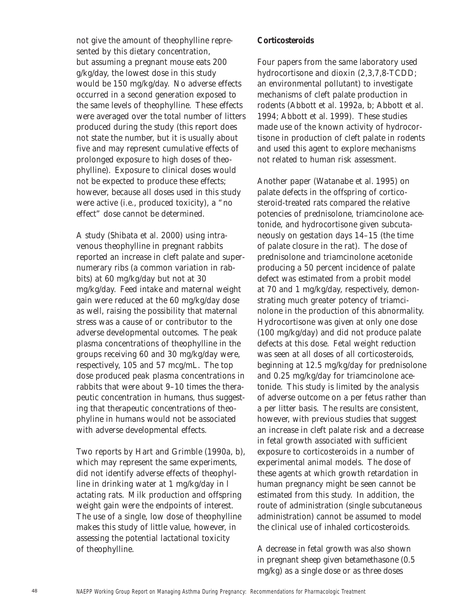not give the amount of theophylline represented by this dietary concentration, but assuming a pregnant mouse eats 200 g/kg/day, the lowest dose in this study would be 150 mg/kg/day. No adverse effects occurred in a second generation exposed to the same levels of theophylline. These effects were averaged over the total number of litters produced during the study (this report does not state the number, but it is usually about five and may represent cumulative effects of prolonged exposure to high doses of theophylline). Exposure to clinical doses would not be expected to produce these effects; however, because all doses used in this study were active (i.e., produced toxicity), a "no effect" dose cannot be determined.

A study (Shibata et al. 2000) using intravenous theophylline in pregnant rabbits reported an increase in cleft palate and supernumerary ribs (a common variation in rabbits) at 60 mg/kg/day but not at 30 mg/kg/day. Feed intake and maternal weight gain were reduced at the 60 mg/kg/day dose as well, raising the possibility that maternal stress was a cause of or contributor to the adverse developmental outcomes. The peak plasma concentrations of theophylline in the groups receiving 60 and 30 mg/kg/day were, respectively, 105 and 57 mcg/mL. The top dose produced peak plasma concentrations in rabbits that were about 9–10 times the therapeutic concentration in humans, thus suggesting that therapeutic concentrations of theophyline in humans would not be associated with adverse developmental effects.

Two reports by Hart and Grimble (1990*a, b*), which may represent the same experiments, did not identify adverse effects of theophylline in drinking water at 1 mg/kg/day in l actating rats. Milk production and offspring weight gain were the endpoints of interest. The use of a single, low dose of theophylline makes this study of little value, however, in assessing the potential lactational toxicity of theophylline.

### **Corticosteroids**

Four papers from the same laboratory used hydrocortisone and dioxin (2,3,7,8-TCDD; an environmental pollutant) to investigate mechanisms of cleft palate production in rodents (Abbott et al. 1992*a*, *b*; Abbott et al. 1994; Abbott et al. 1999). These studies made use of the known activity of hydrocortisone in production of cleft palate in rodents and used this agent to explore mechanisms not related to human risk assessment.

Another paper (Watanabe et al. 1995) on palate defects in the offspring of corticosteroid-treated rats compared the relative potencies of prednisolone, triamcinolone acetonide, and hydrocortisone given subcutaneously on gestation days 14–15 (the time of palate closure in the rat). The dose of prednisolone and triamcinolone acetonide producing a 50 percent incidence of palate defect was estimated from a probit model at 70 and 1 mg/kg/day, respectively, demonstrating much greater potency of triamcinolone in the production of this abnormality. Hydrocortisone was given at only one dose (100 mg/kg/day) and did not produce palate defects at this dose. Fetal weight reduction was seen at all doses of all corticosteroids, beginning at 12.5 mg/kg/day for prednisolone and 0.25 mg/kg/day for triamcinolone acetonide. This study is limited by the analysis of adverse outcome on a per fetus rather than a per litter basis. The results are consistent, however, with previous studies that suggest an increase in cleft palate risk and a decrease in fetal growth associated with sufficient exposure to corticosteroids in a number of experimental animal models. The dose of these agents at which growth retardation in human pregnancy might be seen cannot be estimated from this study. In addition, the route of administration (single subcutaneous administration) cannot be assumed to model the clinical use of inhaled corticosteroids.

A decrease in fetal growth was also shown in pregnant sheep given betamethasone (0.5 mg/kg) as a single dose or as three doses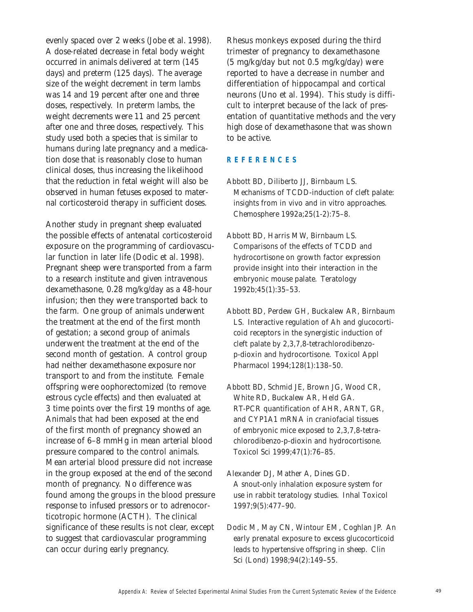evenly spaced over 2 weeks (Jobe et al. 1998). A dose-related decrease in fetal body weight occurred in animals delivered at term (145 days) and preterm (125 days). The average size of the weight decrement in term lambs was 14 and 19 percent after one and three doses, respectively. In preterm lambs, the weight decrements were 11 and 25 percent after one and three doses, respectively. This study used both a species that is similar to humans during late pregnancy and a medication dose that is reasonably close to human clinical doses, thus increasing the likelihood that the reduction in fetal weight will also be observed in human fetuses exposed to maternal corticosteroid therapy in sufficient doses.

Another study in pregnant sheep evaluated the possible effects of antenatal corticosteroid exposure on the programming of cardiovascular function in later life (Dodic et al. 1998). Pregnant sheep were transported from a farm to a research institute and given intravenous dexamethasone, 0.28 mg/kg/day as a 48-hour infusion; then they were transported back to the farm. One group of animals underwent the treatment at the end of the first month of gestation; a second group of animals underwent the treatment at the end of the second month of gestation. A control group had neither dexamethasone exposure nor transport to and from the institute. Female offspring were oophorectomized (to remove estrous cycle effects) and then evaluated at 3 time points over the first 19 months of age. Animals that had been exposed at the end of the first month of pregnancy showed an increase of 6–8 mmHg in mean arterial blood pressure compared to the control animals. Mean arterial blood pressure did not increase in the group exposed at the end of the second month of pregnancy. No difference was found among the groups in the blood pressure response to infused pressors or to adrenocorticotropic hormone (ACTH). The clinical significance of these results is not clear, except to suggest that cardiovascular programming can occur during early pregnancy.

Rhesus monkeys exposed during the third trimester of pregnancy to dexamethasone (5 mg/kg/day but not 0.5 mg/kg/day) were reported to have a decrease in number and differentiation of hippocampal and cortical neurons (Uno et al. 1994). This study is difficult to interpret because of the lack of presentation of quantitative methods and the very high dose of dexamethasone that was shown to be active.

### **REFERENCES**

- Abbott BD, Diliberto JJ, Birnbaum LS. Mechanisms of TCDD-induction of cleft palate: insights from in vivo and in vitro approaches. *Chemosphere* 1992*a*;25(1-2):75–8.
- Abbott BD, Harris MW, Birnbaum LS. Comparisons of the effects of TCDD and hydrocortisone on growth factor expression provide insight into their interaction in the embryonic mouse palate. *Teratology* 1992*b*;45(1):35–53.
- Abbott BD, Perdew GH, Buckalew AR, Birnbaum LS. Interactive regulation of Ah and glucocorticoid receptors in the synergistic induction of cleft palate by 2,3,7,8-tetrachlorodibenzop-dioxin and hydrocortisone. *Toxicol Appl Pharmacol* 1994;128(1):138–50.
- Abbott BD, Schmid JE, Brown JG, Wood CR, White RD, Buckalew AR, Held GA. RT-PCR quantification of AHR, ARNT, GR, and CYP1A1 mRNA in craniofacial tissues of embryonic mice exposed to 2,3,7,8-tetrachlorodibenzo-p-dioxin and hydrocortisone. *Toxicol Sci* 1999;47(1):76–85.
- Alexander DJ, Mather A, Dines GD. A snout-only inhalation exposure system for use in rabbit teratology studies. *Inhal Toxicol* 1997;9(5):477–90.
- Dodic M, May CN, Wintour EM, Coghlan JP. An early prenatal exposure to excess glucocorticoid leads to hypertensive offspring in sheep. *Clin Sci (Lond)* 1998;94(2):149–55.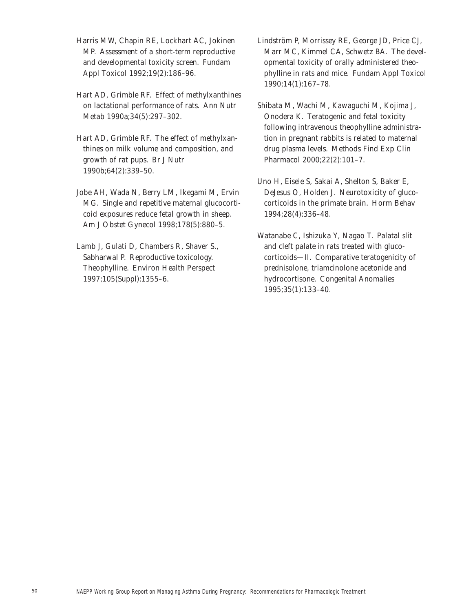- Harris MW, Chapin RE, Lockhart AC, Jokinen MP. Assessment of a short-term reproductive and developmental toxicity screen. *Fundam Appl Toxicol* 1992;19(2):186–96.
- Hart AD, Grimble RF. Effect of methylxanthines on lactational performance of rats. *Ann Nutr Metab* 1990*a*;34(5):297–302.
- Hart AD, Grimble RF. The effect of methylxanthines on milk volume and composition, and growth of rat pups. *Br J Nutr* 1990*b*;64(2):339–50.
- Jobe AH, Wada N, Berry LM, Ikegami M, Ervin MG. Single and repetitive maternal glucocorticoid exposures reduce fetal growth in sheep. *Am J Obstet Gynecol* 1998;178(5):880–5.
- Lamb J, Gulati D, Chambers R, Shaver S., Sabharwal P. Reproductive toxicology. Theophylline. *Environ Health Perspect* 1997;105(Suppl):1355–6.
- Lindström P, Morrissey RE, George JD, Price CJ, Marr MC, Kimmel CA, Schwetz BA. The developmental toxicity of orally administered theophylline in rats and mice. *Fundam Appl Toxicol* 1990;14(1):167–78.
- Shibata M, Wachi M, Kawaguchi M, Kojima J, Onodera K. Teratogenic and fetal toxicity following intravenous theophylline administration in pregnant rabbits is related to maternal drug plasma levels. *Methods Find Exp Clin Pharmacol* 2000;22(2):101–7.
- Uno H, Eisele S, Sakai A, Shelton S, Baker E, DeJesus O, Holden J. Neurotoxicity of glucocorticoids in the primate brain. *Horm Behav* 1994;28(4):336–48.
- Watanabe C, Ishizuka Y, Nagao T. Palatal slit and cleft palate in rats treated with glucocorticoids—II. Comparative teratogenicity of prednisolone, triamcinolone acetonide and hydrocortisone. *Congenital Anomalies*  1995;35(1):133–40.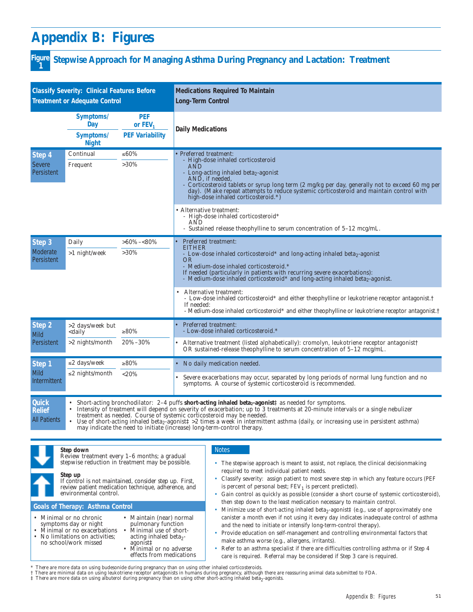# **Appendix B: Figures**

# **Stepwise Approach for Managing Asthma During Pregnancy and Lactation: Treatment Figure 1**

| <b>Classify Severity: Clinical Features Before</b><br><b>Treatment or Adequate Control</b> |                                                                                                                               |                                                   | <b>Medications Required To Maintain</b><br><b>Long-Term Control</b>                                                                                                                                                                                                                                                                                                                                                                                                                                                                                                                                      |  |  |
|--------------------------------------------------------------------------------------------|-------------------------------------------------------------------------------------------------------------------------------|---------------------------------------------------|----------------------------------------------------------------------------------------------------------------------------------------------------------------------------------------------------------------------------------------------------------------------------------------------------------------------------------------------------------------------------------------------------------------------------------------------------------------------------------------------------------------------------------------------------------------------------------------------------------|--|--|
|                                                                                            | Symptoms/<br>Day<br>Symptoms/<br><b>Night</b>                                                                                 | <b>PEF</b><br>or $FEV1$<br><b>PEF Variability</b> | <b>Daily Medications</b>                                                                                                                                                                                                                                                                                                                                                                                                                                                                                                                                                                                 |  |  |
| Step 4<br><b>Severe</b><br>Persistent                                                      | Continual<br>Frequent                                                                                                         | ≤60%<br>$>30\%$                                   | • Preferred treatment:<br>- High-dose inhaled corticosteroid<br>AÑD<br>- Long-acting inhaled beta <sub>2</sub> -agonist<br>AND, if needed,<br>Corticosteroid tablets or syrup long term (2 mg/kg per day, generally not to exceed 60 mg per<br>day). (Make repeat attempts to reduce systemic corticosteroid and maintain control with<br>high-dose inhaled corticosteroid.*)                                                                                                                                                                                                                            |  |  |
|                                                                                            |                                                                                                                               |                                                   | • Alternative treatment:<br>- High-dose inhaled corticosteroid*<br>AND<br>- Sustained release theophylline to serum concentration of 5-12 mcg/mL.                                                                                                                                                                                                                                                                                                                                                                                                                                                        |  |  |
| Step 3<br>Moderate<br><b>Persistent</b>                                                    | Daily<br>>1 night/week                                                                                                        | $>60\%<80\%$<br>$>30\%$                           | Preferred treatment:<br><b>EITHER</b><br>- Low-dose inhaled corticosteroid* and long-acting inhaled beta2-agonist<br>OR<br>- Medium-dose inhaled corticosteroid.*<br>If needed (particularly in patients with recurring severe exacerbations):<br>- Medium-dose inhaled corticosteroid* and long-acting inhaled beta <sub>2</sub> -agonist.<br>Alternative treatment:<br>- Low-dose inhaled corticosteroid* and either theophylline or leukotriene receptor antagonist.†<br>If needed:<br>- Medium-dose inhaled corticosteroid* and either theophylline or leukotriene receptor antagonist. <sup>†</sup> |  |  |
| Step 2<br><b>Mild</b>                                                                      | >2 days/week but<br><daily< td=""><td>≥80%</td><td>Preferred treatment:<br/>- Low-dose inhaled corticosteroid.*</td></daily<> | ≥80%                                              | Preferred treatment:<br>- Low-dose inhaled corticosteroid.*                                                                                                                                                                                                                                                                                                                                                                                                                                                                                                                                              |  |  |
| Persistent                                                                                 | $>2$ nights/month                                                                                                             | 20%-30%                                           | Alternative treatment (listed alphabetically): cromolyn, leukotriene receptor antagonist <sup>†</sup><br>$\bullet$<br>OR sustained-release theophylline to serum concentration of $5-12 \text{~mag/mL}$ .                                                                                                                                                                                                                                                                                                                                                                                                |  |  |
| Step <sub>1</sub><br><b>Mild</b><br>Intermittent                                           | ≤2 days/week<br>$\leq$ 2 nights/month                                                                                         | ≥80%<br>$<$ 20%                                   | No daily medication needed.<br>Severe exacerbations may occur, separated by long periods of normal lung function and no<br>symptoms. A course of systemic corticosteroid is recommended.                                                                                                                                                                                                                                                                                                                                                                                                                 |  |  |
| <b>Quick</b><br><b>Relief</b><br><b>All Patients</b>                                       |                                                                                                                               |                                                   | Short-acting bronchodilator: 2-4 puffs short-acting inhaled beta <sub>2</sub> -agonist <sup><math>\uparrow</math></sup> as needed for symptoms.<br>Intensity of treatment will depend on severity of exacerbation; up to 3 treatments at 20-minute intervals or a single nebulizer<br>treatment as needed. Course of systemic corticosteroid may be needed.<br>Use of short-acting inhaled beta <sub>2</sub> -agonist $\ddagger$ >2 times a week in intermittent asthma (daily, or increasing use in persistent asthma)<br>may indicate the need to initiate (increase) long-term-control therapy.       |  |  |

#### **Step down**

| Review treatment every 1-6 months; a gradual<br>stepwise reduction in treatment may be possible.<br>Step up<br>If control is not maintained, consider step up. First,<br>review patient medication technique, adherence, and<br>environmental control.                                                                                                                       | The stepwise approach is meant to assist, not replace, the clinical decision making<br>required to meet individual patient needs.<br>Classify severity: assign patient to most severe step in which any feature occurs (PEF<br>is percent of personal best; $FEV1$ is percent predicted).<br>Gain control as quickly as possible (consider a short course of systemic corticosteroid),                                                                                                                                                                                                                                                                                                |  |
|------------------------------------------------------------------------------------------------------------------------------------------------------------------------------------------------------------------------------------------------------------------------------------------------------------------------------------------------------------------------------|---------------------------------------------------------------------------------------------------------------------------------------------------------------------------------------------------------------------------------------------------------------------------------------------------------------------------------------------------------------------------------------------------------------------------------------------------------------------------------------------------------------------------------------------------------------------------------------------------------------------------------------------------------------------------------------|--|
| <b>Goals of Therapy: Asthma Control</b><br>• Maintain (near) normal<br>• Minimal or no chronic<br>pulmonary function<br>symptoms day or night<br>• Minimal or no exacerbations<br>Minimal use of short-<br>• No limitations on activities;<br>acting inhaled beta <sub>2</sub> -<br>no school/work missed<br>agonist‡<br>• Minimal or no adverse<br>effects from medications | then step down to the least medication necessary to maintain control.<br>Minimize use of short-acting inhaled beta <sub>2</sub> -agonist <sup><math>\ddagger</math></sup> (e.g., use of approximately one<br>canister a month even if not using it every day indicates inadequate control of asthma<br>and the need to initiate or intensify long-term-control therapy).<br>Provide education on self-management and controlling environmental factors that<br>make asthma worse (e.g., allergens, irritants).<br>Refer to an asthma specialist if there are difficulties controlling asthma or if Step 4<br>care is required. Referral may be considered if Step 3 care is required. |  |

\* There are more data on using budesonide during pregnancy than on using other inhaled corticosteroids.<br>† There are minimal data on using leukotriene receptor antagonists in humans during pregnancy, although there are reas

Notes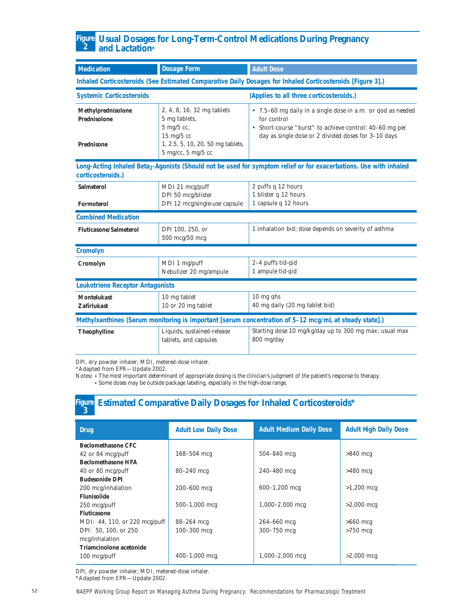#### **Usual Dosages for Long-Term-Control Medications During Pregnancy and Lactation\* Figure 2**

| <b>Medication</b>                                                     | <b>Dosage Form</b>                                                                                                                                          | <b>Adult Dose</b>                                                                                                                                                                            |
|-----------------------------------------------------------------------|-------------------------------------------------------------------------------------------------------------------------------------------------------------|----------------------------------------------------------------------------------------------------------------------------------------------------------------------------------------------|
|                                                                       |                                                                                                                                                             | Inhaled Corticosteroids (See Estimated Comparative Daily Dosages for Inhaled Corticosteroids [Figure 3].)                                                                                    |
| <b>Systemic Corticosteroids</b>                                       |                                                                                                                                                             | (Applies to all three corticosteroids.)                                                                                                                                                      |
| <b>Methylprednisolone</b><br><b>Prednisolone</b><br><b>Prednisone</b> | 2, 4, 8, 16, 32 mg tablets<br>5 mg tablets,<br>5 mg/5 cc,<br>$15 \text{ mg}/5 \text{ cc}$<br>1, 2.5, 5, 10, 20, 50 mg tablets,<br>$5$ mg/cc, $5$ mg/ $5$ cc | • 7.5-60 mg daily in a single dose in a.m. or qod as needed<br>for control<br>• Short-course "burst" to achieve control: 40–60 mg per<br>day as single dose or 2 divided doses for 3-10 days |
| corticosteroids.)                                                     |                                                                                                                                                             | Long-Acting Inhaled Beta <sub>2</sub> -Agonists (Should not be used for symptom relief or for exacerbations. Use with inhaled                                                                |
| <b>Salmeterol</b><br><b>Formoterol</b>                                | MDI 21 mcg/puff<br>DPI 50 mcg/blister<br>DPI 12 mcg/single-use capsule                                                                                      | 2 puffs q 12 hours<br>1 blister q 12 hours<br>1 capsule q 12 hours                                                                                                                           |
| <b>Combined Medication</b>                                            |                                                                                                                                                             |                                                                                                                                                                                              |
| <b>Fluticasone/Salmeterol</b>                                         | DPI 100, 250, or<br>500 mcg/50 mcg                                                                                                                          | 1 inhalation bid; dose depends on severity of asthma                                                                                                                                         |
| <b>Cromolyn</b>                                                       |                                                                                                                                                             |                                                                                                                                                                                              |
| Cromolyn                                                              | MDI 1 mg/puff<br>Nebulizer 20 mg/ampule                                                                                                                     | 2-4 puffs tid-qid<br>1 ampule tid-qid                                                                                                                                                        |
| <b>Leukotriene Receptor Antagonists</b>                               |                                                                                                                                                             |                                                                                                                                                                                              |
| <b>Montelukast</b><br><b>Zafirlukast</b>                              | 10 mg tablet<br>10 or 20 mg tablet                                                                                                                          | $10$ mg qhs<br>40 mg daily (20 mg tablet bid)                                                                                                                                                |
|                                                                       |                                                                                                                                                             | Methylxanthines (Serum monitoring is important [serum concentration of 5-12 mcg/mL at steady state].)                                                                                        |
| <b>Theophylline</b>                                                   | Liquids, sustained-release<br>tablets, and capsules                                                                                                         | Starting dose 10 mg/kg/day up to 300 mg max; usual max<br>800 mg/day                                                                                                                         |

DPI, dry powder inhaler; MDI, metered-dose inhaler.

\*Adapted from EPR—Update 2002.

Notes: • The most important determinant of appropriate dosing is the clinician's judgment of the patient's response to therapy.

**•** Some doses may be outside package labeling, especially in the high-dose range.

# **Figure Estimated Comparative Daily Dosages for Inhaled Corticosteroids\* <sup>3</sup>**

| <b>Drug</b>                   | <b>Adult Low Daily Dose</b> | <b>Adult Medium Daily Dose</b> | <b>Adult High Daily Dose</b> |
|-------------------------------|-----------------------------|--------------------------------|------------------------------|
| <b>Beclomethasone CFC</b>     |                             |                                |                              |
| 42 or 84 mcg/puff             | $168 - 504$ mcg             | $504 - 840$ mcg                | $>840$ mcg                   |
| <b>Beclomethasone HFA</b>     |                             |                                |                              |
| $40$ or 80 mcg/puff           | $80 - 240$ mcg              | $240 - 480$ mcg                | $>480$ mcg                   |
| <b>Budesonide DPI</b>         |                             |                                |                              |
| 200 mcg/inhalation            | $200 - 600$ mcg             | $600-1,200$ mcg                | $>1,200$ mcg                 |
| <b>Flunisolide</b>            |                             |                                |                              |
| $250 \text{ mcg/putf}$        | $500 - 1,000$ mcg           | $1,000-2,000$ mcg              | $>2,000$ mcg                 |
| <b>Fluticasone</b>            |                             |                                |                              |
| MDI: 44, 110, or 220 mcg/puff | 88-264 mcg                  | $264 - 660$ mcg                | $>660$ mcg                   |
| DPI: 50, 100, or 250          | $100 - 300$ mcg             | $300 - 750$ mcg                | $>750$ mcg                   |
| mcg/inhalation                |                             |                                |                              |
| Triamcinolone acetonide       |                             |                                |                              |
| $100 \text{ mcg}/\text{puff}$ | $400 - 1,000$ mcg           | $1,000-2,000$ mcg              | $>2,000$ mcg                 |

DPI, dry powder inhaler; MDI, metered-dose inhaler. \*Adapted from EPR—Update 2002.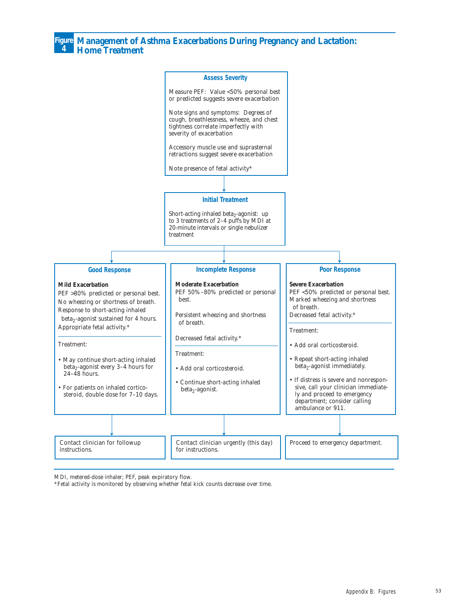**Management of Asthma Exacerbations During Pregnancy and Lactation: Home Treatment**

**Figure 4**



MDI, metered-dose inhaler; PEF, peak expiratory flow.

\*Fetal activity is monitored by observing whether fetal kick counts decrease over time.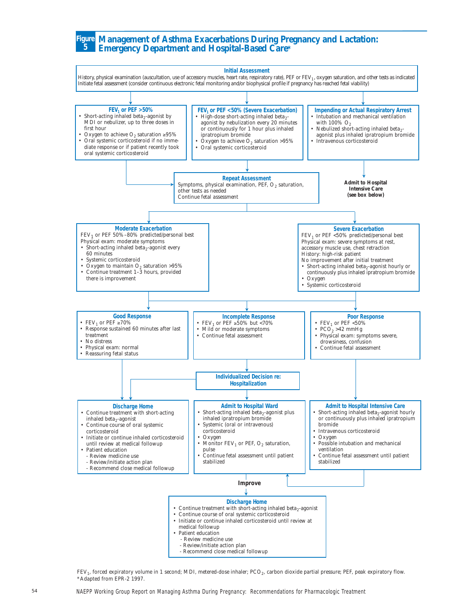#### **Management of Asthma Exacerbations During Pregnancy and Lactation: Figure Emergency Department and Hospital-Based Care\* 5**



FEV<sub>1</sub>, forced expiratory volume in 1 second; MDI, metered-dose inhaler; PCO<sub>2</sub>, carbon dioxide partial pressure; PEF, peak expiratory flow. \*Adapted from EPR-2 1997.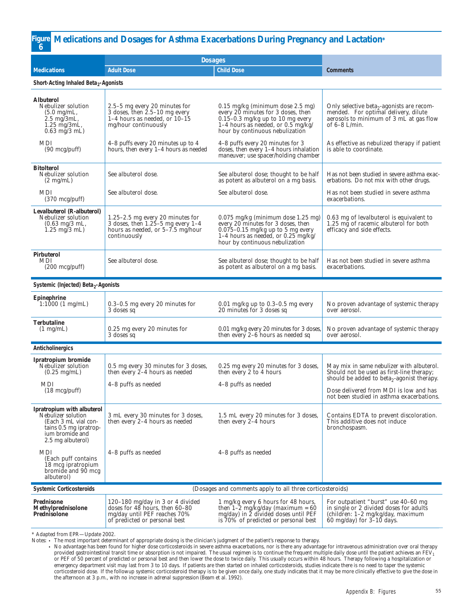#### **Figure Medications and Dosages for Asthma Exacerbations During Pregnancy and Lactation\* 6**

|                                                                                                                                                   | <b>Dosages</b>                                                                                                                               |                                                                                                                                                                                                     |                                                                                                                                                             |
|---------------------------------------------------------------------------------------------------------------------------------------------------|----------------------------------------------------------------------------------------------------------------------------------------------|-----------------------------------------------------------------------------------------------------------------------------------------------------------------------------------------------------|-------------------------------------------------------------------------------------------------------------------------------------------------------------|
| <b>Medications</b>                                                                                                                                | <b>Adult Dose</b>                                                                                                                            | <b>Child Dose</b>                                                                                                                                                                                   | <b>Comments</b>                                                                                                                                             |
| Short-Acting Inhaled Beta <sub>2</sub> -Agonists                                                                                                  |                                                                                                                                              |                                                                                                                                                                                                     |                                                                                                                                                             |
| <b>Albuterol</b><br>Nebulizer solution<br>$(5.0 \text{ mg/mL},$<br>$2.5 \text{ mg}$ 3mL,<br>1.25 mg/3mL,<br>$0.63$ mg/3 mL)                       | 2.5–5 mg every 20 minutes for<br>3 doses, then $2.5-10$ mg every<br>1-4 hours as needed, or $10-15$<br>mg/hour continuously                  | $0.15 \text{ mg/kg}$ (minimum dose 2.5 mg)<br>every 20 minutes for 3 doses, then<br>$0.15 - 0.3$ mg/kg up to 10 mg every<br>1-4 hours as needed, or $0.5$ mg/kg/<br>hour by continuous nebulization | Only selective beta <sub>2</sub> -agonists are recom-<br>mended. For optimal delivery, dilute<br>aerosols to minimum of 3 mL at gas flow<br>of $6-8$ L/min. |
| MDI<br>(90 mcg/puff)                                                                                                                              | 4–8 puffs every 20 minutes up to 4<br>hours, then every 1-4 hours as needed                                                                  | 4-8 puffs every 20 minutes for 3<br>doses, then every 1-4 hours inhalation<br>maneuver; use spacer/holding chamber                                                                                  | As effective as nebulized therapy if patient<br>is able to coordinate.                                                                                      |
| <b>Bitolterol</b><br>Nebulizer solution<br>$(2 \text{ mg/mL})$                                                                                    | See albuterol dose.                                                                                                                          | See albuterol dose; thought to be half<br>as potent as albuterol on a mg basis.                                                                                                                     | Has not been studied in severe asthma exac-<br>erbations. Do not mix with other drugs.                                                                      |
| <b>MDI</b><br>$(370 \text{ mcg/pdf})$                                                                                                             | See albuterol dose.                                                                                                                          | See albuterol dose.                                                                                                                                                                                 | Has not been studied in severe asthma<br>exacerbations.                                                                                                     |
| Levalbuterol (R-albuterol)<br>Nebulizer solution<br>$(0.63 \text{ mg}/3 \text{ mL},$<br>$1.25 \text{ mg}/3 \text{ mL}$                            | 1.25-2.5 mg every 20 minutes for<br>3 doses, then $1.25-5$ mg every $1-4$<br>hours as needed, or $5-\overline{7}$ .5 mg/hour<br>continuously | $0.075$ mg/kg (minimum dose 1.25 mg)<br>every 20 minutes for 3 doses, then<br>$0.075 - 0.15$ mg/kg up to 5 mg every<br>1-4 hours as needed, or $0.25$ mg/kg/<br>hour by continuous nebulization     | 0.63 mg of levalbuterol is equivalent to<br>1.25 mg of racemic albuterol for both<br>efficacy and side effects.                                             |
| <b>Pirbuterol</b><br>MDI<br>$(200 \text{ mcg/putf})$                                                                                              | See albuterol dose.                                                                                                                          | See albuterol dose; thought to be half<br>as potent as albuterol on a mg basis.                                                                                                                     | Has not been studied in severe asthma<br>exacerbations.                                                                                                     |
| Systemic (Injected) Beta <sub>2</sub> -Agonists                                                                                                   |                                                                                                                                              |                                                                                                                                                                                                     |                                                                                                                                                             |
| <b>Epinephrine</b><br>$1:1000(1 \text{ mg/mL})$                                                                                                   | $0.3-0.5$ mg every 20 minutes for<br>3 doses sq                                                                                              | 0.01 mg/kg up to 0.3-0.5 mg every<br>20 minutes for 3 doses sq                                                                                                                                      | No proven advantage of systemic therapy<br>over aerosol.                                                                                                    |
| <b>Terbutaline</b><br>$(1 \text{ mg/mL})$                                                                                                         | 0.25 mg every 20 minutes for<br>3 doses sq                                                                                                   | 0.01 mg/kg every 20 minutes for 3 doses,<br>then every 2-6 hours as needed sq                                                                                                                       | No proven advantage of systemic therapy<br>over aerosol.                                                                                                    |
| Anticholinergics                                                                                                                                  |                                                                                                                                              |                                                                                                                                                                                                     |                                                                                                                                                             |
| Ipratropium bromide<br>Nebulizer solution<br>$(0.25 \text{ mg/mL})$<br>MDI                                                                        | 0.5 mg every 30 minutes for 3 doses,<br>then every $2-4$ hours as needed<br>4-8 puffs as needed                                              | 0.25 mg every 20 minutes for 3 doses,<br>then every 2 to 4 hours<br>4-8 puffs as needed                                                                                                             | May mix in same nebulizer with albuterol.<br>Should not be used as first-line therapy;<br>should be added to beta <sub>2</sub> -agonist therapy.            |
| $(18 \text{ mcg}/\text{puff})$                                                                                                                    |                                                                                                                                              |                                                                                                                                                                                                     | Dose delivered from MDI is low and has<br>not been studied in asthma exacerbations.                                                                         |
| <b>Ipratropium</b> with albuterol<br>Nebulizer solution<br>(Each 3 mL vial con-<br>tains 0.5 mg ipratrop-<br>ium bromide and<br>2.5 mg albuterol) | 3 mL every 30 minutes for 3 doses,<br>then every 2-4 hours as needed                                                                         | 1.5 mL every 20 minutes for 3 doses,<br>then every 2-4 hours                                                                                                                                        | Contains EDTA to prevent discoloration.<br>This additive does not induce<br>bronchospasm.                                                                   |
| MDI<br>(Each puff contains)<br>18 mcg ipratropium<br>bromide and 90 mcg<br>albuterol)                                                             | 4-8 puffs as needed                                                                                                                          | 4-8 puffs as needed                                                                                                                                                                                 |                                                                                                                                                             |
| <b>Systemic Corticosteroids</b>                                                                                                                   |                                                                                                                                              | (Dosages and comments apply to all three corticosteroids)                                                                                                                                           |                                                                                                                                                             |
| Prednisone<br>Methylprednisolone<br>Prednisolone                                                                                                  | 120–180 mg/day in 3 or 4 divided<br>doses for $48$ hours, then $60-80$<br>mg/day until PEF reaches 70%<br>of predicted or personal best      | 1 mg/kg every 6 hours for 48 hours,<br>then $1-\tilde{2}$ mg/kg/day (maximum = 60<br>mg/day) in 2 divided doses until PEF<br>is 70% of predicted or personal best                                   | For outpatient "burst" use 40–60 mg<br>in single or 2 divided doses for adults<br>(children: 1-2 mg/kg/day, maximum<br>60 mg/day) for $3-10$ days.          |

\* Adapted from EPR—Update 2002.

Notes: • The most important determinant of appropriate dosing is the clinician's judgment of the patient's response to therapy.

• No advantage has been found for higher dose corticosteroids in severe asthma exacerbations, nor is there any advantage for intravenous administration over oral therapy provided gastrointestinal transit time or absorption is not impaired. The usual regimen is to continue the frequent multiple daily dose until the patient achieves an FEV<sub>1</sub><br>or PEF of 50 percent of predicted or personal bes emergency department visit may last from 3 to 10 days. If patients are then started on inhaled corticosteroids, studies indicate there is no need to taper the systemic corticosteroid dose. If the followup systemic corticosteroid therapy is to be given once daily, one study indicates that it may be more clinically effective to give the dose in the afternoon at 3 p.m., with no increase in adrenal suppression (Beam et al. 1992).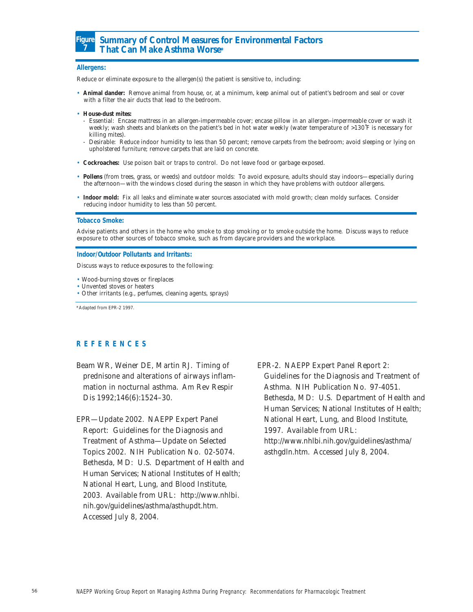

# **Summary of Control Measures for Environmental Factors That Can Make Asthma Worse\***

#### **Allergens:**

Reduce or eliminate exposure to the allergen(s) the patient is sensitive to, including:

- **Animal dander:** Remove animal from house, or, at a minimum, keep animal out of patient's bedroom and seal or cover with a filter the air ducts that lead to the bedroom.
- **House-dust mites:**
- Essential: Encase mattress in an allergen-impermeable cover; encase pillow in an allergen–impermeable cover or wash it weekly; wash sheets and blankets on the patient's bed in hot water weekly (water temperature of >130˚F is necessary for killing mites).
- Desirable: Reduce indoor humidity to less than 50 percent; remove carpets from the bedroom; avoid sleeping or lying on upholstered furniture; remove carpets that are laid on concrete.
- **Cockroaches:** Use poison bait or traps to control. Do not leave food or garbage exposed.
- **Pollens** (from trees, grass, or weeds) and outdoor molds: To avoid exposure, adults should stay indoors—especially during the afternoon—with the windows closed during the season in which they have problems with outdoor allergens.
- **Indoor mold:** Fix all leaks and eliminate water sources associated with mold growth; clean moldy surfaces. Consider reducing indoor humidity to less than 50 percent.

#### **Tobacco Smoke:**

Advise patients and others in the home who smoke to stop smoking or to smoke outside the home. Discuss ways to reduce exposure to other sources of tobacco smoke, such as from daycare providers and the workplace.

#### **Indoor/Outdoor Pollutants and Irritants:**

Discuss ways to reduce exposures to the following:

- Wood-burning stoves or fireplaces
- Unvented stoves or heaters
- Other irritants (e.g., perfumes, cleaning agents, sprays)

\*Adapted from EPR-2 1997.

#### **REFERENCES**

Beam WR, Weiner DE, Martin RJ. Timing of prednisone and alterations of airways inflammation in nocturnal asthma. *Am Rev Respir Dis* 1992;146(6):1524–30.

EPR—Update 2002. NAEPP Expert Panel Report: Guidelines for the Diagnosis and Treatment of Asthma—Update on Selected Topics 2002. NIH Publication No. 02-5074. Bethesda, MD: U.S. Department of Health and Human Services; National Institutes of Health; National Heart, Lung, and Blood Institute, 2003. Available from URL: http://www.nhlbi. nih.gov/guidelines/asthma/asthupdt.htm. Accessed July 8, 2004.

EPR-2. NAEPP Expert Panel Report 2: Guidelines for the Diagnosis and Treatment of Asthma. NIH Publication No. 97-4051. Bethesda, MD: U.S. Department of Health and Human Services; National Institutes of Health; National Heart, Lung, and Blood Institute, 1997. Available from URL: http://www.nhlbi.nih.gov/guidelines/asthma/ asthgdln.htm. Accessed July 8, 2004.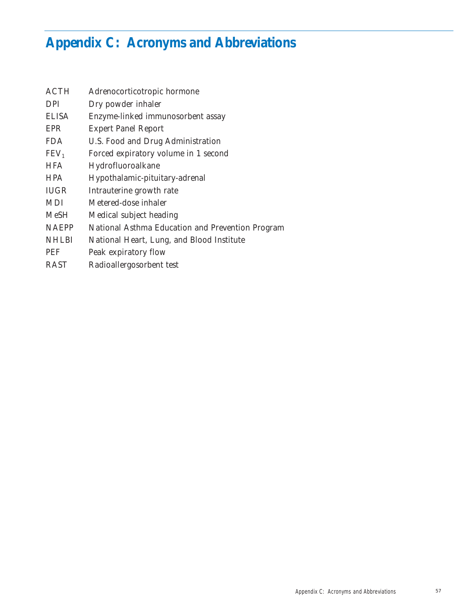# **Appendix C: Acronyms and Abbreviations**

| <b>ACTH</b>      | Adrenocorticotropic hormone                      |
|------------------|--------------------------------------------------|
| <b>DPI</b>       | Dry powder inhaler                               |
| <b>ELISA</b>     | Enzyme-linked immunosorbent assay                |
| EPR              | <b>Expert Panel Report</b>                       |
| FDA.             | U.S. Food and Drug Administration                |
| FEV <sub>1</sub> | Forced expiratory volume in 1 second             |
| <b>HFA</b>       | Hydrofluoroalkane                                |
| <b>HPA</b>       | Hypothalamic-pituitary-adrenal                   |
| <b>IUGR</b>      | Intrauterine growth rate                         |
| <b>MDI</b>       | Metered-dose inhaler                             |
| <b>MeSH</b>      | Medical subject heading                          |
| <b>NAEPP</b>     | National Asthma Education and Prevention Program |
| <b>NHLBI</b>     | National Heart, Lung, and Blood Institute        |
| <b>PEF</b>       | Peak expiratory flow                             |
| <b>RAST</b>      | Radioallergosorbent test                         |
|                  |                                                  |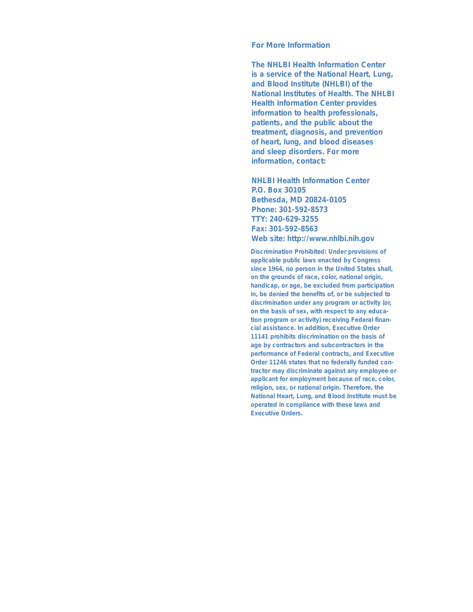#### **For More Information**

**The NHLBI Health Information Center is a service of the National Heart, Lung, and Blood Institute (NHLBI) of the National Institutes of Health. The NHLBI Health Information Center provides information to health professionals, patients, and the public about the treatment, diagnosis, and prevention of heart, lung, and blood diseases and sleep disorders. For more information, contact:**

**NHLBI Health Information Center P.O. Box 30105 Bethesda, MD 20824-0105 Phone: 301-592-8573 TTY: 240-629-3255 Fax: 301-592-8563 Web site: http://www.nhlbi.nih.gov**

**Discrimination Prohibited: Under provisions of applicable public laws enacted by Congress since 1964, no person in the United States shall, on the grounds of race, color, national origin, handicap, or age, be excluded from participation in, be denied the benefits of, or be subjected to discrimination under any program or activity (or, on the basis of sex, with respect to any education program or activity) receiving Federal financial assistance. In addition, Executive Order 11141 prohibits discrimination on the basis of age by contractors and subcontractors in the performance of Federal contracts, and Executive Order 11246 states that no federally funded contractor may discriminate against any employee or applicant for employment because of race, color, religion, sex, or national origin. Therefore, the National Heart, Lung, and Blood Institute must be operated in compliance with these laws and Executive Orders.**